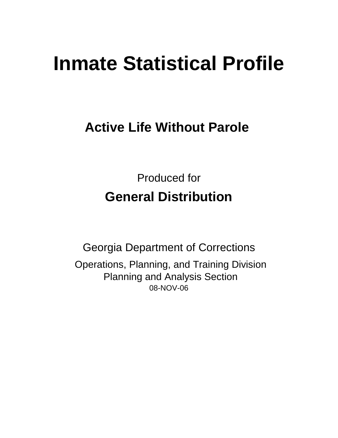# **Inmate Statistical Profile**

# **Active Life Without Parole**

Produced for **General Distribution**

08-NOV-06 Georgia Department of Corrections Operations, Planning, and Training Division Planning and Analysis Section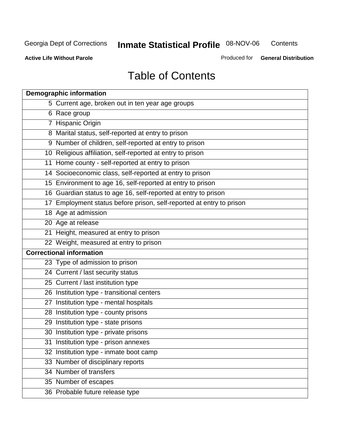**Contents** 

**Active Life Without Parole** 

Produced for **General Distribution**

# Table of Contents

| <b>Demographic information</b>                                       |
|----------------------------------------------------------------------|
| 5 Current age, broken out in ten year age groups                     |
| 6 Race group                                                         |
| 7 Hispanic Origin                                                    |
| 8 Marital status, self-reported at entry to prison                   |
| 9 Number of children, self-reported at entry to prison               |
| 10 Religious affiliation, self-reported at entry to prison           |
| 11 Home county - self-reported at entry to prison                    |
| 14 Socioeconomic class, self-reported at entry to prison             |
| 15 Environment to age 16, self-reported at entry to prison           |
| 16 Guardian status to age 16, self-reported at entry to prison       |
| 17 Employment status before prison, self-reported at entry to prison |
| 18 Age at admission                                                  |
| 20 Age at release                                                    |
| 21 Height, measured at entry to prison                               |
| 22 Weight, measured at entry to prison                               |
| <b>Correctional information</b>                                      |
| 23 Type of admission to prison                                       |
| 24 Current / last security status                                    |
| 25 Current / last institution type                                   |
| 26 Institution type - transitional centers                           |
| 27 Institution type - mental hospitals                               |
| 28 Institution type - county prisons                                 |
| 29 Institution type - state prisons                                  |
| 30 Institution type - private prisons                                |
| 31 Institution type - prison annexes                                 |
| 32 Institution type - inmate boot camp                               |
| 33 Number of disciplinary reports                                    |
| 34 Number of transfers                                               |
| 35 Number of escapes                                                 |
| 36 Probable future release type                                      |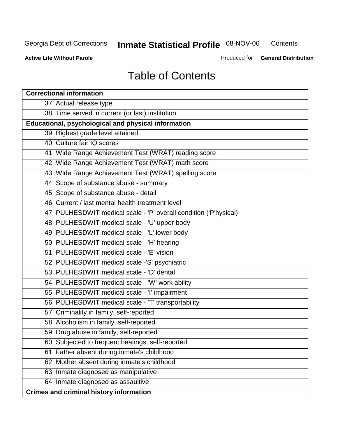**Contents** 

**Active Life Without Parole** 

Produced for **General Distribution**

# Table of Contents

| <b>Correctional information</b>                                  |
|------------------------------------------------------------------|
| 37 Actual release type                                           |
| 38 Time served in current (or last) institution                  |
| Educational, psychological and physical information              |
| 39 Highest grade level attained                                  |
| 40 Culture fair IQ scores                                        |
| 41 Wide Range Achievement Test (WRAT) reading score              |
| 42 Wide Range Achievement Test (WRAT) math score                 |
| 43 Wide Range Achievement Test (WRAT) spelling score             |
| 44 Scope of substance abuse - summary                            |
| 45 Scope of substance abuse - detail                             |
| 46 Current / last mental health treatment level                  |
| 47 PULHESDWIT medical scale - 'P' overall condition ('P'hysical) |
| 48 PULHESDWIT medical scale - 'U' upper body                     |
| 49 PULHESDWIT medical scale - 'L' lower body                     |
| 50 PULHESDWIT medical scale - 'H' hearing                        |
| 51 PULHESDWIT medical scale - 'E' vision                         |
| 52 PULHESDWIT medical scale -'S' psychiatric                     |
| 53 PULHESDWIT medical scale - 'D' dental                         |
| 54 PULHESDWIT medical scale - 'W' work ability                   |
| 55 PULHESDWIT medical scale - 'I' impairment                     |
| 56 PULHESDWIT medical scale - 'T' transportability               |
| 57 Criminality in family, self-reported                          |
| 58 Alcoholism in family, self-reported                           |
| 59 Drug abuse in family, self-reported                           |
| 60 Subjected to frequent beatings, self-reported                 |
| Father absent during inmate's childhood<br>61                    |
| 62 Mother absent during inmate's childhood                       |
| 63 Inmate diagnosed as manipulative                              |
| 64 Inmate diagnosed as assaultive                                |
| <b>Crimes and criminal history information</b>                   |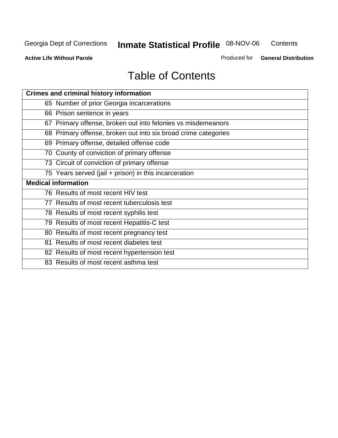**Contents** 

**Active Life Without Parole** 

Produced for **General Distribution**

# Table of Contents

| <b>Crimes and criminal history information</b>                 |
|----------------------------------------------------------------|
| 65 Number of prior Georgia incarcerations                      |
| 66 Prison sentence in years                                    |
| 67 Primary offense, broken out into felonies vs misdemeanors   |
| 68 Primary offense, broken out into six broad crime categories |
| 69 Primary offense, detailed offense code                      |
| 70 County of conviction of primary offense                     |
| 73 Circuit of conviction of primary offense                    |
| 75 Years served (jail + prison) in this incarceration          |
| <b>Medical information</b>                                     |
|                                                                |
| 76 Results of most recent HIV test                             |
| 77 Results of most recent tuberculosis test                    |
| 78 Results of most recent syphilis test                        |
| 79 Results of most recent Hepatitis-C test                     |
| 80 Results of most recent pregnancy test                       |
| 81 Results of most recent diabetes test                        |
| 82 Results of most recent hypertension test                    |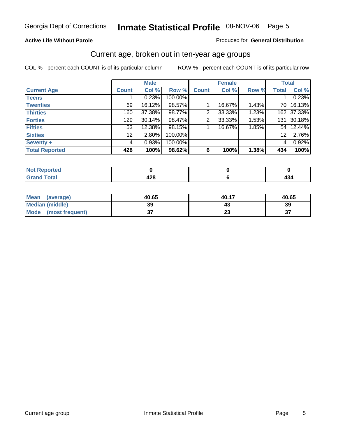#### **Active Life Without Parole**

#### Produced for **General Distribution**

#### Current age, broken out in ten-year age groups

|                       |              | <b>Male</b> |         |              | <b>Female</b> |       |                 | <b>Total</b> |
|-----------------------|--------------|-------------|---------|--------------|---------------|-------|-----------------|--------------|
| <b>Current Age</b>    | <b>Count</b> | Col %       | Row %   | <b>Count</b> | Col %         | Row % | <b>Total</b>    | Col %        |
| <b>Teens</b>          |              | 0.23%       | 100.00% |              |               |       |                 | 0.23%        |
| <b>Twenties</b>       | 69           | 16.12%      | 98.57%  |              | 16.67%        | 1.43% | 70 l            | 16.13%       |
| <b>Thirties</b>       | 160          | 37.38%      | 98.77%  | 2            | 33.33%        | 1.23% | 162             | 37.33%       |
| <b>Forties</b>        | 129          | $30.14\%$   | 98.47%  | 2            | 33.33%        | 1.53% | 131             | 30.18%       |
| <b>Fifties</b>        | 53           | 12.38%      | 98.15%  |              | 16.67%        | 1.85% | 54 I            | 12.44%       |
| <b>Sixties</b>        | 12           | 2.80%       | 100.00% |              |               |       | 12 <sup>2</sup> | 2.76%        |
| Seventy +             | 4            | 0.93%       | 100.00% |              |               |       | 4               | 0.92%        |
| <b>Total Reported</b> | 428          | 100%        | 98.62%  | 6            | 100%          | 1.38% | 434             | 100%         |

| i Alban<br>المتعاملات<br>m.<br>τeα |                     |  |
|------------------------------------|---------------------|--|
| $F \sim 4 \sim 1$<br><b>COMMA</b>  | ,,,<br>--<br>$\sim$ |  |

| <b>Mean</b><br>(average) | 40.65    | 40.17                | 40.65 |
|--------------------------|----------|----------------------|-------|
| <b>Median (middle)</b>   | 39       |                      | 39    |
| Mode<br>(most frequent)  | ^<br>ا پ | $\ddot{\phantom{0}}$ | ^     |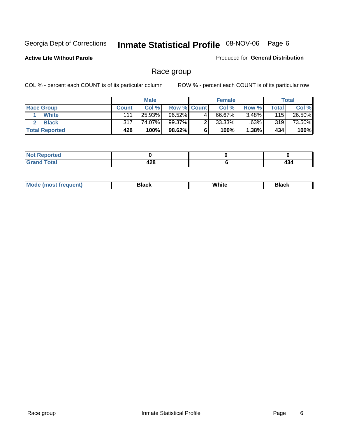**Active Life Without Parole** 

Produced for **General Distribution**

#### Race group

|                       |              | <b>Male</b> |                    |   | <b>Female</b> |          |       | <b>Total</b> |
|-----------------------|--------------|-------------|--------------------|---|---------------|----------|-------|--------------|
| <b>Race Group</b>     | <b>Count</b> | Col %       | <b>Row % Count</b> |   | Col %         | Row %    | Total | Col %        |
| <b>White</b>          | 111          | 25.93%      | 96.52%             | 4 | 66.67%        | $3.48\%$ | 115   | 26.50%       |
| <b>Black</b>          | 317          | 74.07%      | 99.37%             |   | $33.33\%$     | .63%     | 319   | 73.50%       |
| <b>Total Reported</b> | 428          | 100%        | 98.62%             |   | 100%          | $1.38\%$ | 434   | 100%         |

| المناسب بالتعمير<br>eportea<br>$\sim$ |            |             |
|---------------------------------------|------------|-------------|
| $\sim$ . $\sim$ .                     | 120<br>440 | 45.<br>$ -$ |

| $^1$ Mo. | Rlack | White | 3lack |
|----------|-------|-------|-------|
| .        |       |       |       |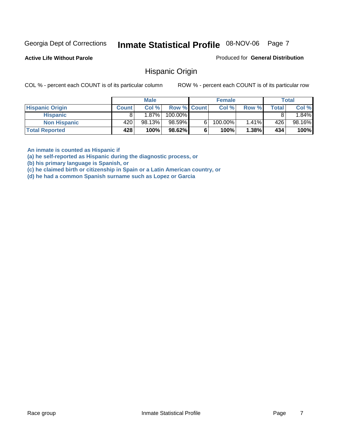**Active Life Without Parole** 

Produced for **General Distribution**

#### Hispanic Origin

COL % - percent each COUNT is of its particular column ROW % - percent each COUNT is of its particular row

|                        |              | <b>Male</b> |                    | <b>Female</b> |       |              | <b>Total</b> |
|------------------------|--------------|-------------|--------------------|---------------|-------|--------------|--------------|
| <b>Hispanic Origin</b> | <b>Count</b> | Col%        | <b>Row % Count</b> | Col %         | Row % | <b>Total</b> | Col %        |
| <b>Hispanic</b>        |              | $1.87\%$    | 100.00%            |               |       |              | .84%         |
| <b>Non Hispanic</b>    | 420          | 98.13%      | 98.59%             | 100.00%       | 1.41% | 426          | 98.16%       |
| <b>Total Reported</b>  | 428          | 100%        | 98.62%             | 100%          | 1.38% | 434          | 100%         |

**An inmate is counted as Hispanic if** 

**(a) he self-reported as Hispanic during the diagnostic process, or** 

**(b) his primary language is Spanish, or** 

**(c) he claimed birth or citizenship in Spain or a Latin American country, or** 

**(d) he had a common Spanish surname such as Lopez or Garcia**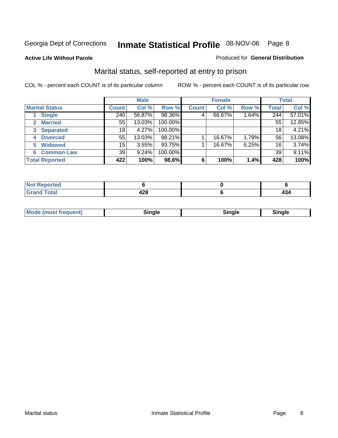#### **Active Life Without Parole**

#### Produced for **General Distribution**

#### Marital status, self-reported at entry to prison

|                        | <b>Male</b>  |        |         | <b>Female</b> |        |       | <b>Total</b>    |        |
|------------------------|--------------|--------|---------|---------------|--------|-------|-----------------|--------|
| <b>Marital Status</b>  | <b>Count</b> | Col %  | Row %   | <b>Count</b>  | Col %  | Row % | <b>Total</b>    | Col %  |
| <b>Single</b>          | 240          | 56.87% | 98.36%  | 4             | 66.67% | 1.64% | 244             | 57.01% |
| <b>Married</b><br>2.   | 55           | 13.03% | 100.00% |               |        |       | 55              | 12.85% |
| <b>Separated</b><br>3  | 18           | 4.27%  | 100.00% |               |        |       | 18              | 4.21%  |
| <b>Divorced</b><br>4   | 55           | 13.03% | 98.21%  |               | 16.67% | 1.79% | 56              | 13.08% |
| <b>Widowed</b><br>5    | 15           | 3.55%  | 93.75%  |               | 16.67% | 6.25% | 16 <sub>1</sub> | 3.74%  |
| <b>Common Law</b><br>6 | 39           | 9.24%  | 100.00% |               |        |       | 39              | 9.11%  |
| <b>Total Reported</b>  | 422          | 100%   | 98.6%   | 6             | 100%   | 1.4%  | 428             | 100%   |

| .<br>−∠∪ |  |
|----------|--|

| <b>Mode (most frequent)</b><br>Sinale<br>≒ınale |
|-------------------------------------------------|
|-------------------------------------------------|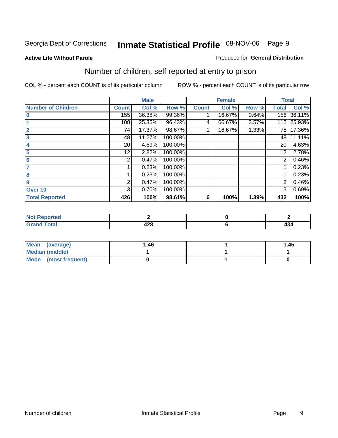#### **Active Life Without Parole**

#### Produced for **General Distribution**

### Number of children, self reported at entry to prison

|                           |              | <b>Male</b> |         |              | <b>Female</b> |       | <b>Total</b>   |        |
|---------------------------|--------------|-------------|---------|--------------|---------------|-------|----------------|--------|
| <b>Number of Children</b> | <b>Count</b> | Col %       | Row %   | <b>Count</b> | Col %         | Row % | <b>Total</b>   | Col %  |
| $\bf{0}$                  | 155          | 36.38%      | 99.36%  |              | 16.67%        | 0.64% | 156            | 36.11% |
|                           | 108          | 25.35%      | 96.43%  | 4            | 66.67%        | 3.57% | 112            | 25.93% |
| $\overline{2}$            | 74           | 17.37%      | 98.67%  |              | 16.67%        | 1.33% | 75             | 17.36% |
| 3                         | 48           | 11.27%      | 100.00% |              |               |       | 48             | 11.11% |
|                           | 20           | 4.69%       | 100.00% |              |               |       | 20             | 4.63%  |
| 5                         | 12.          | 2.82%       | 100.00% |              |               |       | 12             | 2.78%  |
| 6                         | 2            | 0.47%       | 100.00% |              |               |       | 2              | 0.46%  |
|                           |              | 0.23%       | 100.00% |              |               |       |                | 0.23%  |
| 8                         |              | 0.23%       | 100.00% |              |               |       |                | 0.23%  |
| 9                         | 2            | 0.47%       | 100.00% |              |               |       | $\overline{2}$ | 0.46%  |
| Over 10                   | 3            | 0.70%       | 100.00% |              |               |       | 3              | 0.69%  |
| <b>Total Reported</b>     | 426          | 100%        | 98.61%  | 6            | 100%          | 1.39% | 432            | 100%   |

| للمستقصاء<br>теа<br>N<br>. |               |          |
|----------------------------|---------------|----------|
| $T = 4$<br>---<br>-        | A O O<br>44 C | .<br>404 |

| <b>Mean</b><br>(average) | ،46. | 1.45 |
|--------------------------|------|------|
| <b>Median (middle)</b>   |      |      |
| Mode (most frequent)     |      |      |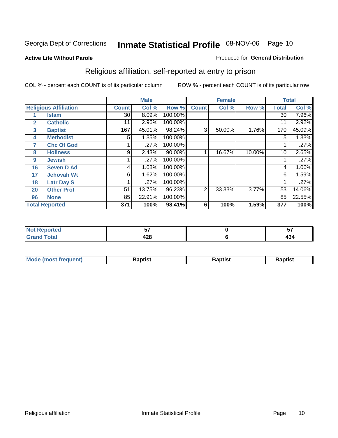#### **Active Life Without Parole**

#### Produced for **General Distribution**

### Religious affiliation, self-reported at entry to prison

|              |                              |              | <b>Male</b> |         |              | <b>Female</b> |        |              | <b>Total</b> |
|--------------|------------------------------|--------------|-------------|---------|--------------|---------------|--------|--------------|--------------|
|              | <b>Religious Affiliation</b> | <b>Count</b> | Col %       | Row %   | <b>Count</b> | Col %         | Row %  | <b>Total</b> | Col %        |
|              | <b>Islam</b>                 | 30           | 8.09%       | 100.00% |              |               |        | 30           | 7.96%        |
| $\mathbf{2}$ | <b>Catholic</b>              | 11           | 2.96%       | 100.00% |              |               |        | 11           | 2.92%        |
| 3            | <b>Baptist</b>               | 167          | 45.01%      | 98.24%  | 3            | 50.00%        | 1.76%  | 170          | 45.09%       |
| 4            | <b>Methodist</b>             | 5            | 1.35%       | 100.00% |              |               |        | 5            | 1.33%        |
| 7            | <b>Chc Of God</b>            |              | .27%        | 100.00% |              |               |        |              | .27%         |
| 8            | <b>Holiness</b>              | 9            | 2.43%       | 90.00%  |              | 16.67%        | 10.00% | 10           | 2.65%        |
| 9            | <b>Jewish</b>                |              | .27%        | 100.00% |              |               |        |              | .27%         |
| 16           | <b>Seven D Ad</b>            | 4            | 1.08%       | 100.00% |              |               |        | 4            | 1.06%        |
| 17           | <b>Jehovah Wt</b>            | 6            | 1.62%       | 100.00% |              |               |        | 6            | 1.59%        |
| 18           | <b>Latr Day S</b>            |              | .27%        | 100.00% |              |               |        |              | .27%         |
| 20           | <b>Other Prot</b>            | 51           | 13.75%      | 96.23%  | 2            | 33.33%        | 3.77%  | 53           | 14.06%       |
| 96           | <b>None</b>                  | 85           | 22.91%      | 100.00% |              |               |        | 85           | 22.55%       |
|              | <b>Total Reported</b>        | 371          | 100%        | 98.41%  | 6            | 100%          | 1.59%  | 377          | 100%         |

| <b>rted</b> | --         | --                       |
|-------------|------------|--------------------------|
| 'otal       | ៱៱៰<br>440 | $\overline{\phantom{a}}$ |

| ' Mo<br>went | <b>}aptist</b> | Baptist<br>$ -$ | <b>Baptist</b> |
|--------------|----------------|-----------------|----------------|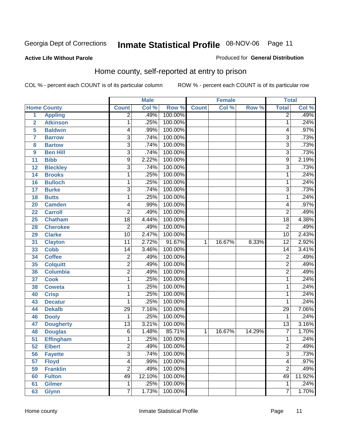#### **Active Life Without Parole**

#### Produced for **General Distribution**

#### Home county, self-reported at entry to prison

|                         |                    |                 | <b>Male</b> |         |              | <b>Female</b> |        | <b>Total</b>    |        |
|-------------------------|--------------------|-----------------|-------------|---------|--------------|---------------|--------|-----------------|--------|
|                         | <b>Home County</b> | <b>Count</b>    | Col %       | Row %   | <b>Count</b> | Col %         | Row %  | <b>Total</b>    | Col %  |
| $\overline{1}$          | <b>Appling</b>     | $\overline{2}$  | .49%        | 100.00% |              |               |        | $\overline{2}$  | .49%   |
| $\overline{2}$          | <b>Atkinson</b>    | 1               | .25%        | 100.00% |              |               |        | 1               | .24%   |
| 5                       | <b>Baldwin</b>     | 4               | .99%        | 100.00% |              |               |        | 4               | .97%   |
| $\overline{\mathbf{7}}$ | <b>Barrow</b>      | 3               | .74%        | 100.00% |              |               |        | $\overline{3}$  | .73%   |
| 8                       | <b>Bartow</b>      | $\overline{3}$  | .74%        | 100.00% |              |               |        | 3               | .73%   |
| 9                       | <b>Ben Hill</b>    | $\overline{3}$  | .74%        | 100.00% |              |               |        | $\overline{3}$  | .73%   |
| 11                      | <b>Bibb</b>        | $\overline{9}$  | 2.22%       | 100.00% |              |               |        | 9               | 2.19%  |
| 12                      | <b>Bleckley</b>    | 3               | .74%        | 100.00% |              |               |        | $\overline{3}$  | .73%   |
| 14                      | <b>Brooks</b>      | 1               | .25%        | 100.00% |              |               |        | 1               | .24%   |
| 16                      | <b>Bulloch</b>     | 1               | .25%        | 100.00% |              |               |        | 1               | .24%   |
| 17                      | <b>Burke</b>       | $\overline{3}$  | .74%        | 100.00% |              |               |        | 3               | .73%   |
| 18                      | <b>Butts</b>       | $\mathbf{1}$    | .25%        | 100.00% |              |               |        | 1               | .24%   |
| 20                      | <b>Camden</b>      | 4               | .99%        | 100.00% |              |               |        | 4               | .97%   |
| 22                      | <b>Carroll</b>     | 2               | .49%        | 100.00% |              |               |        | $\overline{2}$  | .49%   |
| 25                      | <b>Chatham</b>     | $\overline{18}$ | 4.44%       | 100.00% |              |               |        | $\overline{18}$ | 4.38%  |
| 28                      | <b>Cherokee</b>    | $\overline{2}$  | .49%        | 100.00% |              |               |        | $\overline{2}$  | .49%   |
| 29                      | <b>Clarke</b>      | $\overline{10}$ | 2.47%       | 100.00% |              |               |        | 10              | 2.43%  |
| 31                      | <b>Clayton</b>     | $\overline{11}$ | 2.72%       | 91.67%  | 1            | 16.67%        | 8.33%  | $\overline{12}$ | 2.92%  |
| 33                      | <b>Cobb</b>        | 14              | 3.46%       | 100.00% |              |               |        | $\overline{14}$ | 3.41%  |
| 34                      | <b>Coffee</b>      | $\overline{c}$  | .49%        | 100.00% |              |               |        | $\overline{2}$  | .49%   |
| 35                      | <b>Colquitt</b>    | $\overline{2}$  | .49%        | 100.00% |              |               |        | $\overline{2}$  | .49%   |
| 36                      | <b>Columbia</b>    | $\overline{c}$  | .49%        | 100.00% |              |               |        | $\overline{2}$  | .49%   |
| 37                      | <b>Cook</b>        | $\mathbf{1}$    | .25%        | 100.00% |              |               |        | 1               | .24%   |
| 38                      | <b>Coweta</b>      | 1               | .25%        | 100.00% |              |               |        | 1               | .24%   |
| 40                      | <b>Crisp</b>       | 1               | .25%        | 100.00% |              |               |        | 1               | .24%   |
| 43                      | <b>Decatur</b>     | 1               | .25%        | 100.00% |              |               |        | 1               | .24%   |
| 44                      | <b>Dekalb</b>      | 29              | 7.16%       | 100.00% |              |               |        | $\overline{29}$ | 7.06%  |
| 46                      | <b>Dooly</b>       | 1               | .25%        | 100.00% |              |               |        | 1               | .24%   |
| 47                      | <b>Dougherty</b>   | $\overline{13}$ | 3.21%       | 100.00% |              |               |        | $\overline{13}$ | 3.16%  |
| 48                      | <b>Douglas</b>     | 6               | 1.48%       | 85.71%  | 1            | 16.67%        | 14.29% | $\overline{7}$  | 1.70%  |
| $\overline{51}$         | <b>Effingham</b>   | 1               | .25%        | 100.00% |              |               |        | 1               | .24%   |
| 52                      | <b>Elbert</b>      | 2               | .49%        | 100.00% |              |               |        | $\overline{c}$  | .49%   |
| 56                      | <b>Fayette</b>     | $\overline{3}$  | .74%        | 100.00% |              |               |        | $\overline{3}$  | .73%   |
| 57                      | <b>Floyd</b>       | 4               | .99%        | 100.00% |              |               |        | 4               | .97%   |
| 59                      | <b>Franklin</b>    | $\overline{2}$  | .49%        | 100.00% |              |               |        | $\overline{2}$  | .49%   |
| 60                      | <b>Fulton</b>      | 49              | 12.10%      | 100.00% |              |               |        | 49              | 11.92% |
| 61                      | <b>Gilmer</b>      | 1               | .25%        | 100.00% |              |               |        | 1               | .24%   |
| 63                      | <b>Glynn</b>       | 7               | 1.73%       | 100.00% |              |               |        | 7               | 1.70%  |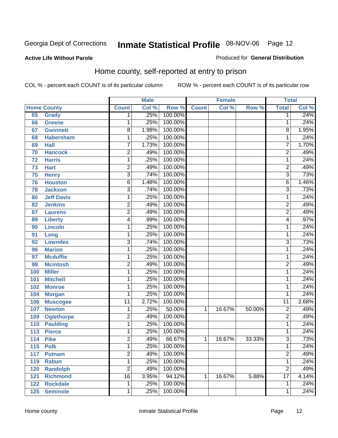#### **Active Life Without Parole**

#### Produced for **General Distribution**

#### Home county, self-reported at entry to prison

|     |                    |                 | <b>Male</b> |         |              | <b>Female</b> |        | <b>Total</b>    |       |
|-----|--------------------|-----------------|-------------|---------|--------------|---------------|--------|-----------------|-------|
|     | <b>Home County</b> | <b>Count</b>    | Col %       | Row %   | <b>Count</b> | Col %         | Row %  | <b>Total</b>    | Col % |
| 65  | <b>Grady</b>       | 1               | .25%        | 100.00% |              |               |        | 1               | .24%  |
| 66  | <b>Greene</b>      | 1               | .25%        | 100.00% |              |               |        | 1               | .24%  |
| 67  | <b>Gwinnett</b>    | 8               | 1.98%       | 100.00% |              |               |        | 8               | 1.95% |
| 68  | <b>Habersham</b>   | $\mathbf 1$     | .25%        | 100.00% |              |               |        | 1               | .24%  |
| 69  | <b>Hall</b>        | $\overline{7}$  | 1.73%       | 100.00% |              |               |        | 7               | 1.70% |
| 70  | <b>Hancock</b>     | $\overline{2}$  | .49%        | 100.00% |              |               |        | $\overline{2}$  | .49%  |
| 72  | <b>Harris</b>      | $\mathbf 1$     | .25%        | 100.00% |              |               |        | 1               | .24%  |
| 73  | <b>Hart</b>        | $\overline{2}$  | .49%        | 100.00% |              |               |        | $\overline{2}$  | .49%  |
| 75  | <b>Henry</b>       | 3               | .74%        | 100.00% |              |               |        | $\overline{3}$  | .73%  |
| 76  | <b>Houston</b>     | 6               | 1.48%       | 100.00% |              |               |        | 6               | 1.46% |
| 78  | <b>Jackson</b>     | 3               | .74%        | 100.00% |              |               |        | $\overline{3}$  | .73%  |
| 80  | <b>Jeff Davis</b>  | $\mathbf 1$     | .25%        | 100.00% |              |               |        | 1               | .24%  |
| 82  | <b>Jenkins</b>     | $\overline{c}$  | .49%        | 100.00% |              |               |        | $\overline{2}$  | .49%  |
| 87  | <b>Laurens</b>     | $\overline{2}$  | .49%        | 100.00% |              |               |        | $\overline{2}$  | .49%  |
| 89  | <b>Liberty</b>     | 4               | .99%        | 100.00% |              |               |        | 4               | .97%  |
| 90  | <b>Lincoln</b>     | 1               | .25%        | 100.00% |              |               |        | 1               | .24%  |
| 91  | Long               | 1               | .25%        | 100.00% |              |               |        | 1               | .24%  |
| 92  | <b>Lowndes</b>     | $\overline{3}$  | .74%        | 100.00% |              |               |        | $\overline{3}$  | .73%  |
| 96  | <b>Marion</b>      | $\mathbf 1$     | .25%        | 100.00% |              |               |        | 1               | .24%  |
| 97  | <b>Mcduffie</b>    | $\mathbf 1$     | .25%        | 100.00% |              |               |        | 1               | .24%  |
| 98  | <b>Mcintosh</b>    | $\overline{2}$  | .49%        | 100.00% |              |               |        | $\overline{2}$  | .49%  |
| 100 | <b>Miller</b>      | 1               | .25%        | 100.00% |              |               |        | 1               | .24%  |
| 101 | <b>Mitchell</b>    | $\mathbf 1$     | .25%        | 100.00% |              |               |        | 1               | .24%  |
| 102 | <b>Monroe</b>      | 1               | .25%        | 100.00% |              |               |        | 1               | .24%  |
| 104 | <b>Morgan</b>      | 1               | .25%        | 100.00% |              |               |        | 1               | .24%  |
| 106 | <b>Muscogee</b>    | $\overline{11}$ | 2.72%       | 100.00% |              |               |        | $\overline{11}$ | 2.68% |
| 107 | <b>Newton</b>      | $\mathbf 1$     | .25%        | 50.00%  | 1            | 16.67%        | 50.00% | $\overline{2}$  | .49%  |
| 109 | <b>Oglethorpe</b>  | $\overline{2}$  | .49%        | 100.00% |              |               |        | $\overline{2}$  | .49%  |
| 110 | <b>Paulding</b>    | $\mathbf 1$     | .25%        | 100.00% |              |               |        | 1               | .24%  |
| 113 | <b>Pierce</b>      | $\mathbf 1$     | .25%        | 100.00% |              |               |        | 1               | .24%  |
| 114 | <b>Pike</b>        | $\overline{2}$  | .49%        | 66.67%  | 1            | 16.67%        | 33.33% | $\overline{3}$  | .73%  |
| 115 | <b>Polk</b>        | 1               | .25%        | 100.00% |              |               |        | 1               | .24%  |
| 117 | <b>Putnam</b>      | $\overline{2}$  | .49%        | 100.00% |              |               |        | $\overline{2}$  | .49%  |
| 119 | <b>Rabun</b>       | $\overline{1}$  | .25%        | 100.00% |              |               |        | 1               | .24%  |
| 120 | <b>Randolph</b>    | $\overline{2}$  | .49%        | 100.00% |              |               |        | $\overline{2}$  | .49%  |
| 121 | <b>Richmond</b>    | $\overline{16}$ | 3.95%       | 94.12%  | 1            | 16.67%        | 5.88%  | $\overline{17}$ | 4.14% |
| 122 | <b>Rockdale</b>    | $\mathbf{1}$    | .25%        | 100.00% |              |               |        | 1               | .24%  |
| 125 | <b>Seminole</b>    | $\overline{1}$  | .25%        | 100.00% |              |               |        | 1               | .24%  |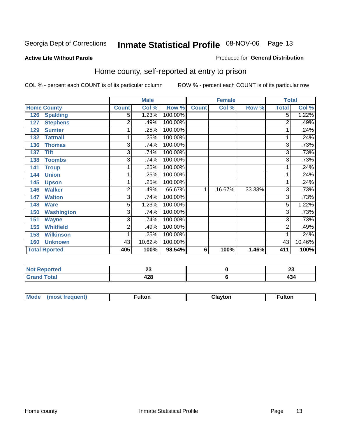#### **Active Life Without Parole**

#### Produced for **General Distribution**

#### Home county, self-reported at entry to prison

|                          |              | <b>Male</b> |         |                | <b>Female</b> |        | <b>Total</b> |        |
|--------------------------|--------------|-------------|---------|----------------|---------------|--------|--------------|--------|
| <b>Home County</b>       | <b>Count</b> | Col %       | Row %   | <b>Count</b>   | Col %         | Row %  | <b>Total</b> | Col %  |
| 126<br><b>Spalding</b>   | 5            | 1.23%       | 100.00% |                |               |        | 5            | 1.22%  |
| <b>Stephens</b><br>127   | 2            | .49%        | 100.00% |                |               |        | 2            | .49%   |
| 129<br><b>Sumter</b>     | 1            | .25%        | 100.00% |                |               |        |              | .24%   |
| <b>Tattnall</b><br>132   | 1            | .25%        | 100.00% |                |               |        |              | .24%   |
| 136<br><b>Thomas</b>     | 3            | .74%        | 100.00% |                |               |        | 3            | .73%   |
| <b>Tift</b><br>137       | 3            | .74%        | 100.00% |                |               |        | 3            | .73%   |
| <b>Toombs</b><br>138     | 3            | .74%        | 100.00% |                |               |        | 3            | .73%   |
| 141<br><b>Troup</b>      |              | .25%        | 100.00% |                |               |        |              | .24%   |
| <b>Union</b><br>144      |              | .25%        | 100.00% |                |               |        |              | .24%   |
| 145<br><b>Upson</b>      | 1            | .25%        | 100.00% |                |               |        |              | .24%   |
| <b>Walker</b><br>146     | 2            | .49%        | 66.67%  | 1              | 16.67%        | 33.33% | 3            | .73%   |
| <b>Walton</b><br>147     | 3            | .74%        | 100.00% |                |               |        | 3            | .73%   |
| 148<br><b>Ware</b>       | 5            | 1.23%       | 100.00% |                |               |        | 5            | 1.22%  |
| 150<br><b>Washington</b> | 3            | .74%        | 100.00% |                |               |        | 3            | .73%   |
| <b>Wayne</b><br>151      | 3            | .74%        | 100.00% |                |               |        | 3            | .73%   |
| <b>Whitfield</b><br>155  | 2            | .49%        | 100.00% |                |               |        | 2            | .49%   |
| <b>Wilkinson</b><br>158  |              | .25%        | 100.00% |                |               |        |              | .24%   |
| <b>Unknown</b><br>160    | 43           | 10.62%      | 100.00% |                |               |        | 43           | 10.46% |
| <b>Total Rported</b>     | 405          | 100%        | 98.54%  | $6\phantom{1}$ | 100%          | 1.46%  | 411          | 100%   |

| <b>NO</b><br>τeα<br>                            | ~~<br>∼    | $\mathbf{A}$<br>∼ |
|-------------------------------------------------|------------|-------------------|
| . .<br>--<br>$\sim$ $\sim$ $\sim$ $\sim$ $\sim$ | ספ<br>44 U | . .<br>___        |

| <b>Mode</b><br>$\cdots$ | TOT. | $ -$ | uiton |
|-------------------------|------|------|-------|
|                         |      |      |       |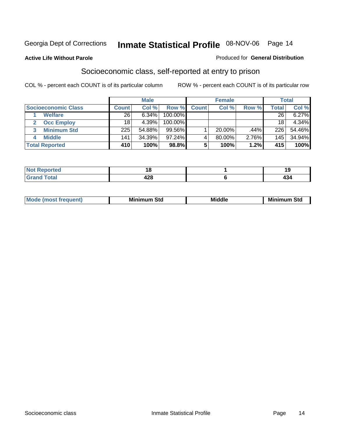#### **Active Life Without Parole**

#### Produced for **General Distribution**

#### Socioeconomic class, self-reported at entry to prison

|                            | <b>Male</b>  |        |           | <b>Female</b> |           |       | <b>Total</b> |        |
|----------------------------|--------------|--------|-----------|---------------|-----------|-------|--------------|--------|
| <b>Socioeconomic Class</b> | <b>Count</b> | Col %  | Row %     | <b>Count</b>  | Col %     | Row % | Total        | Col %  |
| <b>Welfare</b>             | 26           | 6.34%  | 100.00%   |               |           |       | 26           | 6.27%  |
| <b>Occ Employ</b>          | 18           | 4.39%  | 100.00%   |               |           |       | 18           | 4.34%  |
| <b>Minimum Std</b>         | 225          | 54.88% | 99.56%    |               | $20.00\%$ | .44%  | 226          | 54.46% |
| <b>Middle</b>              | 141          | 34.39% | $97.24\%$ |               | 80.00%    | 2.76% | 145          | 34.94% |
| <b>Total Reported</b>      | 410          | 100%   | 98.8%     |               | 100%      | 1.2%  | 415          | 100%   |

| the said the co<br>rreo              | יי        | ιu<br>. .  |
|--------------------------------------|-----------|------------|
| $C = 4$<br><b></b><br>νιαι<br>$\sim$ | 00<br>440 | . .<br>434 |

| M<br>Mir<br>Mi<br><b>Middle</b><br><b>C</b> ta<br>Sta<br>əτu<br>.<br>the contract of the contract of the contract of the contract of the contract of the contract of the contract of<br>___ |
|---------------------------------------------------------------------------------------------------------------------------------------------------------------------------------------------|
|---------------------------------------------------------------------------------------------------------------------------------------------------------------------------------------------|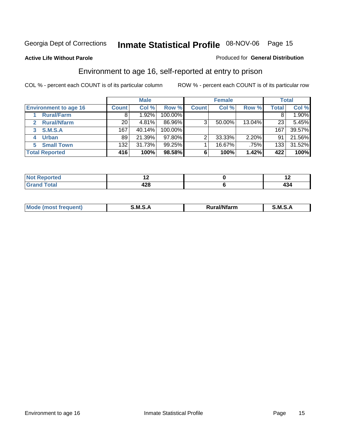**Active Life Without Parole** 

#### Produced for **General Distribution**

#### Environment to age 16, self-reported at entry to prison

|                              |              | <b>Male</b> |            |              | <b>Female</b> |        |              | <b>Total</b> |
|------------------------------|--------------|-------------|------------|--------------|---------------|--------|--------------|--------------|
| <b>Environment to age 16</b> | <b>Count</b> | Col %       | Row %      | <b>Count</b> | Col %         | Row %  | <b>Total</b> | Col %        |
| <b>Rural/Farm</b>            | 8            | .92%        | 100.00%    |              |               |        |              | 1.90%        |
| <b>Rural/Nfarm</b><br>2      | 20           | 4.81%       | 86.96%     | 3            | 50.00%        | 13.04% | 23           | 5.45%        |
| S.M.S.A<br>3                 | 167          | 40.14%      | $100.00\%$ |              |               |        | 167          | 39.57%       |
| <b>Urban</b>                 | 89           | 21.39%      | $97.80\%$  |              | 33.33%        | 2.20%  | 91           | 21.56%       |
| <b>Small Town</b><br>5.      | 132          | 31.73%      | $99.25\%$  |              | 16.67%        | .75%   | 133          | 31.52%       |
| <b>Total Reported</b>        | 416          | 100%        | 98.58%     | 6            | 100%          | 1.42%  | 422          | 100%         |

| Reported              | . . | . . |
|-----------------------|-----|-----|
| Not                   |     |     |
| <b>Total</b><br>Grand | 428 | 434 |

| Mo<br>м s<br>M<br>---<br>.<br>□……<br>rarr |  |  |
|-------------------------------------------|--|--|
|                                           |  |  |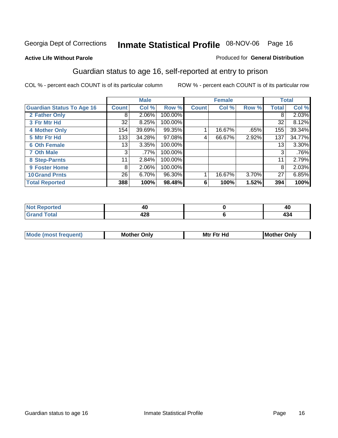#### **Active Life Without Parole**

#### Produced for **General Distribution**

#### Guardian status to age 16, self-reported at entry to prison

|                                  |              | <b>Male</b> |         |              | <b>Female</b> |       |              | <b>Total</b> |
|----------------------------------|--------------|-------------|---------|--------------|---------------|-------|--------------|--------------|
| <b>Guardian Status To Age 16</b> | <b>Count</b> | Col %       | Row %   | <b>Count</b> | Col %         | Row % | <b>Total</b> | Col %        |
| 2 Father Only                    | 8            | 2.06%       | 100.00% |              |               |       | 8            | 2.03%        |
| 3 Ftr Mtr Hd                     | 32           | 8.25%       | 100.00% |              |               |       | 32           | 8.12%        |
| <b>4 Mother Only</b>             | 154          | 39.69%      | 99.35%  |              | 16.67%        | .65%  | 155          | 39.34%       |
| 5 Mtr Ftr Hd                     | 133          | 34.28%      | 97.08%  | 4            | 66.67%        | 2.92% | 137          | 34.77%       |
| <b>6 Oth Female</b>              | 13           | 3.35%       | 100.00% |              |               |       | 13           | 3.30%        |
| <b>7 Oth Male</b>                | 3            | .77%        | 100.00% |              |               |       | 3            | .76%         |
| 8 Step-Parnts                    | 11           | 2.84%       | 100.00% |              |               |       | 11           | 2.79%        |
| 9 Foster Home                    | 8            | 2.06%       | 100.00% |              |               |       | 8            | 2.03%        |
| <b>10 Grand Prnts</b>            | 26           | 6.70%       | 96.30%  |              | 16.67%        | 3.70% | 27           | 6.85%        |
| <b>Total Reported</b>            | 388          | 100%        | 98.48%  | 6            | 100%          | 1.52% | 394          | 100%         |

|              | 40  |
|--------------|-----|
| --<br>$\sim$ | 405 |

| <b>Mou</b> | Mother<br>Onlv | Hd<br>Mtr<br>E4w | M<br>Only<br>. |
|------------|----------------|------------------|----------------|
|            |                |                  |                |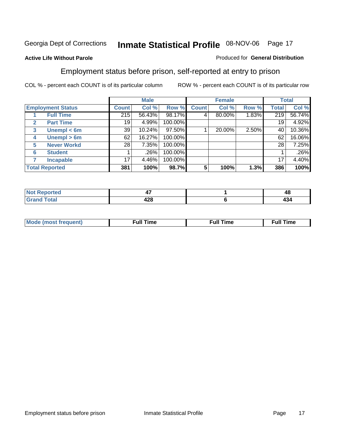#### **Active Life Without Parole**

#### Produced for **General Distribution**

#### Employment status before prison, self-reported at entry to prison

|              |                          |              | <b>Male</b> |         |              | <b>Female</b> |       |       | <b>Total</b> |
|--------------|--------------------------|--------------|-------------|---------|--------------|---------------|-------|-------|--------------|
|              | <b>Employment Status</b> | <b>Count</b> | Col %       | Row %   | <b>Count</b> | Col %         | Row % | Total | Col %        |
|              | <b>Full Time</b>         | 215          | 56.43%      | 98.17%  | 4            | 80.00%        | 1.83% | 219   | 56.74%       |
| $\mathbf{2}$ | <b>Part Time</b>         | 19           | 4.99%       | 100.00% |              |               |       | 19    | 4.92%        |
| 3            | Unempl $<$ 6m            | 39           | 10.24%      | 97.50%  |              | 20.00%        | 2.50% | 40    | 10.36%       |
| 4            | Unempl > 6m              | 62           | 16.27%      | 100.00% |              |               |       | 62    | 16.06%       |
| 5            | <b>Never Workd</b>       | 28           | 7.35%       | 100.00% |              |               |       | 28    | 7.25%        |
| 6            | <b>Student</b>           |              | .26%        | 100.00% |              |               |       |       | $.26\%$      |
|              | <b>Incapable</b>         | 17           | 4.46%       | 100.00% |              |               |       | 17    | 4.40%        |
|              | <b>Total Reported</b>    | 381          | 100%        | 98.7%   | 5            | 100%          | 1.3%  | 386   | 100%         |

| vet. | т,            | ◢<br>TU. |
|------|---------------|----------|
|      | $\sim$<br>440 | 494      |

| Mo | 'me<br>uн<br>the contract of the contract of the contract of the contract of the contract of the contract of the contract of the contract of the contract of the contract of the contract of the contract of the contract of the contract o | ïme<br>uı.<br>the contract of the contract of the contract of the contract of the contract of the contract of the contract of the contract of the contract of the contract of the contract of the contract of the contract of the contract o |
|----|---------------------------------------------------------------------------------------------------------------------------------------------------------------------------------------------------------------------------------------------|----------------------------------------------------------------------------------------------------------------------------------------------------------------------------------------------------------------------------------------------|
|    |                                                                                                                                                                                                                                             |                                                                                                                                                                                                                                              |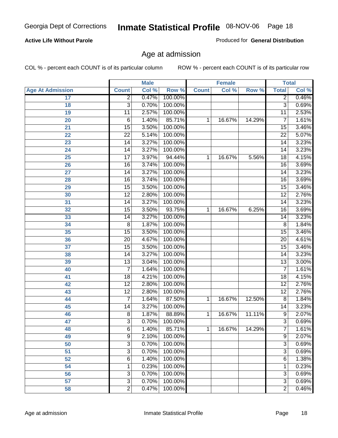#### **Active Life Without Parole**

Produced for **General Distribution**

#### Age at admission

|                         |                 | <b>Male</b> |         |              | <b>Female</b> |        | <b>Total</b>    |       |
|-------------------------|-----------------|-------------|---------|--------------|---------------|--------|-----------------|-------|
| <b>Age At Admission</b> | <b>Count</b>    | Col %       | Row %   | <b>Count</b> | Col %         | Row %  | <b>Total</b>    | Col % |
| 17                      | $\overline{2}$  | 0.47%       | 100.00% |              |               |        | 2               | 0.46% |
| 18                      | $\overline{3}$  | 0.70%       | 100.00% |              |               |        | $\overline{3}$  | 0.69% |
| 19                      | $\overline{11}$ | 2.57%       | 100.00% |              |               |        | $\overline{11}$ | 2.53% |
| 20                      | 6               | 1.40%       | 85.71%  | 1            | 16.67%        | 14.29% | 7               | 1.61% |
| 21                      | $\overline{15}$ | 3.50%       | 100.00% |              |               |        | 15              | 3.46% |
| 22                      | $\overline{22}$ | 5.14%       | 100.00% |              |               |        | $\overline{22}$ | 5.07% |
| 23                      | $\overline{14}$ | 3.27%       | 100.00% |              |               |        | $\overline{14}$ | 3.23% |
| 24                      | 14              | 3.27%       | 100.00% |              |               |        | 14              | 3.23% |
| 25                      | $\overline{17}$ | 3.97%       | 94.44%  | 1            | 16.67%        | 5.56%  | 18              | 4.15% |
| 26                      | 16              | 3.74%       | 100.00% |              |               |        | 16              | 3.69% |
| 27                      | $\overline{14}$ | 3.27%       | 100.00% |              |               |        | $\overline{14}$ | 3.23% |
| 28                      | $\overline{16}$ | 3.74%       | 100.00% |              |               |        | 16              | 3.69% |
| 29                      | $\overline{15}$ | 3.50%       | 100.00% |              |               |        | $\overline{15}$ | 3.46% |
| 30                      | $\overline{12}$ | 2.80%       | 100.00% |              |               |        | $\overline{12}$ | 2.76% |
| 31                      | $\overline{14}$ | 3.27%       | 100.00% |              |               |        | $\overline{14}$ | 3.23% |
| 32                      | 15              | 3.50%       | 93.75%  | 1            | 16.67%        | 6.25%  | 16              | 3.69% |
| 33                      | 14              | 3.27%       | 100.00% |              |               |        | 14              | 3.23% |
| 34                      | $\overline{8}$  | 1.87%       | 100.00% |              |               |        | 8               | 1.84% |
| 35                      | 15              | 3.50%       | 100.00% |              |               |        | 15              | 3.46% |
| 36                      | $\overline{20}$ | 4.67%       | 100.00% |              |               |        | $\overline{20}$ | 4.61% |
| 37                      | $\overline{15}$ | 3.50%       | 100.00% |              |               |        | $\overline{15}$ | 3.46% |
| 38                      | $\overline{14}$ | 3.27%       | 100.00% |              |               |        | 14              | 3.23% |
| 39                      | $\overline{13}$ | 3.04%       | 100.00% |              |               |        | $\overline{13}$ | 3.00% |
| 40                      | $\overline{7}$  | 1.64%       | 100.00% |              |               |        | 7               | 1.61% |
| 41                      | 18              | 4.21%       | 100.00% |              |               |        | 18              | 4.15% |
| 42                      | $\overline{12}$ | 2.80%       | 100.00% |              |               |        | $\overline{12}$ | 2.76% |
| 43                      | $\overline{12}$ | 2.80%       | 100.00% |              |               |        | $\overline{12}$ | 2.76% |
| 44                      | 7               | 1.64%       | 87.50%  | 1            | 16.67%        | 12.50% | 8               | 1.84% |
| 45                      | 14              | 3.27%       | 100.00% |              |               |        | 14              | 3.23% |
| 46                      | $\overline{8}$  | 1.87%       | 88.89%  | 1            | 16.67%        | 11.11% | $\overline{9}$  | 2.07% |
| 47                      | 3               | 0.70%       | 100.00% |              |               |        | $\overline{3}$  | 0.69% |
| 48                      | 6               | 1.40%       | 85.71%  | 1            | 16.67%        | 14.29% | <sup>'</sup>    | 1.61% |
| 49                      | 9               | 2.10%       | 100.00% |              |               |        | 9               | 2.07% |
| 50                      | 3               | 0.70%       | 100.00% |              |               |        | $\overline{3}$  | 0.69% |
| 51                      | 3               | 0.70%       | 100.00% |              |               |        | $\overline{3}$  | 0.69% |
| 52                      | 6               | 1.40%       | 100.00% |              |               |        | 6               | 1.38% |
| 54                      | 1               | 0.23%       | 100.00% |              |               |        | 1               | 0.23% |
| 56                      | 3               | 0.70%       | 100.00% |              |               |        | $\overline{3}$  | 0.69% |
| 57                      | $\overline{3}$  | 0.70%       | 100.00% |              |               |        | $\overline{3}$  | 0.69% |
| 58                      | $\overline{2}$  | 0.47%       | 100.00% |              |               |        | $\overline{2}$  | 0.46% |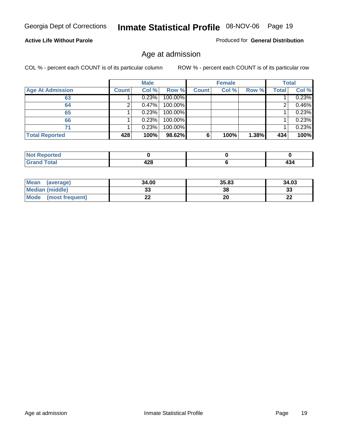#### **Active Life Without Parole**

Produced for **General Distribution**

#### Age at admission

|                         |              | <b>Male</b> |         |              | <b>Female</b> |       |              | <b>Total</b> |
|-------------------------|--------------|-------------|---------|--------------|---------------|-------|--------------|--------------|
| <b>Age At Admission</b> | <b>Count</b> | Col %       | Row %   | <b>Count</b> | Col %         | Row % | <b>Total</b> | Col %        |
| 63                      |              | 0.23%       | 100.00% |              |               |       |              | 0.23%        |
| 64                      |              | 0.47%       | 100.00% |              |               |       |              | 0.46%        |
| 65                      |              | 0.23%       | 100.00% |              |               |       |              | 0.23%        |
| 66                      |              | 0.23%       | 100.00% |              |               |       |              | 0.23%        |
| 71                      |              | 0.23%       | 100.00% |              |               |       |              | 0.23%        |
| <b>Total Reported</b>   | 428          | 100%        | 98.62%  | 6            | 100%          | 1.38% | 434          | 100%         |

| orted<br>N<br>. |     |                 |
|-----------------|-----|-----------------|
| <b>Cotal</b>    | 00  | $\overline{10}$ |
| _____           | −∠∪ | 434             |

| Mean<br>(average)              | 34.00 | 35.83 | 34.03   |
|--------------------------------|-------|-------|---------|
| <b>Median (middle)</b>         | JJ    | 38    | 33      |
| <b>Mode</b><br>(most frequent) |       | 20    | …<br>LL |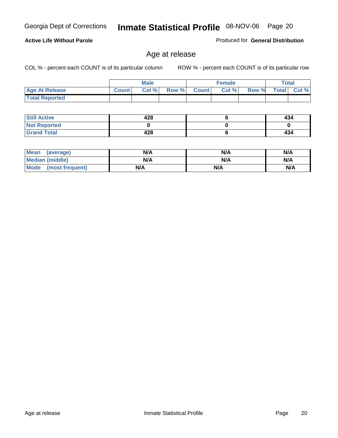#### **Active Life Without Parole**

Produced for **General Distribution**

#### Age at release

|                       |              | <b>Male</b> |       |              | <b>Female</b> |       | Total        |          |
|-----------------------|--------------|-------------|-------|--------------|---------------|-------|--------------|----------|
| <b>Age At Release</b> | <b>Count</b> | Col%        | Row % | <b>Count</b> | Col %         | Row % | <b>Total</b> | Col $\%$ |
| <b>Total Reported</b> |              |             |       |              |               |       |              |          |

| <b>Still Active</b> | 428 | 434 |
|---------------------|-----|-----|
| <b>Not Reported</b> |     |     |
| <b>Grand Total</b>  | 428 | 434 |

| Mean<br>(average)      | N/A | N/A | N/A |
|------------------------|-----|-----|-----|
| <b>Median (middle)</b> | N/A | N/A | N/A |
| Mode (most frequent)   | N/A | N/A | N/A |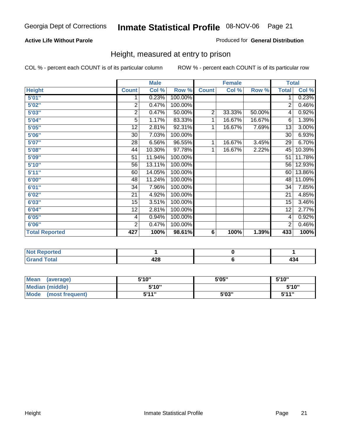#### **Active Life Without Parole**

#### Produced for **General Distribution**

#### Height, measured at entry to prison

|                       |                | <b>Male</b> |         |                | <b>Female</b> |        | <b>Total</b>    |        |
|-----------------------|----------------|-------------|---------|----------------|---------------|--------|-----------------|--------|
| <b>Height</b>         | <b>Count</b>   | Col %       | Row %   | <b>Count</b>   | Col %         | Row %  | <b>Total</b>    | Col %  |
| 5'01''                | 1              | 0.23%       | 100.00% |                |               |        | 1               | 0.23%  |
| 5'02"                 | $\overline{2}$ | 0.47%       | 100.00% |                |               |        | 2               | 0.46%  |
| 5'03"                 | 2              | 0.47%       | 50.00%  | $\overline{c}$ | 33.33%        | 50.00% | 4               | 0.92%  |
| 5'04"                 | 5              | 1.17%       | 83.33%  | 1              | 16.67%        | 16.67% | 6               | 1.39%  |
| 5'05"                 | 12             | 2.81%       | 92.31%  | 1              | 16.67%        | 7.69%  | 13              | 3.00%  |
| 5'06"                 | 30             | 7.03%       | 100.00% |                |               |        | $\overline{30}$ | 6.93%  |
| 5'07''                | 28             | 6.56%       | 96.55%  | 1              | 16.67%        | 3.45%  | 29              | 6.70%  |
| 5'08"                 | 44             | 10.30%      | 97.78%  | 1              | 16.67%        | 2.22%  | 45              | 10.39% |
| <b>5'09"</b>          | 51             | 11.94%      | 100.00% |                |               |        | 51              | 11.78% |
| 5'10''                | 56             | 13.11%      | 100.00% |                |               |        | 56              | 12.93% |
| 5'11''                | 60             | 14.05%      | 100.00% |                |               |        | 60              | 13.86% |
| 6'00"                 | 48             | 11.24%      | 100.00% |                |               |        | 48              | 11.09% |
| 6'01''                | 34             | 7.96%       | 100.00% |                |               |        | 34              | 7.85%  |
| 6'02''                | 21             | 4.92%       | 100.00% |                |               |        | 21              | 4.85%  |
| 6'03"                 | 15             | 3.51%       | 100.00% |                |               |        | 15              | 3.46%  |
| 6'04"                 | 12             | 2.81%       | 100.00% |                |               |        | 12              | 2.77%  |
| 6'05"                 | 4              | 0.94%       | 100.00% |                |               |        | 4               | 0.92%  |
| 6'06"                 | $\overline{2}$ | 0.47%       | 100.00% |                |               |        | $\overline{2}$  | 0.46%  |
| <b>Total Reported</b> | 427            | 100%        | 98.61%  | 6              | 100%          | 1.39%  | 433             | 100%   |

| oorted<br>N6<br>$\sim$           |     |     |
|----------------------------------|-----|-----|
| $int^{\bullet}$<br>---<br>______ | 428 | 404 |

| <b>Mean</b><br>(average)       | 5'10" | 5'05" | 5'10"             |
|--------------------------------|-------|-------|-------------------|
| Median (middle)                | 5'10" |       | 5'10"             |
| <b>Mode</b><br>(most frequent) | 5'11" | 5'03" | <b>5'44"</b><br>◡ |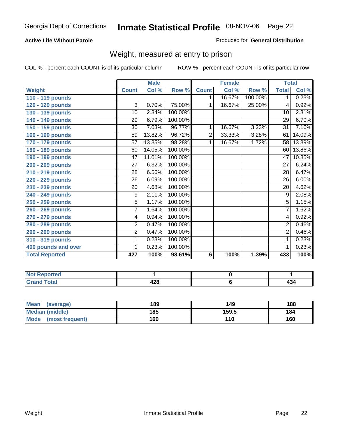#### **Active Life Without Parole**

#### Produced for **General Distribution**

#### Weight, measured at entry to prison

|                       |                | <b>Male</b>               |         |              | <b>Female</b> |         | <b>Total</b>    |        |
|-----------------------|----------------|---------------------------|---------|--------------|---------------|---------|-----------------|--------|
| <b>Weight</b>         | <b>Count</b>   | $\overline{\text{Col}}$ % | Row %   | <b>Count</b> | Col %         | Row %   | <b>Total</b>    | Col %  |
| 110 - 119 pounds      |                |                           |         | 1.           | 16.67%        | 100.00% | 1.              | 0.23%  |
| 120 - 129 pounds      | 3              | 0.70%                     | 75.00%  | 1            | 16.67%        | 25.00%  | 4               | 0.92%  |
| 130 - 139 pounds      | 10             | 2.34%                     | 100.00% |              |               |         | 10              | 2.31%  |
| 140 - 149 pounds      | 29             | 6.79%                     | 100.00% |              |               |         | $\overline{29}$ | 6.70%  |
| 150 - 159 pounds      | 30             | 7.03%                     | 96.77%  | 1            | 16.67%        | 3.23%   | $\overline{31}$ | 7.16%  |
| 160 - 169 pounds      | 59             | 13.82%                    | 96.72%  | 2            | 33.33%        | 3.28%   | 61              | 14.09% |
| 170 - 179 pounds      | 57             | 13.35%                    | 98.28%  | 1            | 16.67%        | 1.72%   | 58              | 13.39% |
| 180 - 189 pounds      | 60             | 14.05%                    | 100.00% |              |               |         | 60              | 13.86% |
| 190 - 199 pounds      | 47             | 11.01%                    | 100.00% |              |               |         | 47              | 10.85% |
| 200 - 209 pounds      | 27             | 6.32%                     | 100.00% |              |               |         | 27              | 6.24%  |
| 210 - 219 pounds      | 28             | 6.56%                     | 100.00% |              |               |         | 28              | 6.47%  |
| 220 - 229 pounds      | 26             | 6.09%                     | 100.00% |              |               |         | $\overline{26}$ | 6.00%  |
| 230 - 239 pounds      | 20             | 4.68%                     | 100.00% |              |               |         | 20              | 4.62%  |
| 240 - 249 pounds      | $\overline{9}$ | 2.11%                     | 100.00% |              |               |         | $\overline{9}$  | 2.08%  |
| 250 - 259 pounds      | $\overline{5}$ | 1.17%                     | 100.00% |              |               |         | $\overline{5}$  | 1.15%  |
| 260 - 269 pounds      | $\overline{7}$ | 1.64%                     | 100.00% |              |               |         | $\overline{7}$  | 1.62%  |
| 270 - 279 pounds      | 4              | 0.94%                     | 100.00% |              |               |         | 4               | 0.92%  |
| 280 - 289 pounds      | $\overline{2}$ | 0.47%                     | 100.00% |              |               |         | $\overline{2}$  | 0.46%  |
| 290 - 299 pounds      | $\overline{2}$ | 0.47%                     | 100.00% |              |               |         | $\overline{2}$  | 0.46%  |
| 310 - 319 pounds      | 1              | 0.23%                     | 100.00% |              |               |         | 1               | 0.23%  |
| 400 pounds and over   | 1              | 0.23%                     | 100.00% |              |               |         | 1               | 0.23%  |
| <b>Total Reported</b> | 427            | 100%                      | 98.61%  | 6            | 100%          | 1.39%   | 433             | 100%   |

| NO <sub>1</sub><br>wreo – |                              |     |
|---------------------------|------------------------------|-----|
| <b>otal</b><br>$\sim$     | ,00<br><b>TA-4</b><br>$\sim$ | 434 |

| Mean<br>(average)       | 189 | 149   | 188 |
|-------------------------|-----|-------|-----|
| Median (middle)         | 185 | 159.5 | 184 |
| Mode<br>(most frequent) | 160 | 110   | 160 |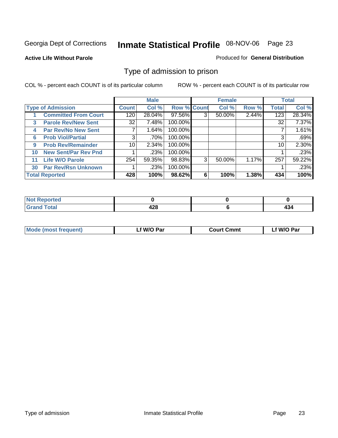#### **Active Life Without Parole**

#### Produced for **General Distribution**

#### Type of admission to prison

|    |                             |                 | <b>Male</b> |                    |   | <b>Female</b> |       |              | <b>Total</b> |
|----|-----------------------------|-----------------|-------------|--------------------|---|---------------|-------|--------------|--------------|
|    | <b>Type of Admission</b>    | <b>Count</b>    | Col %       | <b>Row % Count</b> |   | Col %         | Row % | <b>Total</b> | Col %        |
|    | <b>Committed From Court</b> | 120             | 28.04%      | 97.56%             | 3 | 50.00%        | 2.44% | 123          | 28.34%       |
| 3  | <b>Parole Rev/New Sent</b>  | 32              | 7.48%       | 100.00%            |   |               |       | 32           | 7.37%        |
| 4  | <b>Par Rev/No New Sent</b>  |                 | 1.64%       | 100.00%            |   |               |       |              | 1.61%        |
| 6  | <b>Prob Viol/Partial</b>    | 3               | .70%        | 100.00%            |   |               |       |              | .69%         |
| 9  | <b>Prob Rev/Remainder</b>   | 10 <sup>1</sup> | 2.34%       | 100.00%            |   |               |       | 10           | 2.30%        |
| 10 | <b>New Sent/Par Rev Pnd</b> |                 | .23%        | 100.00%            |   |               |       |              | .23%         |
| 11 | <b>Life W/O Parole</b>      | 254             | 59.35%      | 98.83%             | 3 | 50.00%        | 1.17% | 257          | 59.22%       |
| 30 | <b>Par Rev/Rsn Unknown</b>  |                 | .23%        | 100.00%            |   |               |       |              | .23%         |
|    | <b>Total Reported</b>       | 428             | 100%        | 98.62%             | 6 | 100%          | 1.38% | 434          | 100%         |

| <b>Reported</b><br>NOT           |           |            |
|----------------------------------|-----------|------------|
| <b>Total</b><br>C-rs<br>$\sim$ . | .<br>44 Y | . .<br>404 |

| <b>Mode (most frequent)</b> | <b>W/O Par</b> | <b>Court Cmmt</b> | M/O Par |
|-----------------------------|----------------|-------------------|---------|
|                             |                |                   |         |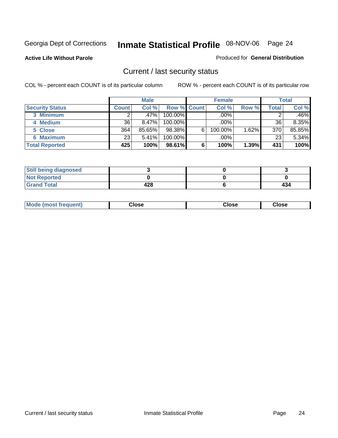**Active Life Without Parole** 

Produced for **General Distribution**

#### Current / last security status

|                        |              | <b>Male</b> |                    |   | <b>Female</b> |       |       | <b>Total</b> |
|------------------------|--------------|-------------|--------------------|---|---------------|-------|-------|--------------|
| <b>Security Status</b> | <b>Count</b> | Col %       | <b>Row % Count</b> |   | Col %         | Row % | Total | Col %        |
| 3 Minimum              |              | $.47\%$     | $100.00\%$         |   | .00%          |       |       | .46%         |
| 4 Medium               | 36           | 8.47%       | $100.00\%$         |   | .00%          |       | 36    | 8.35%        |
| 5 Close                | 364          | 85.65%      | 98.38%             | 6 | 100.00%       | 1.62% | 370   | 85.85%       |
| 6 Maximum              | 23           | 5.41%       | 100.00%            |   | .00%          |       | 23    | 5.34%        |
| <b>Total Reported</b>  | 425          | 100%        | 98.61%             | 6 | 100%          | 1.39% | 431   | 100%         |

| <b>Still being diagnosed</b> |     |     |
|------------------------------|-----|-----|
| <b>Not Reported</b>          |     |     |
| <b>Grand Total</b>           | 428 | 434 |

| <b>Mode</b><br><b>OSE</b><br>∵lose<br>(most frequent)<br>oseث<br>- - - -<br>- - - -<br>- - - - |  |
|------------------------------------------------------------------------------------------------|--|
|------------------------------------------------------------------------------------------------|--|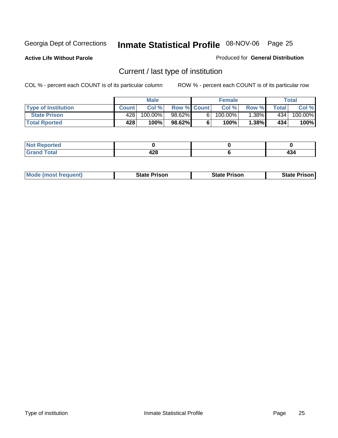**Active Life Without Parole** 

Produced for **General Distribution**

### Current / last type of institution

|                            |              | <b>Male</b> |                    |    | <b>Female</b> |          |         | Total   |
|----------------------------|--------------|-------------|--------------------|----|---------------|----------|---------|---------|
| <b>Type of Institution</b> | <b>Count</b> | Col%        | <b>Row % Count</b> |    | Col%          | Row %    | Total i | Col %   |
| <b>State Prison</b>        | 428          | 100.00%     | 98.62%             | 61 | $100.00\%$    | .38%     | 434     | 100.00% |
| <b>Total Rported</b>       | 428          | 100%        | 98.62%             |    | 100%          | $1.38\%$ | 434     | 100%    |

| <b>rted</b><br>$\sim$ |                    |     |
|-----------------------|--------------------|-----|
| $\sim$<br>$\sim$      | ,<br>---<br>$\sim$ | $-$ |

|  | <b>Mode (most frequent)</b> | State Prison | <b>State Prison</b> | <b>State Prison</b> |
|--|-----------------------------|--------------|---------------------|---------------------|
|--|-----------------------------|--------------|---------------------|---------------------|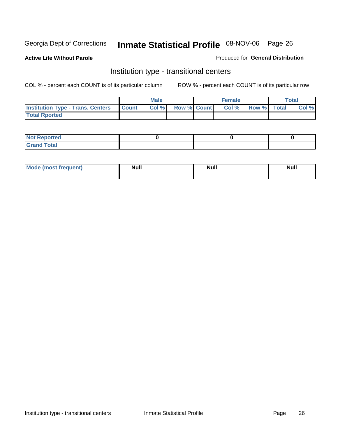**Active Life Without Parole** 

Produced for **General Distribution**

#### Institution type - transitional centers

|                                                | <b>Male</b> |                    | <b>Female</b> |             | Total |
|------------------------------------------------|-------------|--------------------|---------------|-------------|-------|
| <b>Institution Type - Trans. Centers Count</b> | Col %       | <b>Row % Count</b> | Col %         | Row % Total | Col % |
| <b>Total Rported</b>                           |             |                    |               |             |       |

| <b>Not Reported</b>  |  |  |
|----------------------|--|--|
| <b>Total</b><br>Cror |  |  |

| Mode (most frequent) | <b>Null</b> | <b>Null</b> | <b>Null</b> |
|----------------------|-------------|-------------|-------------|
|                      |             |             |             |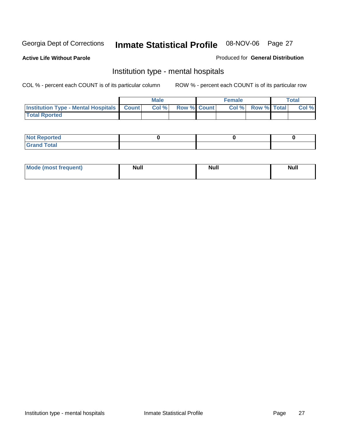**Active Life Without Parole** 

Produced for **General Distribution**

#### Institution type - mental hospitals

|                                                  | <b>Male</b> |                    | <b>Female</b> |                          | <b>Total</b> |
|--------------------------------------------------|-------------|--------------------|---------------|--------------------------|--------------|
| <b>Institution Type - Mental Hospitals Count</b> | Col%        | <b>Row % Count</b> |               | <b>Col % Row % Total</b> | Col %        |
| <b>Total Rported</b>                             |             |                    |               |                          |              |

| <b>Not Reported</b> |  |  |
|---------------------|--|--|
| <b>Fotal</b><br>Cro |  |  |

| Mode (most frequent) | <b>Null</b> | <b>Null</b> | <b>Null</b> |
|----------------------|-------------|-------------|-------------|
|                      |             |             |             |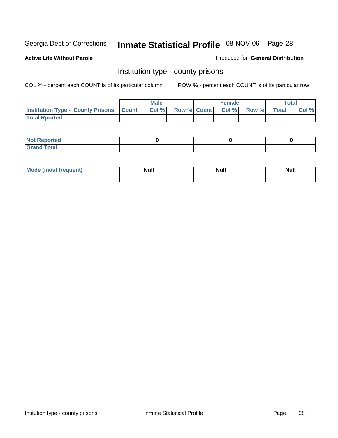**Active Life Without Parole** 

Produced for **General Distribution**

#### Institution type - county prisons

|                                                    | <b>Male</b> |                          | <b>Female</b> |       |       | Total |
|----------------------------------------------------|-------------|--------------------------|---------------|-------|-------|-------|
| <b>Institution Type - County Prisons   Count  </b> | Col %       | <b>Row % Count Col %</b> |               | Row % | Total | Col % |
| <b>Total Rported</b>                               |             |                          |               |       |       |       |

| <b>Not</b><br><b>Reported</b> |  |  |
|-------------------------------|--|--|
| <b>Grand Total</b>            |  |  |

| <b>Mo</b><br>frequent) | NI. . II<br>1u 11 | <b>Moll</b> | <b>Null</b> |
|------------------------|-------------------|-------------|-------------|
|                        |                   |             |             |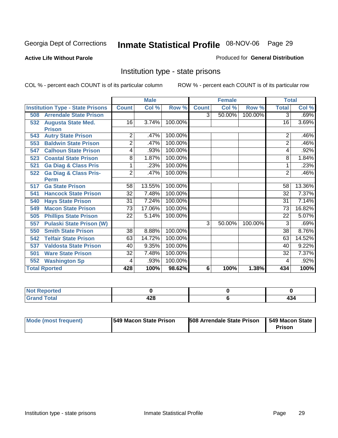#### **Active Life Without Parole**

#### Produced for **General Distribution**

#### Institution type - state prisons

|                                         |                 | <b>Male</b> |         |              | <b>Female</b> |         | <b>Total</b>    |        |
|-----------------------------------------|-----------------|-------------|---------|--------------|---------------|---------|-----------------|--------|
| <b>Institution Type - State Prisons</b> | <b>Count</b>    | Col %       | Row %   | <b>Count</b> | Col %         | Row %   | <b>Total</b>    | Col %  |
| <b>Arrendale State Prison</b><br>508    |                 |             |         | 3            | 50.00%        | 100.00% | 3               | .69%   |
| <b>Augusta State Med.</b><br>532        | 16              | 3.74%       | 100.00% |              |               |         | 16              | 3.69%  |
| <b>Prison</b>                           |                 |             |         |              |               |         |                 |        |
| <b>Autry State Prison</b><br>543        | 2               | .47%        | 100.00% |              |               |         | 2               | .46%   |
| 553<br><b>Baldwin State Prison</b>      | $\overline{2}$  | .47%        | 100.00% |              |               |         | $\overline{2}$  | .46%   |
| <b>Calhoun State Prison</b><br>547      | 4               | .93%        | 100.00% |              |               |         | 4               | .92%   |
| <b>Coastal State Prison</b><br>523      | 8               | 1.87%       | 100.00% |              |               |         | 8               | 1.84%  |
| <b>Ga Diag &amp; Class Pris</b><br>521  | 1               | .23%        | 100.00% |              |               |         | 1               | .23%   |
| <b>Ga Diag &amp; Class Pris-</b><br>522 | $\overline{2}$  | .47%        | 100.00% |              |               |         | $\overline{2}$  | .46%   |
| <b>Perm</b>                             |                 |             |         |              |               |         |                 |        |
| <b>Ga State Prison</b><br>517           | 58              | 13.55%      | 100.00% |              |               |         | 58              | 13.36% |
| <b>Hancock State Prison</b><br>541      | $\overline{32}$ | 7.48%       | 100.00% |              |               |         | 32              | 7.37%  |
| <b>Hays State Prison</b><br>540         | $\overline{31}$ | 7.24%       | 100.00% |              |               |         | 31              | 7.14%  |
| <b>Macon State Prison</b><br>549        | 73              | 17.06%      | 100.00% |              |               |         | 73              | 16.82% |
| <b>Phillips State Prison</b><br>505     | $\overline{22}$ | 5.14%       | 100.00% |              |               |         | 22              | 5.07%  |
| <b>Pulaski State Prison (W)</b><br>557  |                 |             |         | 3            | 50.00%        | 100.00% | 3               | .69%   |
| <b>Smith State Prison</b><br>550        | 38              | 8.88%       | 100.00% |              |               |         | $\overline{38}$ | 8.76%  |
| <b>Telfair State Prison</b><br>542      | 63              | 14.72%      | 100.00% |              |               |         | 63              | 14.52% |
| <b>Valdosta State Prison</b><br>537     | 40              | 9.35%       | 100.00% |              |               |         | 40              | 9.22%  |
| <b>Ware State Prison</b><br>501         | $\overline{32}$ | 7.48%       | 100.00% |              |               |         | $\overline{32}$ | 7.37%  |
| <b>Washington Sp</b><br>552             | 4               | .93%        | 100.00% |              |               |         | 4               | .92%   |
| <b>Total Rported</b>                    | 428             | 100%        | 98.62%  | 6            | 100%          | 1.38%   | 434             | 100%   |

| <b>rted</b><br>N |     |                      |
|------------------|-----|----------------------|
| $f$ oto $f$      | 400 | $\ddot{\phantom{1}}$ |
| _____            | 440 | 494                  |

| Mode (most frequent) | 1549 Macon State Prison | <b>508 Arrendale State Prison</b> | 1549 Macon State<br>Prison |
|----------------------|-------------------------|-----------------------------------|----------------------------|
|----------------------|-------------------------|-----------------------------------|----------------------------|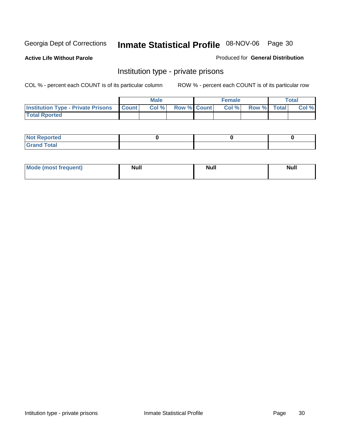**Active Life Without Parole** 

Produced for **General Distribution**

#### Institution type - private prisons

|                                                     | <b>Male</b> |                    | <b>Female</b> |             | <b>Total</b> |
|-----------------------------------------------------|-------------|--------------------|---------------|-------------|--------------|
| <b>Institution Type - Private Prisons   Count  </b> | Col %       | <b>Row % Count</b> | Col %         | Row % Total | Col %        |
| <b>Total Rported</b>                                |             |                    |               |             |              |

| <b>Not Reported</b> |  |  |
|---------------------|--|--|
| <b>otal</b><br>r.   |  |  |

| Mode (most frequent) | <b>Null</b> | <b>Null</b> | <b>Null</b> |
|----------------------|-------------|-------------|-------------|
|                      |             |             |             |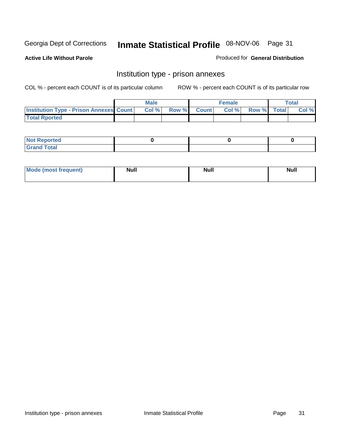**Active Life Without Parole** 

Produced for **General Distribution**

#### Institution type - prison annexes

|                                                | <b>Male</b> |              |                | <b>Female</b> |             | <b>Total</b> |
|------------------------------------------------|-------------|--------------|----------------|---------------|-------------|--------------|
| <b>Institution Type - Prison Annexes Count</b> | Col%        | <b>Row %</b> | <b>Count</b> Ⅰ | Col%          | Row % Total | Col %        |
| <b>Total Rported</b>                           |             |              |                |               |             |              |

| <b>Not Reported</b>            |  |  |
|--------------------------------|--|--|
| <b>Total</b><br>Croi<br>$\sim$ |  |  |

| Mode (most frequent) | <b>Null</b> | <b>Null</b><br>_____ | <b>Null</b> |
|----------------------|-------------|----------------------|-------------|
|                      |             |                      |             |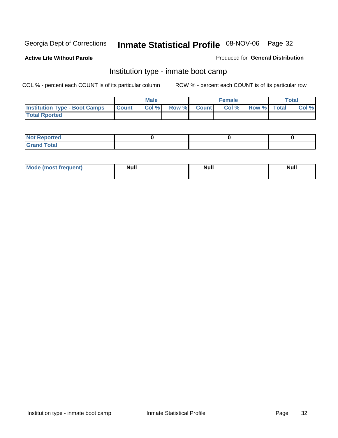**Active Life Without Parole** 

Produced for **General Distribution**

#### Institution type - inmate boot camp

|                                      |              | <b>Male</b> |                    | <b>Female</b> |             | <b>Total</b> |
|--------------------------------------|--------------|-------------|--------------------|---------------|-------------|--------------|
| <b>Institution Type - Boot Camps</b> | <b>Count</b> | Col %       | <b>Row % Count</b> | Col%          | Row % Total | Col %        |
| <b>Total Rported</b>                 |              |             |                    |               |             |              |

| <b>Not Reported</b>  |  |  |
|----------------------|--|--|
| <b>Total</b><br>Croy |  |  |

| Mode (most frequent) | <b>Null</b> | <b>Null</b> | <b>Null</b> |
|----------------------|-------------|-------------|-------------|
|                      |             |             |             |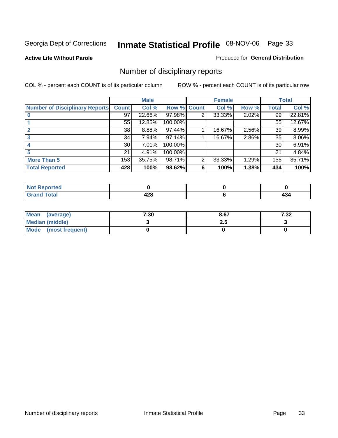**Active Life Without Parole** 

Produced for **General Distribution**

### Number of disciplinary reports

|                                       |                 | <b>Male</b> |             |   | <b>Female</b> |       |              | <b>Total</b> |
|---------------------------------------|-----------------|-------------|-------------|---|---------------|-------|--------------|--------------|
| <b>Number of Disciplinary Reports</b> | <b>Count</b>    | Col %       | Row % Count |   | Col %         | Row % | <b>Total</b> | Col %        |
|                                       | 97              | 22.66%      | 97.98%      | 2 | 33.33%        | 2.02% | 99           | 22.81%       |
|                                       | 55              | 12.85%      | 100.00%     |   |               |       | 55           | 12.67%       |
| 2                                     | 38              | 8.88%       | 97.44%      |   | 16.67%        | 2.56% | 39           | 8.99%        |
| 3                                     | 34              | 7.94%       | 97.14%      |   | 16.67%        | 2.86% | 35           | $8.06\%$     |
|                                       | 30 <sup>1</sup> | 7.01%       | 100.00%     |   |               |       | 30           | 6.91%        |
| 5                                     | 21              | 4.91%       | 100.00%     |   |               |       | 21           | 4.84%        |
| <b>More Than 5</b>                    | 153             | 35.75%      | 98.71%      | 2 | 33.33%        | 1.29% | 155          | 35.71%       |
| <b>Total Reported</b>                 | 428             | 100%        | 98.62%      | 6 | 100%          | 1.38% | 434          | 100%         |

| .<br>N<br>чес |                    |             |
|---------------|--------------------|-------------|
| $T$ ntori     | .<br>---<br>$\sim$ | . ა⊶<br>$-$ |

| Mean<br>(average)      | 7.30 | 8.67 | ר כ<br>ـ∡ت. ≀ |
|------------------------|------|------|---------------|
| <b>Median (middle)</b> |      | 2.J  |               |
| Mode (most frequent)   |      |      |               |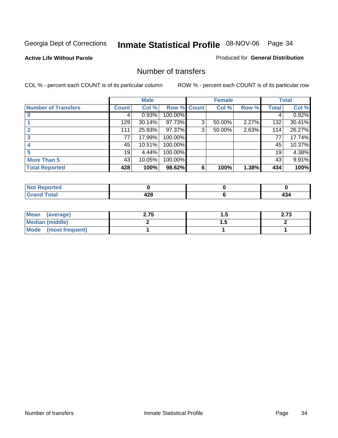#### **Active Life Without Parole**

#### Produced for **General Distribution**

#### Number of transfers

|                            |         | <b>Male</b> |         |              | <b>Female</b> |       |              | <b>Total</b> |
|----------------------------|---------|-------------|---------|--------------|---------------|-------|--------------|--------------|
| <b>Number of Transfers</b> | Count l | Col %       | Row %   | <b>Count</b> | Col %         | Row % | <b>Total</b> | Col %        |
|                            | 4       | 0.93%       | 100.00% |              |               |       | 4            | 0.92%        |
|                            | 129     | 30.14%      | 97.73%  | 3            | 50.00%        | 2.27% | 132          | 30.41%       |
|                            | 111     | 25.93%      | 97.37%  | 3            | 50.00%        | 2.63% | 114          | 26.27%       |
|                            | 77      | 17.99%      | 100.00% |              |               |       | 77           | 17.74%       |
|                            | 45      | 10.51%      | 100.00% |              |               |       | 45           | 10.37%       |
|                            | 19      | 4.44%       | 100.00% |              |               |       | 19           | 4.38%        |
| <b>More Than 5</b>         | 43      | 10.05%      | 100.00% |              |               |       | 43           | 9.91%        |
| <b>Total Reported</b>      | 428     | 100%        | 98.62%  | 6            | 100%          | 1.38% | 434          | 100%         |

| <b><i><u>A</u></i></b> <i>a a</i><br>N<br>тео |     |     |
|-----------------------------------------------|-----|-----|
| T <sub>1</sub>                                | ספו | 17  |
|                                               | ™   | $-$ |

| Mean (average)       | 2.75 | . . | 22<br>2.IJ |
|----------------------|------|-----|------------|
| Median (middle)      |      | .   |            |
| Mode (most frequent) |      |     |            |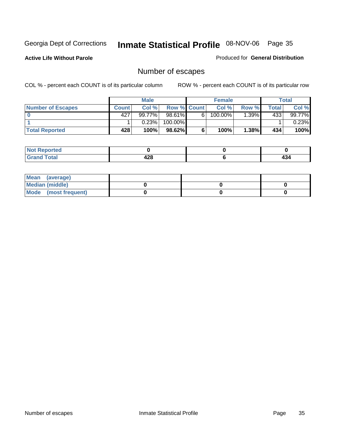**Active Life Without Parole** 

Produced for **General Distribution**

### Number of escapes

|                          |              | <b>Male</b> |                    |    | <b>Female</b> |          |       | <b>Total</b> |
|--------------------------|--------------|-------------|--------------------|----|---------------|----------|-------|--------------|
| <b>Number of Escapes</b> | <b>Count</b> | Col %       | <b>Row % Count</b> |    | Col %         | Row %I   | Total | Col %        |
|                          | 427          | 99.77%      | 98.61%             | 6. | 100.00%       | $.39\%$  | 433'  | 99.77%       |
|                          |              | 0.23%       | 100.00%            |    |               |          |       | 0.23%        |
| <b>Total Reported</b>    | 428          | 100%        | 98.62%             |    | 100%          | $1.38\%$ | 434   | 100%         |

| المتحافظ<br>rteol     |            |     |
|-----------------------|------------|-----|
| <b>otal</b><br>ulallu | And<br>440 | 494 |

| Mean (average)       |  |  |
|----------------------|--|--|
| Median (middle)      |  |  |
| Mode (most frequent) |  |  |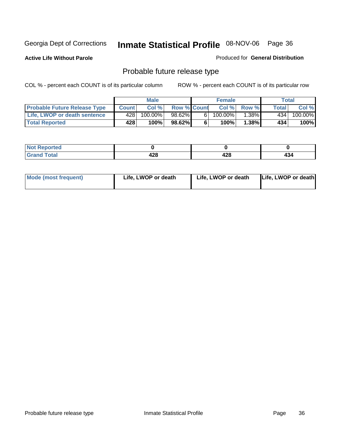**Active Life Without Parole** 

Produced for **General Distribution**

### Probable future release type

|                                     |              | <b>Male</b> |                    |   | <b>Female</b> |          |       | Total   |
|-------------------------------------|--------------|-------------|--------------------|---|---------------|----------|-------|---------|
| <b>Probable Future Release Type</b> | <b>Count</b> | Col%        | <b>Row % Count</b> |   | Col %         | Row %    | Total | Col %   |
| Life, LWOP or death sentence        | 428          | 100.00%।    | 98.62%             | 6 | 100.00%       | $1.38\%$ | 434   | 100.00% |
| <b>Total Reported</b>               | 428          | 100%        | 98.62%             | 6 | 100%          | $1.38\%$ | 434   | 100%    |

| Reported<br>NOI |     |       |     |
|-----------------|-----|-------|-----|
| Total           | 0 מ | 0 ^ ۱ | 434 |
| ------          | 440 | 420   |     |

| <b>Mode (most frequent)</b> | Life, LWOP or death | Life, LWOP or death | Life, LWOP or death |
|-----------------------------|---------------------|---------------------|---------------------|
|-----------------------------|---------------------|---------------------|---------------------|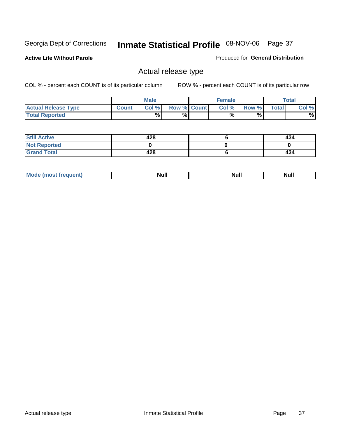**Active Life Without Parole** 

Produced for **General Distribution**

### Actual release type

|                            |              | <b>Male</b> |                    | <b>Female</b> |       |              | Total |
|----------------------------|--------------|-------------|--------------------|---------------|-------|--------------|-------|
| <b>Actual Release Type</b> | <b>Count</b> | Col %       | <b>Row % Count</b> | Col %         | Row % | <b>Total</b> | Col % |
| <b>Total Reported</b>      |              | $\%$        | %                  | %             | %     |              | %     |

| <b>Still Active</b> | 428 | 434 |
|---------------------|-----|-----|
| <b>Not Reported</b> |     |     |
| <b>Grand Total</b>  | 428 | 434 |

| . . | . |  |
|-----|---|--|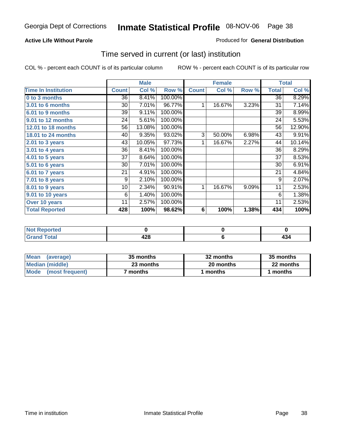### **Active Life Without Parole**

#### Produced for **General Distribution**

### Time served in current (or last) institution

|                            |              | <b>Male</b> |         |                 | <b>Female</b> |       |              | <b>Total</b> |
|----------------------------|--------------|-------------|---------|-----------------|---------------|-------|--------------|--------------|
| <b>Time In Institution</b> | <b>Count</b> | Col %       | Row %   | <b>Count</b>    | Col %         | Row % | <b>Total</b> | Col %        |
| 0 to 3 months              | 36           | 8.41%       | 100.00% |                 |               |       | 36           | 8.29%        |
| <b>3.01 to 6 months</b>    | 30           | 7.01%       | 96.77%  | 1               | 16.67%        | 3.23% | 31           | 7.14%        |
| 6.01 to 9 months           | 39           | 9.11%       | 100.00% |                 |               |       | 39           | 8.99%        |
| 9.01 to 12 months          | 24           | 5.61%       | 100.00% |                 |               |       | 24           | 5.53%        |
| 12.01 to 18 months         | 56           | 13.08%      | 100.00% |                 |               |       | 56           | 12.90%       |
| 18.01 to 24 months         | 40           | 9.35%       | 93.02%  | 3               | 50.00%        | 6.98% | 43           | 9.91%        |
| 2.01 to 3 years            | 43           | 10.05%      | 97.73%  | 1               | 16.67%        | 2.27% | 44           | 10.14%       |
| 3.01 to 4 years            | 36           | 8.41%       | 100.00% |                 |               |       | 36           | 8.29%        |
| 4.01 to 5 years            | 37           | 8.64%       | 100.00% |                 |               |       | 37           | 8.53%        |
| 5.01 to 6 years            | 30           | 7.01%       | 100.00% |                 |               |       | 30           | 6.91%        |
| 6.01 to 7 years            | 21           | 4.91%       | 100.00% |                 |               |       | 21           | 4.84%        |
| $7.01$ to 8 years          | 9            | 2.10%       | 100.00% |                 |               |       | 9            | 2.07%        |
| 8.01 to 9 years            | 10           | 2.34%       | 90.91%  | 1               | 16.67%        | 9.09% | 11           | 2.53%        |
| 9.01 to 10 years           | 6            | 1.40%       | 100.00% |                 |               |       | 6            | 1.38%        |
| Over 10 years              | 11           | 2.57%       | 100.00% |                 |               |       | 11           | 2.53%        |
| <b>Total Reported</b>      | 428          | 100%        | 98.62%  | $6\phantom{1}6$ | 100%          | 1.38% | 434          | 100%         |

| <b>eported</b><br>NOT. |            |       |
|------------------------|------------|-------|
| <b>Total</b>           | 170<br>440 | - - - |

| <b>Mean</b><br>(average) | 35 months | 32 months | 35 months |
|--------------------------|-----------|-----------|-----------|
| Median (middle)          | 23 months | 20 months | 22 months |
| Mode<br>(most frequent)  | months    | ∣ months  | months    |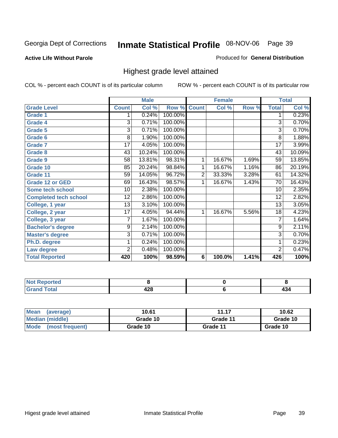**Active Life Without Parole** 

Produced for **General Distribution**

### Highest grade level attained

|                              |                | <b>Male</b> |         |                | <b>Female</b> |       |                 | <b>Total</b> |
|------------------------------|----------------|-------------|---------|----------------|---------------|-------|-----------------|--------------|
| <b>Grade Level</b>           | <b>Count</b>   | Col %       | Row %   | <b>Count</b>   | Col %         | Row % | <b>Total</b>    | Col %        |
| <b>Grade 1</b>               | 1              | 0.24%       | 100.00% |                |               |       | 1               | 0.23%        |
| <b>Grade 4</b>               | 3              | 0.71%       | 100.00% |                |               |       | 3               | 0.70%        |
| Grade 5                      | 3              | 0.71%       | 100.00% |                |               |       | 3               | 0.70%        |
| Grade 6                      | 8              | 1.90%       | 100.00% |                |               |       | 8               | 1.88%        |
| <b>Grade 7</b>               | 17             | 4.05%       | 100.00% |                |               |       | $\overline{17}$ | 3.99%        |
| Grade 8                      | 43             | 10.24%      | 100.00% |                |               |       | 43              | 10.09%       |
| <b>Grade 9</b>               | 58             | 13.81%      | 98.31%  | 1              | 16.67%        | 1.69% | 59              | 13.85%       |
| Grade 10                     | 85             | 20.24%      | 98.84%  | 1              | 16.67%        | 1.16% | 86              | 20.19%       |
| Grade 11                     | 59             | 14.05%      | 96.72%  | $\overline{2}$ | 33.33%        | 3.28% | 61              | 14.32%       |
| <b>Grade 12 or GED</b>       | 69             | 16.43%      | 98.57%  | 1              | 16.67%        | 1.43% | 70              | 16.43%       |
| <b>Some tech school</b>      | 10             | 2.38%       | 100.00% |                |               |       | 10              | 2.35%        |
| <b>Completed tech school</b> | 12             | 2.86%       | 100.00% |                |               |       | 12              | 2.82%        |
| College, 1 year              | 13             | 3.10%       | 100.00% |                |               |       | 13              | 3.05%        |
| College, 2 year              | 17             | 4.05%       | 94.44%  | 1              | 16.67%        | 5.56% | 18              | 4.23%        |
| College, 3 year              | 7              | 1.67%       | 100.00% |                |               |       | 7               | 1.64%        |
| <b>Bachelor's degree</b>     | 9              | 2.14%       | 100.00% |                |               |       | 9               | 2.11%        |
| <b>Master's degree</b>       | 3              | 0.71%       | 100.00% |                |               |       | $\overline{3}$  | 0.70%        |
| Ph.D. degree                 | 1              | 0.24%       | 100.00% |                |               |       | 1               | 0.23%        |
| Law degree                   | $\overline{2}$ | 0.48%       | 100.00% |                |               |       | $\overline{2}$  | 0.47%        |
| <b>Total Reported</b>        | 420            | 100%        | 98.59%  | 6              | 100.0%        | 1.41% | 426             | 100%         |

| i Alba<br><b>Constitution and</b><br>rtea<br>NI.<br>. |            |                    |
|-------------------------------------------------------|------------|--------------------|
| Total<br><b></b><br>-                                 | ההו<br>440 | - -<br><b>TU-1</b> |

| <b>Mean</b><br>(average) | 10.61    | 11.17    | 10.62    |
|--------------------------|----------|----------|----------|
| Median (middle)          | Grade 10 | Grade 11 | Grade 10 |
| Mode<br>(most frequent)  | Grade 10 | Grade 11 | Grade 10 |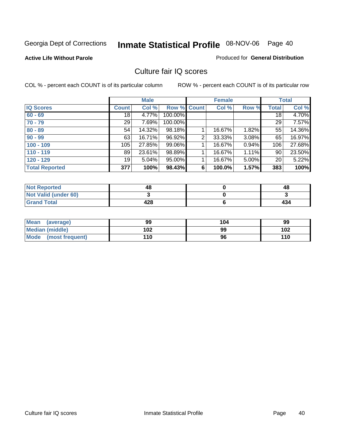#### **Active Life Without Parole**

#### Produced for **General Distribution**

### Culture fair IQ scores

|                       |                 | <b>Male</b> |             |                | <b>Female</b> |       |              | <b>Total</b> |
|-----------------------|-----------------|-------------|-------------|----------------|---------------|-------|--------------|--------------|
| <b>IQ Scores</b>      | <b>Count</b>    | Col %       | Row % Count |                | Col %         | Row % | <b>Total</b> | Col %        |
| $60 - 69$             | 18 <sup>1</sup> | 4.77%       | 100.00%     |                |               |       | 18           | 4.70%        |
| $70 - 79$             | 29              | 7.69%       | 100.00%     |                |               |       | 29           | 7.57%        |
| $80 - 89$             | 54              | 14.32%      | 98.18%      |                | 16.67%        | 1.82% | 55           | 14.36%       |
| $90 - 99$             | 63              | 16.71%      | 96.92%      | $\overline{2}$ | 33.33%        | 3.08% | 65           | 16.97%       |
| $100 - 109$           | 105             | 27.85%      | 99.06%      |                | 16.67%        | 0.94% | 106          | 27.68%       |
| $110 - 119$           | 89              | 23.61%      | 98.89%      |                | 16.67%        | 1.11% | 90           | 23.50%       |
| $120 - 129$           | 19              | 5.04%       | 95.00%      |                | 16.67%        | 5.00% | 20           | 5.22%        |
| <b>Total Reported</b> | 377             | 100%        | 98.43%      | 6              | 100.0%        | 1.57% | 383          | 100%         |

| <b>Not Reported</b>         | 48  | 48  |
|-----------------------------|-----|-----|
| <b>Not Valid (under 60)</b> |     |     |
| <b>Grand Total</b>          | 428 | 434 |

| <b>Mean</b><br>(average)       | 99  | 104 | 99  |
|--------------------------------|-----|-----|-----|
| Median (middle)                | 102 | 99  | 102 |
| <b>Mode</b><br>(most frequent) | 110 | 96  | 110 |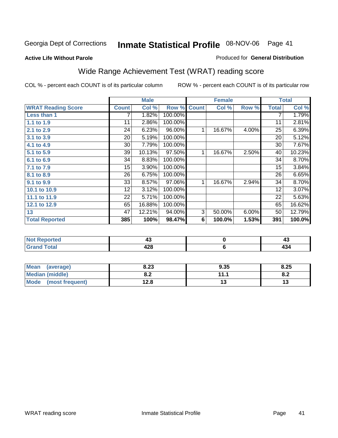#### **Active Life Without Parole**

#### Produced for **General Distribution**

# Wide Range Achievement Test (WRAT) reading score

|                           |              | <b>Male</b> |         |              | <b>Female</b> |       |              | <b>Total</b> |
|---------------------------|--------------|-------------|---------|--------------|---------------|-------|--------------|--------------|
| <b>WRAT Reading Score</b> | <b>Count</b> | Col %       | Row %   | <b>Count</b> | Col %         | Row % | <b>Total</b> | Col %        |
| Less than 1               | 7            | 1.82%       | 100.00% |              |               |       | 7            | 1.79%        |
| 1.1 to 1.9                | 11           | 2.86%       | 100.00% |              |               |       | 11           | 2.81%        |
| 2.1 to 2.9                | 24           | 6.23%       | 96.00%  | $\mathbf{1}$ | 16.67%        | 4.00% | 25           | 6.39%        |
| 3.1 to 3.9                | 20           | 5.19%       | 100.00% |              |               |       | 20           | 5.12%        |
| 4.1 to 4.9                | 30           | 7.79%       | 100.00% |              |               |       | 30           | 7.67%        |
| 5.1 to 5.9                | 39           | 10.13%      | 97.50%  | 1            | 16.67%        | 2.50% | 40           | 10.23%       |
| 6.1 to 6.9                | 34           | 8.83%       | 100.00% |              |               |       | 34           | 8.70%        |
| 7.1 to 7.9                | 15           | 3.90%       | 100.00% |              |               |       | 15           | 3.84%        |
| 8.1 to 8.9                | 26           | 6.75%       | 100.00% |              |               |       | 26           | 6.65%        |
| 9.1 to 9.9                | 33           | 8.57%       | 97.06%  | 1            | 16.67%        | 2.94% | 34           | 8.70%        |
| 10.1 to 10.9              | 12           | 3.12%       | 100.00% |              |               |       | 12           | 3.07%        |
| 11.1 to 11.9              | 22           | 5.71%       | 100.00% |              |               |       | 22           | 5.63%        |
| 12.1 to 12.9              | 65           | 16.88%      | 100.00% |              |               |       | 65           | 16.62%       |
| 13                        | 47           | 12.21%      | 94.00%  | 3            | 50.00%        | 6.00% | 50           | 12.79%       |
| <b>Total Reported</b>     | 385          | 100%        | 98.47%  | 6            | 100.0%        | 1.53% | 391          | 100.0%       |
|                           |              |             |         |              |               |       |              |              |
| <b>Not Reported</b>       |              | 43          |         |              | $\pmb{0}$     |       |              | 43           |
| <b>Grand Total</b>        |              | 428         |         |              | $\bf 6$       |       |              | 434          |

| <b>Mean</b><br>(average)       | 8.23 | 9.35 | 8.25 |
|--------------------------------|------|------|------|
| <b>Median (middle)</b>         | U.Z  | .    | o.z  |
| <b>Mode</b><br>(most frequent) | 12.8 |      | 17   |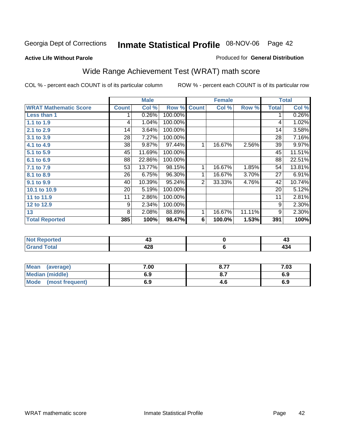#### **Active Life Without Parole**

#### Produced for **General Distribution**

# Wide Range Achievement Test (WRAT) math score

|                              |              | <b>Male</b>    |         |                | <b>Female</b> |        |              | <b>Total</b>   |
|------------------------------|--------------|----------------|---------|----------------|---------------|--------|--------------|----------------|
| <b>WRAT Mathematic Score</b> | <b>Count</b> | Col %          | Row %   | <b>Count</b>   | Col %         | Row %  | <b>Total</b> | Col %          |
| Less than 1                  |              | 0.26%          | 100.00% |                |               |        | 1            | 0.26%          |
| 1.1 to 1.9                   | 4            | 1.04%          | 100.00% |                |               |        | 4            | 1.02%          |
| 2.1 to 2.9                   | 14           | 3.64%          | 100.00% |                |               |        | 14           | 3.58%          |
| 3.1 to 3.9                   | 28           | 7.27%          | 100.00% |                |               |        | 28           | 7.16%          |
| 4.1 to 4.9                   | 38           | 9.87%          | 97.44%  | 1              | 16.67%        | 2.56%  | 39           | 9.97%          |
| 5.1 to 5.9                   | 45           | 11.69%         | 100.00% |                |               |        | 45           | 11.51%         |
| 6.1 to 6.9                   | 88           | 22.86%         | 100.00% |                |               |        | 88           | 22.51%         |
| 7.1 to 7.9                   | 53           | 13.77%         | 98.15%  | 1              | 16.67%        | 1.85%  | 54           | 13.81%         |
| 8.1 to 8.9                   | 26           | 6.75%          | 96.30%  | 1              | 16.67%        | 3.70%  | 27           | 6.91%          |
| 9.1 to 9.9                   | 40           | 10.39%         | 95.24%  | $\overline{2}$ | 33.33%        | 4.76%  | 42           | 10.74%         |
| 10.1 to 10.9                 | 20           | 5.19%          | 100.00% |                |               |        | 20           | 5.12%          |
| 11 to 11.9                   | 11           | 2.86%          | 100.00% |                |               |        | 11           | 2.81%          |
| 12 to 12.9                   | 9            | 2.34%          | 100.00% |                |               |        | 9            | 2.30%          |
| 13                           | 8            | 2.08%          | 88.89%  | 1              | 16.67%        | 11.11% | 9            | 2.30%          |
| <b>Total Reported</b>        | 385          | 100%           | 98.47%  | 6              | 100.0%        | 1.53%  | 391          | 100%           |
|                              |              |                |         |                |               |        |              |                |
| <b>Net Departed</b>          |              | $\overline{A}$ |         |                | $\mathbf{r}$  |        |              | $\overline{A}$ |

| t a o                   |                     |     |
|-------------------------|---------------------|-----|
| $rac{1}{2}$<br>$\sim$ . | י הו<br><b>TA-4</b> | -17 |

| Mean<br>(average)              | 7.00 | 0.77 | 7.03 |
|--------------------------------|------|------|------|
| <b>Median (middle)</b>         | 6.9  |      | 6.9  |
| <b>Mode</b><br>(most frequent) | 6.9  | 4.O  | 6.9  |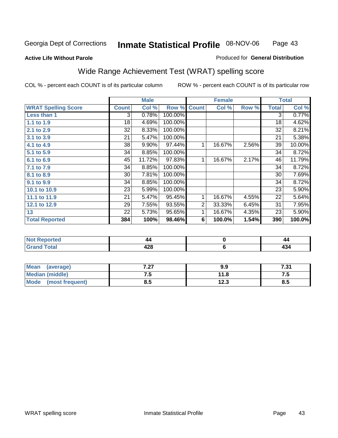#### **Active Life Without Parole**

#### Produced for **General Distribution**

# Wide Range Achievement Test (WRAT) spelling score

|                            |              | <b>Male</b> |         |                | <b>Female</b> |       |              | <b>Total</b> |
|----------------------------|--------------|-------------|---------|----------------|---------------|-------|--------------|--------------|
| <b>WRAT Spelling Score</b> | <b>Count</b> | Col %       | Row %   | <b>Count</b>   | Col %         | Row % | <b>Total</b> | Col %        |
| Less than 1                | 3            | 0.78%       | 100.00% |                |               |       | 3            | 0.77%        |
| 1.1 to 1.9                 | 18           | 4.69%       | 100.00% |                |               |       | 18           | 4.62%        |
| 2.1 to 2.9                 | 32           | 8.33%       | 100.00% |                |               |       | 32           | 8.21%        |
| 3.1 to 3.9                 | 21           | 5.47%       | 100.00% |                |               |       | 21           | 5.38%        |
| 4.1 to 4.9                 | 38           | 9.90%       | 97.44%  | 1              | 16.67%        | 2.56% | 39           | 10.00%       |
| 5.1 to 5.9                 | 34           | 8.85%       | 100.00% |                |               |       | 34           | 8.72%        |
| 6.1 to 6.9                 | 45           | 11.72%      | 97.83%  | 1              | 16.67%        | 2.17% | 46           | 11.79%       |
| 7.1 to 7.9                 | 34           | 8.85%       | 100.00% |                |               |       | 34           | 8.72%        |
| 8.1 to 8.9                 | 30           | 7.81%       | 100.00% |                |               |       | 30           | 7.69%        |
| 9.1 to 9.9                 | 34           | 8.85%       | 100.00% |                |               |       | 34           | 8.72%        |
| 10.1 to 10.9               | 23           | 5.99%       | 100.00% |                |               |       | 23           | 5.90%        |
| 11.1 to 11.9               | 21           | 5.47%       | 95.45%  | 1              | 16.67%        | 4.55% | 22           | 5.64%        |
| 12.1 to 12.9               | 29           | 7.55%       | 93.55%  | $\overline{2}$ | 33.33%        | 6.45% | 31           | 7.95%        |
| 13                         | 22           | 5.73%       | 95.65%  | 1              | 16.67%        | 4.35% | 23           | 5.90%        |
| <b>Total Reported</b>      | 384          | 100%        | 98.46%  | 6              | 100.0%        | 1.54% | 390          | 100.0%       |
|                            |              |             |         |                |               |       |              |              |
| <b>Not Reported</b>        |              | 44          |         |                | $\pmb{0}$     |       |              | 44           |
| <b>Grand Total</b>         |              | 428         |         |                | $\bf 6$       |       |              | 434          |

| Mean                   | 7.07 | 9.9  | 7.24       |
|------------------------|------|------|------------|
| (average)              | $-2$ |      | .J I       |
| <b>Median (middle)</b> | . ت  | 11.8 | ں ،        |
| <b>Mode</b>            | 8.5  | 122  | <b>Q</b> L |
| (most frequent)        |      | د.ء  | o.J        |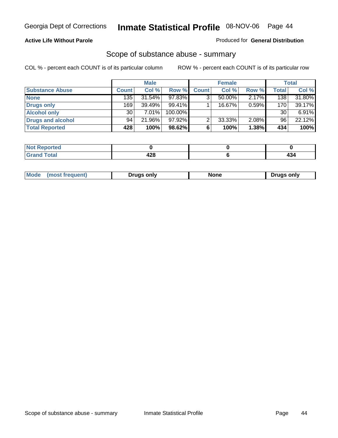### **Active Life Without Parole**

#### Produced for **General Distribution**

### Scope of substance abuse - summary

|                        |              | <b>Male</b> |            |              | <b>Female</b> |          |                  | <b>Total</b> |
|------------------------|--------------|-------------|------------|--------------|---------------|----------|------------------|--------------|
| <b>Substance Abuse</b> | <b>Count</b> | Col %       | Row %      | <b>Count</b> | Col %         | Row %    | <b>Total</b>     | Col %        |
| <b>None</b>            | 135          | $31.54\%$   | 97.83%     |              | 50.00%        | $2.17\%$ | 138              | 31.80%       |
| Drugs only             | 169          | $39.49\%$   | $99.41\%$  |              | 16.67%        | 0.59%    | 170 <sub>1</sub> | 39.17%       |
| <b>Alcohol only</b>    | 30           | 7.01%       | $100.00\%$ |              |               |          | 30               | 6.91%        |
| Drugs and alcohol      | 94           | 21.96%      | 97.92%     |              | $33.33\%$     | 2.08%    | 96               | 22.12%       |
| <b>Total Reported</b>  | 428          | 100%        | 98.62%     |              | 100%          | 1.38%    | 434              | 100%         |

| <b>Not</b><br><b>Reported</b> |              |      |
|-------------------------------|--------------|------|
| <b>Total</b><br>' Grano       | . הו<br>44 U | -101 |

|  | Mode<br>ונוצוווי | Druas onlv | None | only<br>Pruas . |
|--|------------------|------------|------|-----------------|
|--|------------------|------------|------|-----------------|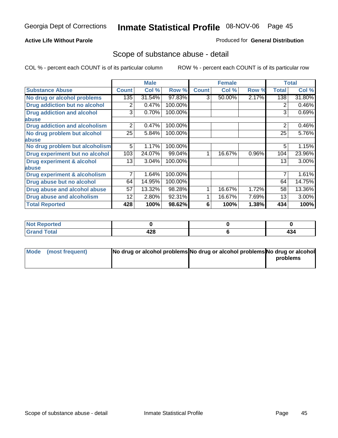### **Active Life Without Parole**

#### Produced for **General Distribution**

### Scope of substance abuse - detail

|                                         |              | <b>Male</b> |         |              | <b>Female</b> |       |                | <b>Total</b> |
|-----------------------------------------|--------------|-------------|---------|--------------|---------------|-------|----------------|--------------|
| <b>Substance Abuse</b>                  | <b>Count</b> | Col %       | Row %   | <b>Count</b> | Col %         | Row % | <b>Total</b>   | Col %        |
| No drug or alcohol problems             | 135          | 31.54%      | 97.83%  | 3            | 50.00%        | 2.17% | 138            | 31.80%       |
| Drug addiction but no alcohol           | 2            | 0.47%       | 100.00% |              |               |       | 2              | 0.46%        |
| <b>Drug addiction and alcohol</b>       | 3            | 0.70%       | 100.00% |              |               |       | 3              | 0.69%        |
| abuse                                   |              |             |         |              |               |       |                |              |
| <b>Drug addiction and alcoholism</b>    | 2            | 0.47%       | 100.00% |              |               |       | $\overline{2}$ | 0.46%        |
| No drug problem but alcohol             | 25           | 5.84%       | 100.00% |              |               |       | 25             | 5.76%        |
| abuse                                   |              |             |         |              |               |       |                |              |
| No drug problem but alcoholism          | 5            | 1.17%       | 100.00% |              |               |       | 5              | 1.15%        |
| Drug experiment but no alcohol          | 103          | 24.07%      | 99.04%  |              | 16.67%        | 0.96% | 104            | 23.96%       |
| <b>Drug experiment &amp; alcohol</b>    | 13           | 3.04%       | 100.00% |              |               |       | 13             | 3.00%        |
| abuse                                   |              |             |         |              |               |       |                |              |
| <b>Drug experiment &amp; alcoholism</b> | 7            | 1.64%       | 100.00% |              |               |       | 7              | 1.61%        |
| Drug abuse but no alcohol               | 64           | 14.95%      | 100.00% |              |               |       | 64             | 14.75%       |
| Drug abuse and alcohol abuse            | 57           | 13.32%      | 98.28%  |              | 16.67%        | 1.72% | 58             | 13.36%       |
| Drug abuse and alcoholism               | 12           | 2.80%       | 92.31%  |              | 16.67%        | 7.69% | 13             | 3.00%        |
| <b>Total Reported</b>                   | 428          | 100%        | 98.62%  | 6            | 100%          | 1.38% | 434            | 100%         |

| Not Reported                |            |     |
|-----------------------------|------------|-----|
| <b>Total</b><br><b>Gran</b> | 0 م<br>440 | 404 |

| Mode (most frequent) | No drug or alcohol problems No drug or alcohol problems No drug or alcohol |          |
|----------------------|----------------------------------------------------------------------------|----------|
|                      |                                                                            | problems |
|                      |                                                                            |          |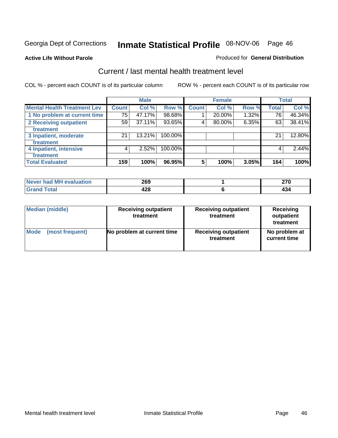**Active Life Without Parole** 

#### Produced for **General Distribution**

### Current / last mental health treatment level

|                                    |              | <b>Male</b> |         |              | <b>Female</b> |          |              | <b>Total</b> |
|------------------------------------|--------------|-------------|---------|--------------|---------------|----------|--------------|--------------|
| <b>Mental Health Treatment Lev</b> | <b>Count</b> | Col %       | Row %   | <b>Count</b> | Col %         | Row %    | <b>Total</b> | Col %        |
| 1 No problem at current time       | 75           | 47.17%      | 98.68%  |              | 20.00%        | $1.32\%$ | 76           | 46.34%       |
| 2 Receiving outpatient             | 59           | 37.11%      | 93.65%  | 4            | 80.00%        | 6.35%    | 63           | 38.41%       |
| treatment                          |              |             |         |              |               |          |              |              |
| 3 Inpatient, moderate              | 21           | 13.21%      | 100.00% |              |               |          | 21           | 12.80%       |
| treatment                          |              |             |         |              |               |          |              |              |
| 4 Inpatient, intensive             | 4            | 2.52%       | 100.00% |              |               |          | 4            | 2.44%        |
| treatment                          |              |             |         |              |               |          |              |              |
| <b>Total Evaluated</b>             | 159          | 100%        | 96.95%  | 5            | 100%          | 3.05%    | 164          | 100%         |

| Never had MH evaluation | 269 | $\sim$ |
|-------------------------|-----|--------|
| Total                   | 428 |        |

| <b>Median (middle)</b> | <b>Receiving outpatient</b><br>treatment | <b>Receiving outpatient</b><br>treatment | <b>Receiving</b><br>outpatient<br>treatment |
|------------------------|------------------------------------------|------------------------------------------|---------------------------------------------|
| <b>Mode</b>            | No problem at current time               | <b>Receiving outpatient</b>              | No problem at                               |
| (most frequent)        |                                          | treatment                                | current time                                |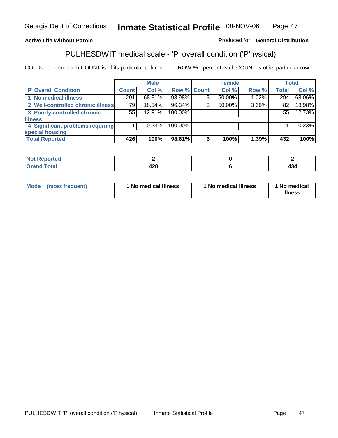### **Active Life Without Parole**

#### Produced for **General Distribution**

### PULHESDWIT medical scale - 'P' overall condition ('P'hysical)

|                                   |              | <b>Male</b> |                    |   | <b>Female</b> |       |              | <b>Total</b> |
|-----------------------------------|--------------|-------------|--------------------|---|---------------|-------|--------------|--------------|
| 'P' Overall Condition             | <b>Count</b> | Col %       | <b>Row % Count</b> |   | Col %         | Row % | <b>Total</b> | Col %        |
| 1 No medical illness              | 291          | 68.31%      | 98.98%             | 3 | 50.00%        | 1.02% | 294          | 68.06%       |
| 2 Well-controlled chronic illness | 79           | 18.54%      | 96.34%             | 3 | 50.00%        | 3.66% | 82           | 18.98%       |
| 3 Poorly-controlled chronic       | 55           | 12.91%      | 100.00%            |   |               |       | 55           | 12.73%       |
| <b>illness</b>                    |              |             |                    |   |               |       |              |              |
| 4 Significant problems requiring  |              | 0.23%       | 100.00%            |   |               |       |              | 0.23%        |
| special housing                   |              |             |                    |   |               |       |              |              |
| <b>Total Reported</b>             | 426          | 100%        | 98.61%             | 6 | 100%          | 1.39% | 432          | 100%         |

| Not i<br>Reported  |              |     |
|--------------------|--------------|-----|
| <b>Grand Total</b> | A O O<br>440 | 434 |

| Mode | (most frequent) | <sup>1</sup> No medical illness | 1 No medical illness | 1 No medical<br>illness |
|------|-----------------|---------------------------------|----------------------|-------------------------|
|------|-----------------|---------------------------------|----------------------|-------------------------|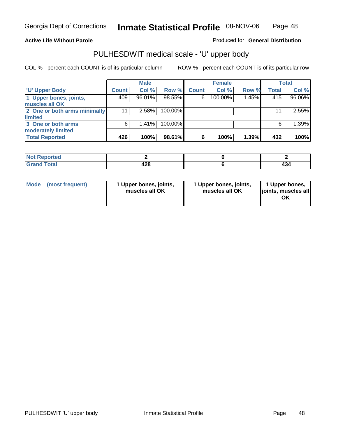### **Active Life Without Parole**

Produced for **General Distribution**

# PULHESDWIT medical scale - 'U' upper body

|                              |              | <b>Male</b> |         |              | <b>Female</b> |       |              | <b>Total</b> |
|------------------------------|--------------|-------------|---------|--------------|---------------|-------|--------------|--------------|
| <b>TU' Upper Body</b>        | <b>Count</b> | Col %       | Row %   | <b>Count</b> | Col %         | Row % | <b>Total</b> | Col %        |
| 1 Upper bones, joints,       | 409          | 96.01%      | 98.55%  | 6            | 100.00%       | 1.45% | 415          | 96.06%       |
| muscles all OK               |              |             |         |              |               |       |              |              |
| 2 One or both arms minimally | 11           | 2.58%       | 100.00% |              |               |       | 11           | 2.55%        |
| limited                      |              |             |         |              |               |       |              |              |
| 3 One or both arms           | 6            | $1.41\%$    | 100.00% |              |               |       | 6            | 1.39%        |
| moderately limited           |              |             |         |              |               |       |              |              |
| <b>Total Reported</b>        | 426          | 100%        | 98.61%  | 6            | 100%          | 1.39% | 432          | 100%         |

| المتماسية<br>Reported<br>. |                         |               |
|----------------------------|-------------------------|---------------|
| $int^{\bullet}$<br>______  | 1 2 Q<br>74 V<br>$\sim$ | $\sim$ $\sim$ |

| Mode | (most frequent) | 1 Upper bones, joints,<br>muscles all OK | 1 Upper bones, joints,<br>muscles all OK | 1 Upper bones,<br>joints, muscles all |
|------|-----------------|------------------------------------------|------------------------------------------|---------------------------------------|
|------|-----------------|------------------------------------------|------------------------------------------|---------------------------------------|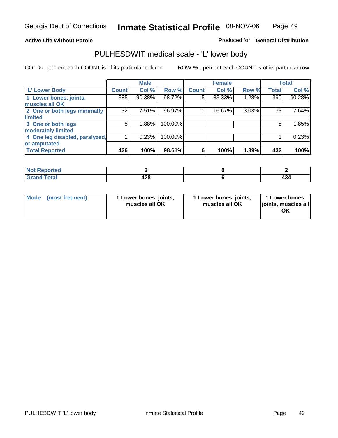#### **Active Life Without Parole**

#### Produced for **General Distribution**

### PULHESDWIT medical scale - 'L' lower body

|                                |              | <b>Male</b> |         |              | <b>Female</b> |       |              | <b>Total</b> |
|--------------------------------|--------------|-------------|---------|--------------|---------------|-------|--------------|--------------|
| 'L' Lower Body                 | <b>Count</b> | Col %       | Row %   | <b>Count</b> | Col %         | Row % | <b>Total</b> | Col %        |
| 1 Lower bones, joints,         | 385          | 90.38%      | 98.72%  | 5            | 83.33%        | 1.28% | 390          | 90.28%       |
| muscles all OK                 |              |             |         |              |               |       |              |              |
| 2 One or both legs minimally   | 32           | 7.51%       | 96.97%  |              | 16.67%        | 3.03% | 33           | 7.64%        |
| limited                        |              |             |         |              |               |       |              |              |
| 3 One or both legs             | 8            | 1.88%       | 100.00% |              |               |       | 8            | 1.85%        |
| moderately limited             |              |             |         |              |               |       |              |              |
| 4 One leg disabled, paralyzed, |              | 0.23%       | 100.00% |              |               |       |              | 0.23%        |
| or amputated                   |              |             |         |              |               |       |              |              |
| <b>Total Reported</b>          | 426          | 100%        | 98.61%  | 6            | 100%          | 1.39% | 432          | 100%         |

| <b>ALA</b><br>norted<br>NOT      |     |     |
|----------------------------------|-----|-----|
| <b>Total</b><br>$\sim$<br>------ | 428 | 404 |

|  | Mode (most frequent) | 1 Lower bones, joints,<br>muscles all OK | 1 Lower bones, joints,<br>muscles all OK | 1 Lower bones,<br>joints, muscles all<br>OK |
|--|----------------------|------------------------------------------|------------------------------------------|---------------------------------------------|
|--|----------------------|------------------------------------------|------------------------------------------|---------------------------------------------|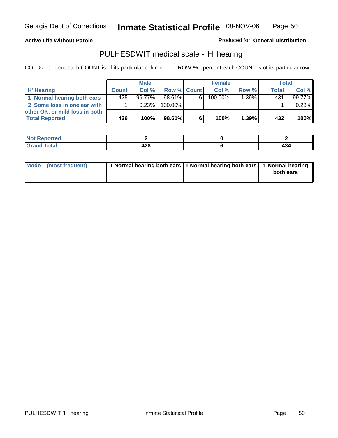**Active Life Without Parole** 

Produced for **General Distribution**

### PULHESDWIT medical scale - 'H' hearing

|                                |              | <b>Male</b> |             |    | <b>Female</b> |       | Total        |        |
|--------------------------------|--------------|-------------|-------------|----|---------------|-------|--------------|--------|
| 'H' Hearing                    | <b>Count</b> | Col %       | Row % Count |    | Col%          | Row % | <b>Total</b> | Col %  |
| 1 Normal hearing both ears     | 425          | 99.77%      | 98.61%      | 6. | 100.00%       | 1.39% | 431          | 99.77% |
| 2 Some loss in one ear with    |              | 0.23%       | 100.00%     |    |               |       |              | 0.23%  |
| other OK, or mild loss in both |              |             |             |    |               |       |              |        |
| <b>Total Reported</b>          | 426          | 100%        | 98.61%      |    | 100%          | 1.39% | 432          | 100%   |

| "tea |           |     |
|------|-----------|-----|
| otal | ההו<br>__ | 434 |

| Mode (most frequent) | 1 Normal hearing both ears 1 Normal hearing both ears 1 Normal hearing | both ears |
|----------------------|------------------------------------------------------------------------|-----------|
|                      |                                                                        |           |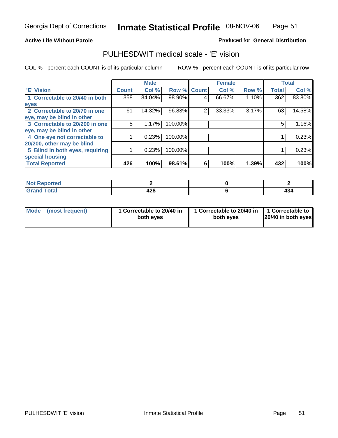#### **Active Life Without Parole**

#### Produced for **General Distribution**

### PULHESDWIT medical scale - 'E' vision

|                                 |              | <b>Male</b> |                    |   | <b>Female</b> |       |              | <b>Total</b> |
|---------------------------------|--------------|-------------|--------------------|---|---------------|-------|--------------|--------------|
| 'E' Vision                      | <b>Count</b> | Col %       | <b>Row % Count</b> |   | Col %         | Row % | <b>Total</b> | Col %        |
| 1 Correctable to 20/40 in both  | 358          | 84.04%      | 98.90%             | 4 | 66.67%        | 1.10% | 362          | 83.80%       |
| eyes                            |              |             |                    |   |               |       |              |              |
| 2 Correctable to 20/70 in one   | 61           | 14.32%      | 96.83%             | 2 | 33.33%        | 3.17% | 63           | 14.58%       |
| eye, may be blind in other      |              |             |                    |   |               |       |              |              |
| 3 Correctable to 20/200 in one  | 5            | 1.17%       | 100.00%            |   |               |       | 5            | 1.16%        |
| eye, may be blind in other      |              |             |                    |   |               |       |              |              |
| 4 One eye not correctable to    |              | 0.23%       | 100.00%            |   |               |       |              | 0.23%        |
| 20/200, other may be blind      |              |             |                    |   |               |       |              |              |
| 5 Blind in both eyes, requiring |              | 0.23%       | 100.00%            |   |               |       |              | 0.23%        |
| special housing                 |              |             |                    |   |               |       |              |              |
| <b>Total Reported</b>           | 426          | 100%        | 98.61%             | 6 | 100%          | 1.39% | 432          | 100%         |

| $N = 1$<br>ported?<br>NG            |              |    |
|-------------------------------------|--------------|----|
| $f$ ota'<br><b>C</b> .com<br>______ | Λ 9 Ω<br>440 | ט+ |

| <b>Mode</b>     | 1 Correctable to 20/40 in | 1 Correctable to 20/40 in   1 Correctable to | 20/40 in both eyes |
|-----------------|---------------------------|----------------------------------------------|--------------------|
| (most frequent) | both eyes                 | both eves                                    |                    |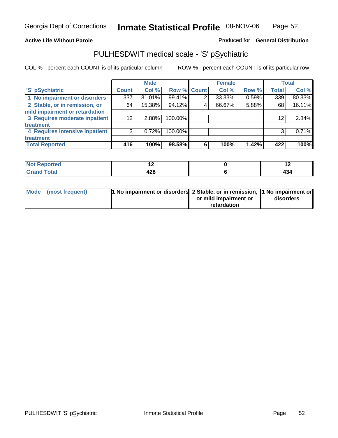### **Active Life Without Parole**

### Produced for **General Distribution**

### PULHESDWIT medical scale - 'S' pSychiatric

|                                |                 | <b>Male</b> |             |   | <b>Female</b> |       |              | <b>Total</b> |
|--------------------------------|-----------------|-------------|-------------|---|---------------|-------|--------------|--------------|
| 'S' pSychiatric                | <b>Count</b>    | Col %       | Row % Count |   | Col %         | Row % | <b>Total</b> | Col %        |
| 1 No impairment or disorders   | 337             | 81.01%      | 99.41%      | 2 | 33.33%        | 0.59% | 339          | 80.33%       |
| 2 Stable, or in remission, or  | 64              | 15.38%      | 94.12%      | 4 | 66.67%        | 5.88% | 68           | 16.11%       |
| mild impairment or retardation |                 |             |             |   |               |       |              |              |
| 3 Requires moderate inpatient  | 12 <sup>2</sup> | 2.88%       | 100.00%     |   |               |       | 12           | 2.84%        |
| treatment                      |                 |             |             |   |               |       |              |              |
| 4 Requires intensive inpatient | 3               | $0.72\%$    | 100.00%     |   |               |       | 3            | 0.71%        |
| treatment                      |                 |             |             |   |               |       |              |              |
| <b>Total Reported</b>          | 416             | 100%        | 98.58%      | 6 | 100%          | 1.42% | 422          | 100%         |

| <b>orted</b> | . .                                  | . .           |
|--------------|--------------------------------------|---------------|
| <b>Total</b> | $\overline{\phantom{a}}$<br>.<br>440 | $\sim$<br>TV- |

| Mode (most frequent) | 1 No impairment or disorders 2 Stable, or in remission, 11 No impairment or |                       |           |
|----------------------|-----------------------------------------------------------------------------|-----------------------|-----------|
|                      |                                                                             | or mild impairment or | disorders |
|                      |                                                                             | retardation           |           |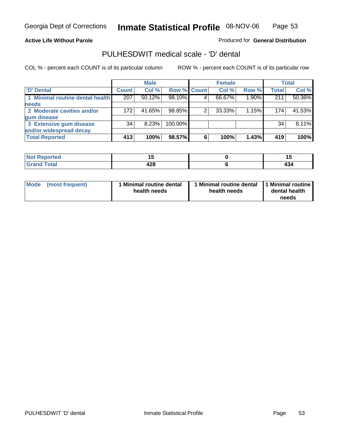#### **Active Life Without Parole**

Produced for **General Distribution**

### PULHESDWIT medical scale - 'D' dental

|                                 |       | <b>Male</b> |                    |   | <b>Female</b> |       |              | <b>Total</b> |
|---------------------------------|-------|-------------|--------------------|---|---------------|-------|--------------|--------------|
| <b>D'</b> Dental                | Count | Col %       | <b>Row % Count</b> |   | Col %         | Row % | <b>Total</b> | Col %        |
| 1 Minimal routine dental health | 207   | $50.12\%$   | 98.10%             |   | 66.67%        | 1.90% | 211          | 50.36%       |
| <b>needs</b>                    |       |             |                    |   |               |       |              |              |
| 2 Moderate cavities and/or      | 172   | 41.65%      | 98.85%             |   | 33.33%        | 1.15% | 174          | 41.53%       |
| gum disease                     |       |             |                    |   |               |       |              |              |
| 3 Extensive gum disease         | 34    | 8.23%       | 100.00%            |   |               |       | 34           | 8.11%        |
| and/or widespread decay         |       |             |                    |   |               |       |              |              |
| <b>Total Reported</b>           | 413   | 100%        | 98.57%             | 6 | 100%          | 1.43% | 419          | 100%         |

| ----<br>тео<br>N | . .<br>$-$ |     |
|------------------|------------|-----|
| $\mathbf{r}$     | 190        | . . |
| <b></b>          | 440        | ᅲᇅ  |

| Mode (most frequent) | <b>Minimal routine dental</b><br>health needs | 1 Minimal routine dental<br>health needs | 1 Minimal routine<br>dental health<br>needs |
|----------------------|-----------------------------------------------|------------------------------------------|---------------------------------------------|
|----------------------|-----------------------------------------------|------------------------------------------|---------------------------------------------|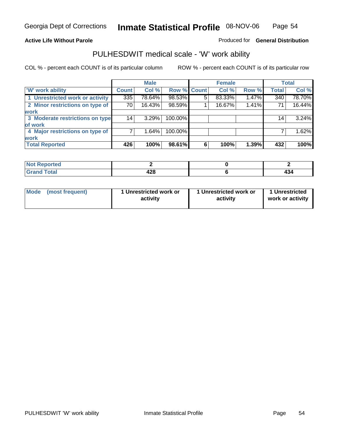### **Active Life Without Parole**

### Produced for **General Distribution**

### PULHESDWIT medical scale - 'W' work ability

|                                 |              | <b>Male</b> |             |   | <b>Female</b> |       |                 | <b>Total</b> |
|---------------------------------|--------------|-------------|-------------|---|---------------|-------|-----------------|--------------|
| <b>W' work ability</b>          | <b>Count</b> | Col %       | Row % Count |   | Col %         | Row % | <b>Total</b>    | Col %        |
| 1 Unrestricted work or activity | 335          | 78.64%      | 98.53%      | 5 | 83.33%        | 1.47% | 340             | 78.70%       |
| 2 Minor restrictions on type of | 70           | $16.43\%$   | 98.59%      |   | 16.67%        | 1.41% | 71              | 16.44%       |
| <b>work</b>                     |              |             |             |   |               |       |                 |              |
| 3 Moderate restrictions on type | 14           | 3.29%       | 100.00%     |   |               |       | 14 <sub>1</sub> | 3.24%        |
| of work                         |              |             |             |   |               |       |                 |              |
| 4 Major restrictions on type of |              | 1.64%       | 100.00%     |   |               |       |                 | 1.62%        |
| <b>work</b>                     |              |             |             |   |               |       |                 |              |
| <b>Total Reported</b>           | 426          | 100%        | 98.61%      | 6 | 100%          | 1.39% | 432             | 100%         |

| د د لاد<br>TV.<br>rtea     |            |     |
|----------------------------|------------|-----|
| $T0$ tol<br>υιαι<br>$\sim$ | ᄳ.<br>44 U | 404 |

| Mode | (most frequent) | 1 Unrestricted work or<br>activity | 1 Unrestricted work or<br>activity | 1 Unrestricted<br>work or activity |
|------|-----------------|------------------------------------|------------------------------------|------------------------------------|
|      |                 |                                    |                                    |                                    |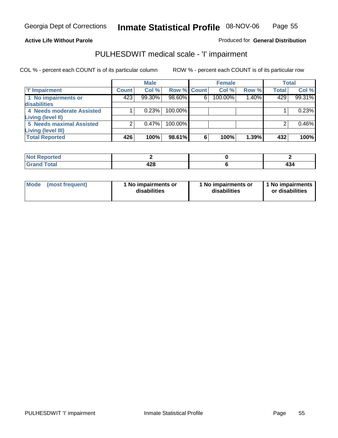#### **Active Life Without Parole**

### Produced for **General Distribution**

### PULHESDWIT medical scale - 'I' impairment

|                                 |              | <b>Male</b> |                    |   | <b>Female</b> |       |              | <b>Total</b> |
|---------------------------------|--------------|-------------|--------------------|---|---------------|-------|--------------|--------------|
| <b>T' Impairment</b>            | <b>Count</b> | Col %       | <b>Row % Count</b> |   | Col %         | Row % | <b>Total</b> | Col %        |
| 1 No impairments or             | 423          | 99.30%      | 98.60%             | 6 | 100.00%       | 1.40% | 429          | 99.31%       |
| disabilities                    |              |             |                    |   |               |       |              |              |
| 4 Needs moderate Assisted       |              | 0.23%       | 100.00%            |   |               |       |              | 0.23%        |
| Living (level II)               |              |             |                    |   |               |       |              |              |
| <b>5 Needs maximal Assisted</b> |              | 0.47%       | 100.00%            |   |               |       |              | 0.46%        |
| <b>Living (level III)</b>       |              |             |                    |   |               |       |              |              |
| <b>Total Reported</b>           | 426          | 100%        | 98.61%             | 6 | 100%          | 1.39% | 432          | 100%         |

| Reported<br>$\sim$ |           |   |
|--------------------|-----------|---|
| <b>Total</b>       | າດ<br>420 | ™ |

| Mode            | 1 No impairments or | 1 No impairments or | 1 No impairments |
|-----------------|---------------------|---------------------|------------------|
| (most frequent) | disabilities        | disabilities        | or disabilities  |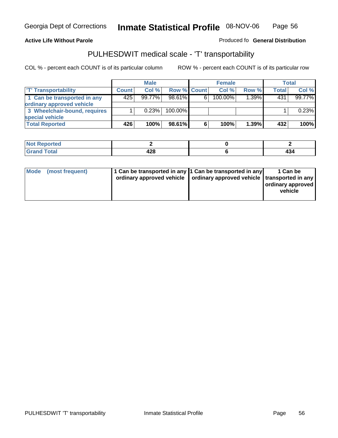#### **Inmate Statistical Profile** 08-NOV-06 Page Page 56

### **Active Life Without Parole Produced fo Seneral Distribution**

### PULHESDWIT medical scale - 'T' transportability

|                              |              | <b>Male</b> |                    |   | <b>Female</b> |       |              | <b>Total</b> |
|------------------------------|--------------|-------------|--------------------|---|---------------|-------|--------------|--------------|
| <b>T' Transportability</b>   | <b>Count</b> | Col%        | <b>Row % Count</b> |   | Col%          | Row % | <b>Total</b> | Col %        |
| 1 Can be transported in any  | 425          | 99.77%      | 98.61%             | 6 | 100.00%       | 1.39% | 431          | 99.77%       |
| ordinary approved vehicle    |              |             |                    |   |               |       |              |              |
| 3 Wheelchair-bound, requires |              | 0.23%       | $100.00\%$         |   |               |       |              | 0.23%        |
| special vehicle              |              |             |                    |   |               |       |              |              |
| <b>Total Reported</b>        | 426          | 100%        | 98.61%             | 6 | 100%          | 1.39% | 432          | 100%         |

| Reported<br>. |     |      |
|---------------|-----|------|
| <b>otal</b>   | ההו | - 7  |
| _____         | 440 | $ -$ |

|  | Mode (most frequent) | 1 Can be transported in any 1 Can be transported in any | ordinary approved vehicle   ordinary approved vehicle   transported in any | 1 Can be<br>ordinary approved<br>vehicle |
|--|----------------------|---------------------------------------------------------|----------------------------------------------------------------------------|------------------------------------------|
|--|----------------------|---------------------------------------------------------|----------------------------------------------------------------------------|------------------------------------------|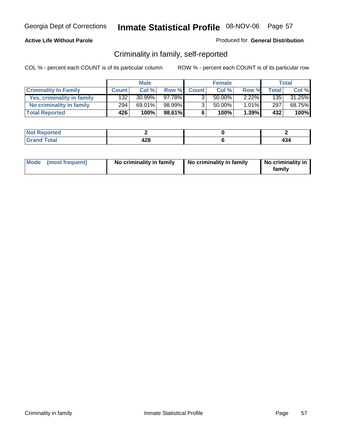### **Active Life Without Parole**

#### Produced for **General Distribution**

### Criminality in family, self-reported

|                              |              | <b>Male</b> |        |                | <b>Female</b> |          |       | Total  |
|------------------------------|--------------|-------------|--------|----------------|---------------|----------|-------|--------|
| <b>Criminality In Family</b> | <b>Count</b> | Col %       | Row %  | <b>Count</b>   | Col %         | Row %    | Total | Col %  |
| Yes, criminality in family   | 132          | $30.99\%$   | 97.78% | 3              | 50.00%        | $2.22\%$ | 135   | 31.25% |
| No criminality in family     | 294          | 69.01%      | 98.99% | 3 <sub>1</sub> | 50.00%        | $1.01\%$ | 297   | 68.75% |
| <b>Total Reported</b>        | 426          | 100%        | 98.61% | 6              | 100%          | $1.39\%$ | 432   | 100%   |

| oorted<br><b>NOT</b><br><b>IVGI</b> |                       |     |
|-------------------------------------|-----------------------|-----|
| $\sim$<br>Grar<br>---               | 128<br>44 U<br>$\sim$ | 404 |

| Mode (most frequent) |  | No criminality in family | No criminality in family | No criminality in<br>family |
|----------------------|--|--------------------------|--------------------------|-----------------------------|
|----------------------|--|--------------------------|--------------------------|-----------------------------|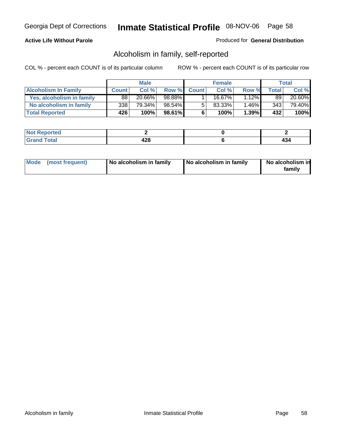### **Active Life Without Parole**

#### Produced for **General Distribution**

### Alcoholism in family, self-reported

|                             |              | <b>Male</b> |           |              | <b>Female</b> |          |       | Total  |
|-----------------------------|--------------|-------------|-----------|--------------|---------------|----------|-------|--------|
| <b>Alcoholism In Family</b> | <b>Count</b> | Col %       | Row %     | <b>Count</b> | Col %         | Row %    | Total | Col %  |
| Yes, alcoholism in family   | 88           | 20.66%      | 98.88%    |              | 16.67%        | $1.12\%$ | 89    | 20.60% |
| No alcoholism in family     | 338          | 79.34%      | $98.54\%$ | 5            | 83.33%        | $1.46\%$ | 3431  | 79.40% |
| <b>Total Reported</b>       | 426          | 100%        | 98.61%    | 6            | 100%          | 1.39%    | 432   | 100%   |

| rted<br><b>NO</b><br><b>IVGI</b> |                      |    |
|----------------------------------|----------------------|----|
| Total<br>Grar<br>---             | 190<br>420<br>$\sim$ | т. |

|  | Mode (most frequent) | No alcoholism in family | No alcoholism in family | No alcoholism in<br>family |
|--|----------------------|-------------------------|-------------------------|----------------------------|
|--|----------------------|-------------------------|-------------------------|----------------------------|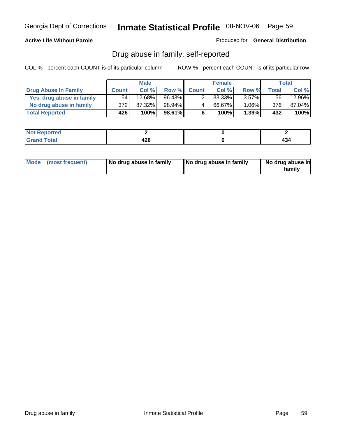#### **Active Life Without Parole**

Produced for **General Distribution**

### Drug abuse in family, self-reported

|                           |              | <b>Male</b> |           |              | <b>Female</b> |          |       | Total  |
|---------------------------|--------------|-------------|-----------|--------------|---------------|----------|-------|--------|
| Drug Abuse In Family      | <b>Count</b> | Col %       | Row %     | <b>Count</b> | Col %         | Row %    | Total | Col %  |
| Yes, drug abuse in family | 54           | 12.68%      | $96.43\%$ |              | 33.33%        | $3.57\%$ | 56 I  | 12.96% |
| No drug abuse in family   | 372          | 87.32%      | 98.94%    | 4            | 66.67%        | $1.06\%$ | 376   | 87.04% |
| <b>Total Reported</b>     | 426          | 100%        | 98.61%    | 6            | 100%          | 1.39%    | 432   | 100%   |

| oorted<br><b>NOT</b><br><b>IVGI</b> |                       |     |
|-------------------------------------|-----------------------|-----|
| $\sim$<br>Grar<br>---               | 128<br>44 U<br>$\sim$ | 404 |

|  | Mode (most frequent) | No drug abuse in family | No drug abuse in family | No drug abuse in<br>family |
|--|----------------------|-------------------------|-------------------------|----------------------------|
|--|----------------------|-------------------------|-------------------------|----------------------------|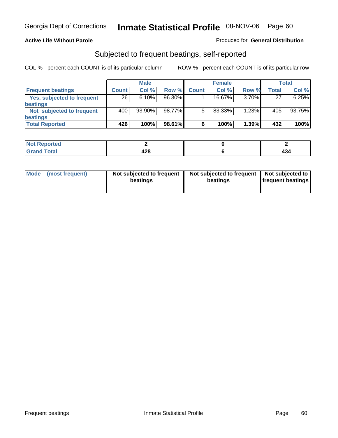#### **Active Life Without Parole**

#### Produced for **General Distribution**

### Subjected to frequent beatings, self-reported

|                            |              | <b>Male</b> |        |              | <b>Female</b> |       |       | <b>Total</b> |
|----------------------------|--------------|-------------|--------|--------------|---------------|-------|-------|--------------|
| <b>Frequent beatings</b>   | <b>Count</b> | Col%        | Row %  | <b>Count</b> | Col%          | Row % | Total | Col %        |
| Yes, subjected to frequent | 26           | 6.10%       | 96.30% |              | 16.67%        | 3.70% | 27    | 6.25%        |
| <b>beatings</b>            |              |             |        |              |               |       |       |              |
| Not subjected to frequent  | 400          | $93.90\%$   | 98.77% | 5            | 83.33%        | 1.23% | 405   | 93.75%       |
| <b>beatings</b>            |              |             |        |              |               |       |       |              |
| <b>Total Reported</b>      | 426          | 100%        | 98.61% | 6            | 100%          | 1.39% | 432   | 100%         |

| Not Reported              |           |  |
|---------------------------|-----------|--|
| T <sub>ofol</sub><br>Cror | 428<br>__ |  |

| Mode (most frequent) | Not subjected to frequent<br>beatings | Not subjected to frequent<br>beatings | Not subjected to<br><b>frequent beatings</b> |
|----------------------|---------------------------------------|---------------------------------------|----------------------------------------------|
|                      |                                       |                                       |                                              |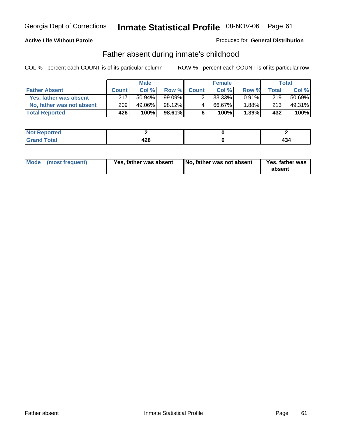### **Active Life Without Parole**

#### Produced for **General Distribution**

### Father absent during inmate's childhood

|                           |              | <b>Male</b> |         |              | <b>Female</b> |          |       | Total  |
|---------------------------|--------------|-------------|---------|--------------|---------------|----------|-------|--------|
| <b>Father Absent</b>      | <b>Count</b> | Col%        | Row %   | <b>Count</b> | Col %         | Row %    | Total | Col %  |
| Yes, father was absent    | 217          | 50.94%      |         |              | 33.33%        | $0.91\%$ | 219   | 50.69% |
| No, father was not absent | 209          | 49.06%      | 98.12%  | 4            | 66.67%        | 1.88%    | 213   | 49.31% |
| <b>Total Reported</b>     | 426          | 100%        | 98.61%I | 6            | 100%          | $1.39\%$ | 432   | 100%   |

| <b>Not Reported</b>   |           |  |
|-----------------------|-----------|--|
| <b>Total</b><br>Grano | 428<br>__ |  |

| Mode (most frequent)<br>Yes, father was absent | No, father was not absent | Yes, father was<br>absent |
|------------------------------------------------|---------------------------|---------------------------|
|------------------------------------------------|---------------------------|---------------------------|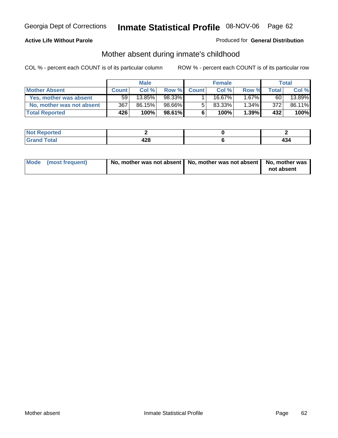### **Active Life Without Parole**

#### Produced for **General Distribution**

# Mother absent during inmate's childhood

|                           |                 | <b>Male</b> |           |              | <b>Female</b> |          |       | Total  |
|---------------------------|-----------------|-------------|-----------|--------------|---------------|----------|-------|--------|
| <b>Mother Absent</b>      | <b>Count</b>    | Col %       | Row %     | <b>Count</b> | Col %         | Row %    | Total | Col %  |
| Yes, mother was absent    | 59 <sub>1</sub> | 13.85%      | 98.33%    |              | 16.67%        | $.67\%$  | 60    | 13.89% |
| No, mother was not absent | 367             | 86.15%      | 98.66%I   | 5            | 83.33%        | $1.34\%$ | 372   | 86.11% |
| <b>Total Reported</b>     | 426             | 100%        | $98.61\%$ | 6            | 100%          | $1.39\%$ | 432   | 100%   |

| <b>Not Reported</b>    |                      |  |
|------------------------|----------------------|--|
| <b>Total</b><br>l Gran | ΛOΩ<br>14U<br>$\sim$ |  |

| Mode (most frequent) | No, mother was not absent   No, mother was not absent   No, mother was | not absent |
|----------------------|------------------------------------------------------------------------|------------|
|----------------------|------------------------------------------------------------------------|------------|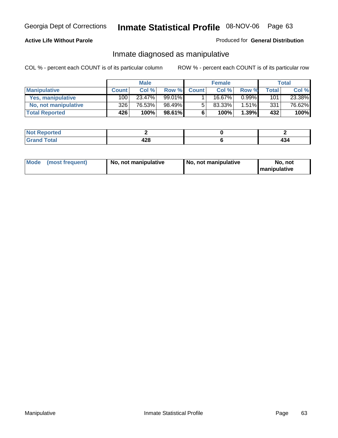### **Active Life Without Parole**

#### Produced for **General Distribution**

### Inmate diagnosed as manipulative

|                          | <b>Male</b>  |        |        | <b>Female</b> |        |          | Total            |        |
|--------------------------|--------------|--------|--------|---------------|--------|----------|------------------|--------|
| <b>Manipulative</b>      | <b>Count</b> | Col %  | Row %  | <b>Count</b>  | Col %  | Row %    | <b>Total</b>     | Col %  |
| <b>Yes, manipulative</b> | 100          | 23.47% | 99.01% |               | 16.67% | 0.99%    | 101 <sub>1</sub> | 23.38% |
| No, not manipulative     | 326          | 76.53% | 98.49% | 5             | 83.33% | $1.51\%$ | 331              | 76.62% |
| <b>Total Reported</b>    | 426'         | 100%   | 98.61% | 6             | 100%   | 1.39%    | 432              | 100%   |

| المتمتلس<br><b>NO</b><br>rtea |     |     |
|-------------------------------|-----|-----|
| $\sim$ $\sim$                 | າດ  |     |
| $\sim$ $\sim$ $\sim$          | 449 |     |
| $\sim$                        | __  | ᠇ᢦ᠇ |

|  | Mode (most frequent) | No, not manipulative | No, not manipulative | No. not<br><b>I</b> manipulative |
|--|----------------------|----------------------|----------------------|----------------------------------|
|--|----------------------|----------------------|----------------------|----------------------------------|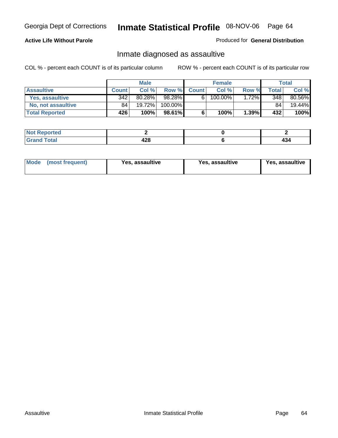### **Active Life Without Parole**

#### Produced for **General Distribution**

### Inmate diagnosed as assaultive

|                       |              | <b>Male</b> |         |              | <b>Female</b> |          |       | Total  |
|-----------------------|--------------|-------------|---------|--------------|---------------|----------|-------|--------|
| <b>Assaultive</b>     | <b>Count</b> | Col %       | Row %   | <b>Count</b> | Col %         | Row %    | Total | Col %  |
| Yes, assaultive       | 342          | 80.28%      | 98.28%  | 61           | 100.00%       | $1.72\%$ | 348   | 80.56% |
| No. not assaultive    | 84           | 19.72%      | 100.00% |              |               |          | 84    | 19.44% |
| <b>Total Reported</b> | 426          | 100%        | 98.61%  | c            | 100%          | $1.39\%$ | 432   | 100%   |

| <b>Not Reported</b>   |           |  |
|-----------------------|-----------|--|
| <b>Total</b><br>Grano | 428<br>__ |  |

| <b>Mode</b><br>(most frequent) | <b>Yes, assaultive</b> | Yes, assaultive | Yes, assaultive |
|--------------------------------|------------------------|-----------------|-----------------|
|--------------------------------|------------------------|-----------------|-----------------|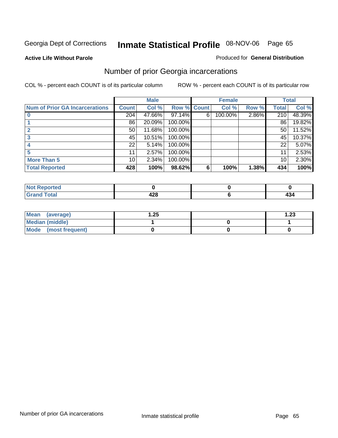**Active Life Without Parole** 

#### Produced for **General Distribution**

### Number of prior Georgia incarcerations

|                                       |                 | <b>Male</b> |                    |   | <b>Female</b> |       |       | <b>Total</b> |
|---------------------------------------|-----------------|-------------|--------------------|---|---------------|-------|-------|--------------|
| <b>Num of Prior GA Incarcerations</b> | <b>Count</b>    | Col %       | <b>Row % Count</b> |   | Col %         | Row % | Total | Col %        |
|                                       | 204             | 47.66%      | 97.14%             | 6 | 100.00%       | 2.86% | 210   | 48.39%       |
|                                       | 86              | 20.09%      | 100.00%            |   |               |       | 86    | 19.82%       |
|                                       | 50 <sub>1</sub> | 11.68%      | 100.00%            |   |               |       | 50    | 11.52%       |
|                                       | 45              | 10.51%      | 100.00%            |   |               |       | 45    | 10.37%       |
|                                       | 22              | 5.14%       | 100.00%            |   |               |       | 22    | 5.07%        |
|                                       | 11              | 2.57%       | 100.00%            |   |               |       |       | 2.53%        |
| <b>More Than 5</b>                    | 10 <sup>1</sup> | 2.34%       | 100.00%            |   |               |       | 10    | 2.30%        |
| <b>Total Reported</b>                 | 428             | 100%        | 98.62%             | 6 | 100%          | 1.38% | 434   | 100%         |

| ا د د ک<br>≺eported⊦<br>NOT     |        |     |
|---------------------------------|--------|-----|
| <b>otal</b><br>$\mathbf{v}$ and | $\sim$ | 434 |

| Mean (average)       | .25 | $\overline{.23}$ |
|----------------------|-----|------------------|
| Median (middle)      |     |                  |
| Mode (most frequent) |     |                  |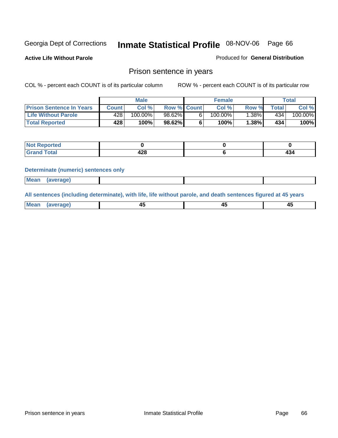**Active Life Without Parole** 

Produced for **General Distribution**

### Prison sentence in years

COL % - percent each COUNT is of its particular column ROW % - percent each COUNT is of its particular row

|                                 | <b>Male</b> |         |                    | <b>Female</b> |         |          | Total       |         |
|---------------------------------|-------------|---------|--------------------|---------------|---------|----------|-------------|---------|
| <b>Prison Sentence In Years</b> | Count l     | Col%    | <b>Row % Count</b> |               | Col%    | Row %    | $\tau$ otal | Col %   |
| Life Without Parole             | 428'        | 100.00% | 98.62%             |               | 100.00% | $1.38\%$ | 434'        | 100.00% |
| <b>Total Reported</b>           | 428'        | 100%    | 98.62%             |               | 100%    | 1.38%    | 434         | 100%    |

| <b>eported</b>                   |             |     |
|----------------------------------|-------------|-----|
| <b>Total</b><br>$\mathbf{v}$ and | ס רו<br>+LU | T.J |

#### **Determinate (numeric) sentences only**

|--|

**All sentences (including determinate), with life, life without parole, and death sentences figured at 45 years**

| <b>Mean</b><br><b>AVARANA</b><br>- 1<br>$\cdots$<br>$\sim$ | -- | т. |
|------------------------------------------------------------|----|----|
|------------------------------------------------------------|----|----|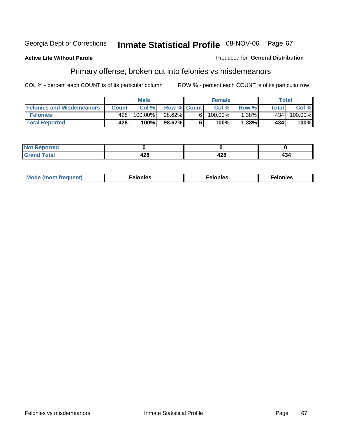#### **Active Life Without Parole**

#### Produced for **General Distribution**

# Primary offense, broken out into felonies vs misdemeanors

|                                  | <b>Male</b>  |         |                    | <b>Female</b> |            |          | Total  |            |  |
|----------------------------------|--------------|---------|--------------------|---------------|------------|----------|--------|------------|--|
| <b>Felonies and Misdemeanors</b> | <b>Count</b> | Col%    | <b>Row % Count</b> |               | Col%       | Row %    | Total. | Col %      |  |
| <b>Felonies</b>                  | 428          | 100.00% | 98.62%             | 61            | $100.00\%$ | $1.38\%$ | 434    | $100.00\%$ |  |
| <b>Total Reported</b>            | 428          | 100%    | $98.62\%$          |               | 100%       | .38%     | 434    | 100%       |  |

| <b>Not</b><br><b>orted</b><br>.  |            |              |     |
|----------------------------------|------------|--------------|-----|
| $int^{\bullet}$<br>Grat<br>----- | "^^<br>−∠∪ | A O O<br>440 | 434 |

| M<br>$\cdots$<br>пю.<br>. | nies<br>. | . |
|---------------------------|-----------|---|
|---------------------------|-----------|---|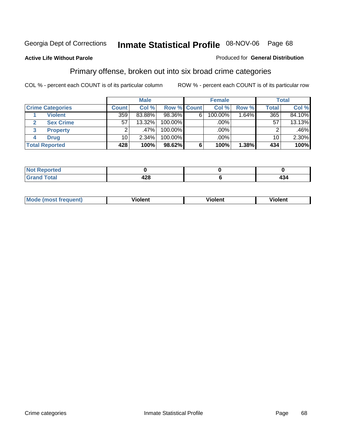#### **Active Life Without Parole**

#### Produced for **General Distribution**

### Primary offense, broken out into six broad crime categories

|                         | <b>Male</b>  |           |             | <b>Female</b> |         |          | Total           |        |
|-------------------------|--------------|-----------|-------------|---------------|---------|----------|-----------------|--------|
| <b>Crime Categories</b> | <b>Count</b> | Col %     | Row % Count |               | Col %   | Row %    | <b>Total</b>    | Col %  |
| <b>Violent</b>          | 359          | 83.88%    | 98.36%      | 6             | 100.00% | $1.64\%$ | 365             | 84.10% |
| <b>Sex Crime</b><br>2   | 57           | $13.32\%$ | $100.00\%$  |               | .00%    |          | 57              | 13.13% |
| 3<br><b>Property</b>    | 2            | ا %47.    | 100.00%     |               | .00%    |          |                 | .46%   |
| <b>Drug</b><br>4        | 10           | $2.34\%$  | 100.00%     |               | .00%    |          | 10 <sup>1</sup> | 2.30%  |
| <b>Total Reported</b>   | 428          | 100%      | 98.62%      | 6             | 100%    | 1.38%    | 434             | 100%   |

| ____ | ,<br>.<br><b>TAV</b><br>$\sim$ | . .<br>434 |
|------|--------------------------------|------------|

| Mode<br>frequent)<br>ns | - --<br>'ıolent | <br>Violent | ′iolent |
|-------------------------|-----------------|-------------|---------|
|                         |                 |             |         |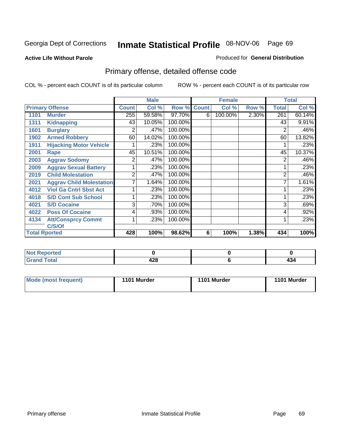#### **Active Life Without Parole**

#### Produced for **General Distribution**

# Primary offense, detailed offense code

|      |                                 | <b>Male</b>    |        |             |   | <b>Female</b> | <b>Total</b> |              |        |
|------|---------------------------------|----------------|--------|-------------|---|---------------|--------------|--------------|--------|
|      | <b>Primary Offense</b>          | <b>Count</b>   | Col %  | Row % Count |   | Col %         | Row %        | <b>Total</b> | Col %  |
| 1101 | <b>Murder</b>                   | 255            | 59.58% | 97.70%      | 6 | 100.00%       | 2.30%        | 261          | 60.14% |
| 1311 | <b>Kidnapping</b>               | 43             | 10.05% | 100.00%     |   |               |              | 43           | 9.91%  |
| 1601 | <b>Burglary</b>                 | 2              | .47%   | 100.00%     |   |               |              | 2            | .46%   |
| 1902 | <b>Armed Robbery</b>            | 60             | 14.02% | 100.00%     |   |               |              | 60           | 13.82% |
| 1911 | <b>Hijacking Motor Vehicle</b>  |                | .23%   | 100.00%     |   |               |              |              | .23%   |
| 2001 | Rape                            | 45             | 10.51% | 100.00%     |   |               |              | 45           | 10.37% |
| 2003 | <b>Aggrav Sodomy</b>            | 2              | .47%   | 100.00%     |   |               |              | 2            | .46%   |
| 2009 | <b>Aggrav Sexual Battery</b>    |                | .23%   | 100.00%     |   |               |              |              | .23%   |
| 2019 | <b>Child Molestation</b>        | $\overline{2}$ | .47%   | 100.00%     |   |               |              | 2            | .46%   |
| 2021 | <b>Aggrav Child Molestation</b> | 7              | 1.64%  | 100.00%     |   |               |              |              | 1.61%  |
| 4012 | <b>Viol Ga Cntrl Sbst Act</b>   |                | .23%   | 100.00%     |   |               |              |              | .23%   |
| 4018 | <b>S/D Cont Sub School</b>      |                | .23%   | 100.00%     |   |               |              |              | .23%   |
| 4021 | <b>S/D Cocaine</b>              | 3              | .70%   | 100.00%     |   |               |              | 3            | .69%   |
| 4022 | <b>Poss Of Cocaine</b>          | 4              | .93%   | 100.00%     |   |               |              | 4            | .92%   |
| 4134 | <b>Att/Consprcy Commt</b>       | 1              | .23%   | 100.00%     |   |               |              |              | .23%   |
|      | C/S/Of                          |                |        |             |   |               |              |              |        |
|      | <b>Total Rported</b>            | 428            | 100%   | 98.62%      | 6 | 100%          | 1.38%        | 434          | 100%   |

| <b>Reported</b>          |                        |     |
|--------------------------|------------------------|-----|
| <b>Total</b><br>$\sim$ . | 0 م م<br>42C<br>$\sim$ | 404 |

| Mode (most frequent) | 1101 Murder | 1101 Murder | 1101 Murder |
|----------------------|-------------|-------------|-------------|
|                      |             |             |             |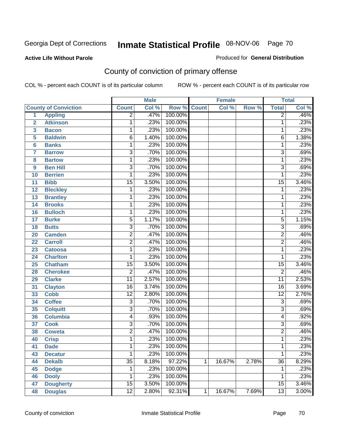#### **Active Life Without Parole**

#### Produced for **General Distribution**

# County of conviction of primary offense

|                |                             |                 | <b>Male</b> |         |              | <b>Female</b> |       |                 | <b>Total</b> |
|----------------|-----------------------------|-----------------|-------------|---------|--------------|---------------|-------|-----------------|--------------|
|                | <b>County of Conviction</b> | <b>Count</b>    | Col %       | Row %   | <b>Count</b> | Col %         | Row % | <b>Total</b>    | Col %        |
| 1              | <b>Appling</b>              | $\overline{2}$  | .47%        | 100.00% |              |               |       | $\overline{2}$  | .46%         |
| $\overline{2}$ | <b>Atkinson</b>             | 1               | .23%        | 100.00% |              |               |       | 1               | .23%         |
| 3              | <b>Bacon</b>                | 1               | .23%        | 100.00% |              |               |       | 1               | .23%         |
| 5              | <b>Baldwin</b>              | $\overline{6}$  | 1.40%       | 100.00% |              |               |       | 6               | 1.38%        |
| 6              | <b>Banks</b>                | 1               | .23%        | 100.00% |              |               |       | 1               | .23%         |
| $\overline{7}$ | <b>Barrow</b>               | 3               | .70%        | 100.00% |              |               |       | $\overline{3}$  | .69%         |
| 8              | <b>Bartow</b>               | 1               | .23%        | 100.00% |              |               |       | 1               | .23%         |
| 9              | <b>Ben Hill</b>             | $\overline{3}$  | .70%        | 100.00% |              |               |       | $\overline{3}$  | .69%         |
| 10             | <b>Berrien</b>              | 1               | .23%        | 100.00% |              |               |       | 1               | .23%         |
| 11             | <b>Bibb</b>                 | $\overline{15}$ | 3.50%       | 100.00% |              |               |       | $\overline{15}$ | 3.46%        |
| 12             | <b>Bleckley</b>             | 1               | .23%        | 100.00% |              |               |       | 1               | .23%         |
| 13             | <b>Brantley</b>             | 1               | .23%        | 100.00% |              |               |       | 1               | .23%         |
| 14             | <b>Brooks</b>               | 1               | .23%        | 100.00% |              |               |       | 1               | .23%         |
| 16             | <b>Bulloch</b>              | 1               | .23%        | 100.00% |              |               |       | 1               | .23%         |
| 17             | <b>Burke</b>                | $\overline{5}$  | 1.17%       | 100.00% |              |               |       | $\overline{5}$  | 1.15%        |
| 18             | <b>Butts</b>                | $\overline{3}$  | .70%        | 100.00% |              |               |       | $\overline{3}$  | .69%         |
| 20             | <b>Camden</b>               | $\overline{2}$  | .47%        | 100.00% |              |               |       | $\overline{2}$  | .46%         |
| 22             | <b>Carroll</b>              | $\overline{2}$  | .47%        | 100.00% |              |               |       | $\overline{2}$  | .46%         |
| 23             | <b>Catoosa</b>              | 1               | .23%        | 100.00% |              |               |       | 1               | .23%         |
| 24             | <b>Charlton</b>             | 1               | .23%        | 100.00% |              |               |       | 1               | .23%         |
| 25             | <b>Chatham</b>              | $\overline{15}$ | 3.50%       | 100.00% |              |               |       | $\overline{15}$ | 3.46%        |
| 28             | <b>Cherokee</b>             | $\overline{2}$  | .47%        | 100.00% |              |               |       | $\overline{2}$  | .46%         |
| 29             | <b>Clarke</b>               | $\overline{11}$ | 2.57%       | 100.00% |              |               |       | $\overline{11}$ | 2.53%        |
| 31             | <b>Clayton</b>              | $\overline{16}$ | 3.74%       | 100.00% |              |               |       | $\overline{16}$ | 3.69%        |
| 33             | <b>Cobb</b>                 | $\overline{12}$ | 2.80%       | 100.00% |              |               |       | $\overline{12}$ | 2.76%        |
| 34             | <b>Coffee</b>               | 3               | .70%        | 100.00% |              |               |       | $\overline{3}$  | .69%         |
| 35             | <b>Colquitt</b>             | $\overline{3}$  | .70%        | 100.00% |              |               |       | $\overline{3}$  | .69%         |
| 36             | <b>Columbia</b>             | 4               | .93%        | 100.00% |              |               |       | 4               | .92%         |
| 37             | <b>Cook</b>                 | 3               | .70%        | 100.00% |              |               |       | $\overline{3}$  | .69%         |
| 38             | <b>Coweta</b>               | $\overline{2}$  | .47%        | 100.00% |              |               |       | $\overline{2}$  | .46%         |
| 40             | <b>Crisp</b>                | 1               | .23%        | 100.00% |              |               |       | 1               | .23%         |
| 41             | <b>Dade</b>                 | 1               | .23%        | 100.00% |              |               |       | 1               | .23%         |
| 43             | <b>Decatur</b>              | 1               | .23%        | 100.00% |              |               |       | 1               | .23%         |
| 44             | <b>Dekalb</b>               | $\overline{35}$ | 8.18%       | 97.22%  | $\mathbf{1}$ | 16.67%        | 2.78% | $\overline{36}$ | 8.29%        |
| 45             | <b>Dodge</b>                | 1               | .23%        | 100.00% |              |               |       | 1               | .23%         |
| 46             | <b>Dooly</b>                | 1               | .23%        | 100.00% |              |               |       | 1               | .23%         |
| 47             | <b>Dougherty</b>            | $\overline{15}$ | 3.50%       | 100.00% |              |               |       | $\overline{15}$ | 3.46%        |
| 48             | <b>Douglas</b>              | $\overline{12}$ | 2.80%       | 92.31%  | $\mathbf 1$  | 16.67%        | 7.69% | $\overline{13}$ | 3.00%        |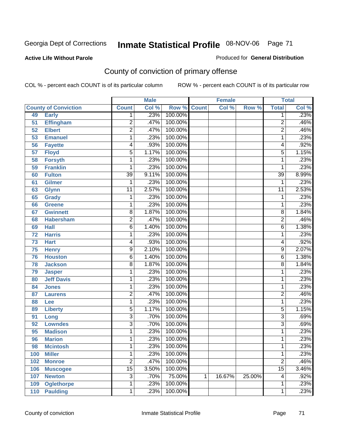#### **Active Life Without Parole**

#### Produced for **General Distribution**

# County of conviction of primary offense

|     |                             |                           | <b>Male</b> |                    |   | <b>Female</b> |        |                 | <b>Total</b> |
|-----|-----------------------------|---------------------------|-------------|--------------------|---|---------------|--------|-----------------|--------------|
|     | <b>County of Conviction</b> | <b>Count</b>              | Col %       | <b>Row % Count</b> |   | Col %         | Row %  | <b>Total</b>    | Col %        |
| 49  | <b>Early</b>                | 1                         | .23%        | 100.00%            |   |               |        | 1               | .23%         |
| 51  | <b>Effingham</b>            | $\overline{2}$            | .47%        | 100.00%            |   |               |        | $\overline{2}$  | .46%         |
| 52  | <b>Elbert</b>               | $\overline{2}$            | .47%        | 100.00%            |   |               |        | $\overline{2}$  | .46%         |
| 53  | <b>Emanuel</b>              | 1                         | .23%        | 100.00%            |   |               |        | 1               | .23%         |
| 56  | <b>Fayette</b>              | 4                         | .93%        | 100.00%            |   |               |        | 4               | .92%         |
| 57  | <b>Floyd</b>                | 5                         | 1.17%       | 100.00%            |   |               |        | 5               | 1.15%        |
| 58  | <b>Forsyth</b>              | 1                         | .23%        | 100.00%            |   |               |        | 1               | .23%         |
| 59  | <b>Franklin</b>             | 1                         | .23%        | 100.00%            |   |               |        | 1               | .23%         |
| 60  | <b>Fulton</b>               | $\overline{39}$           | 9.11%       | 100.00%            |   |               |        | $\overline{39}$ | 8.99%        |
| 61  | <b>Gilmer</b>               | 1                         | .23%        | 100.00%            |   |               |        | 1               | .23%         |
| 63  | <b>Glynn</b>                | $\overline{11}$           | 2.57%       | 100.00%            |   |               |        | $\overline{11}$ | 2.53%        |
| 65  | <b>Grady</b>                | 1                         | .23%        | 100.00%            |   |               |        | 1               | .23%         |
| 66  | Greene                      | 1                         | .23%        | 100.00%            |   |               |        | 1               | .23%         |
| 67  | <b>Gwinnett</b>             | $\overline{8}$            | 1.87%       | 100.00%            |   |               |        | 8               | 1.84%        |
| 68  | <b>Habersham</b>            | $\overline{2}$            | .47%        | 100.00%            |   |               |        | $\overline{2}$  | .46%         |
| 69  | <b>Hall</b>                 | $\overline{6}$            | 1.40%       | 100.00%            |   |               |        | 6               | 1.38%        |
| 72  | <b>Harris</b>               | 1                         | .23%        | 100.00%            |   |               |        | 1               | .23%         |
| 73  | <b>Hart</b>                 | 4                         | .93%        | 100.00%            |   |               |        | 4               | .92%         |
| 75  | <b>Henry</b>                | 9                         | 2.10%       | 100.00%            |   |               |        | 9               | 2.07%        |
| 76  | <b>Houston</b>              | $\overline{6}$            | 1.40%       | 100.00%            |   |               |        | 6               | 1.38%        |
| 78  | <b>Jackson</b>              | 8                         | 1.87%       | 100.00%            |   |               |        | 8               | 1.84%        |
| 79  | <b>Jasper</b>               | 1                         | .23%        | 100.00%            |   |               |        | 1               | .23%         |
| 80  | <b>Jeff Davis</b>           | 1                         | .23%        | 100.00%            |   |               |        | 1               | .23%         |
| 84  | <b>Jones</b>                | 1                         | .23%        | 100.00%            |   |               |        | 1               | .23%         |
| 87  | <b>Laurens</b>              | $\overline{2}$            | .47%        | 100.00%            |   |               |        | 2               | .46%         |
| 88  | Lee                         | 1                         | .23%        | 100.00%            |   |               |        | 1               | .23%         |
| 89  | <b>Liberty</b>              | $\overline{5}$            | 1.17%       | 100.00%            |   |               |        | 5               | 1.15%        |
| 91  | Long                        | $\overline{3}$            | .70%        | 100.00%            |   |               |        | 3               | .69%         |
| 92  | <b>Lowndes</b>              | $\overline{\overline{3}}$ | .70%        | 100.00%            |   |               |        | $\overline{3}$  | .69%         |
| 95  | <b>Madison</b>              | 1                         | .23%        | 100.00%            |   |               |        | 1               | .23%         |
| 96  | <b>Marion</b>               | 1                         | .23%        | 100.00%            |   |               |        | 1               | .23%         |
| 98  | <b>Mcintosh</b>             | 1                         | $.23\%$     | 100.00%            |   |               |        | 1               | .23%         |
| 100 | <b>Miller</b>               | 1                         | .23%        | 100.00%            |   |               |        | 1               | .23%         |
| 102 | <b>Monroe</b>               | $\overline{2}$            | .47%        | 100.00%            |   |               |        | $\overline{2}$  | .46%         |
| 106 | <b>Muscogee</b>             | $\overline{15}$           | 3.50%       | 100.00%            |   |               |        | $\overline{15}$ | 3.46%        |
| 107 | <b>Newton</b>               | $\overline{3}$            | .70%        | 75.00%             | 1 | 16.67%        | 25.00% | 4               | .92%         |
| 109 | <b>Oglethorpe</b>           | 1                         | .23%        | 100.00%            |   |               |        | 1               | .23%         |
| 110 | <b>Paulding</b>             | $\mathbf 1$               | .23%        | 100.00%            |   |               |        | 1               | .23%         |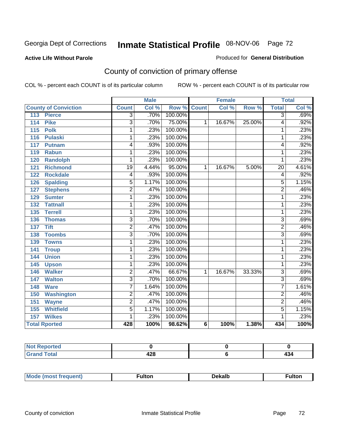#### **Active Life Without Parole**

#### Produced for **General Distribution**

# County of conviction of primary offense

|                                 |                 | <b>Male</b>                |                    |                 | <b>Female</b> |        |                 | <b>Total</b>               |
|---------------------------------|-----------------|----------------------------|--------------------|-----------------|---------------|--------|-----------------|----------------------------|
| <b>County of Conviction</b>     | <b>Count</b>    | $\overline{\text{Col }^9}$ | <b>Row % Count</b> |                 | Col %         | Row %  | <b>Total</b>    | $\overline{\text{Col }^9}$ |
| 113<br><b>Pierce</b>            | $\overline{3}$  | .70%                       | 100.00%            |                 |               |        | $\overline{3}$  | .69%                       |
| <b>Pike</b><br>114              | $\overline{3}$  | .70%                       | 75.00%             | 1               | 16.67%        | 25.00% | 4               | .92%                       |
| <b>Polk</b><br>$\overline{115}$ | 1               | .23%                       | 100.00%            |                 |               |        | 1               | .23%                       |
| <b>Pulaski</b><br>116           | 1               | .23%                       | 100.00%            |                 |               |        | 1               | .23%                       |
| 117<br><b>Putnam</b>            | 4               | .93%                       | 100.00%            |                 |               |        | 4               | .92%                       |
| <b>Rabun</b><br>119             | 1               | .23%                       | 100.00%            |                 |               |        | 1               | .23%                       |
| 120<br><b>Randolph</b>          | 1               | .23%                       | 100.00%            |                 |               |        | 1               | .23%                       |
| <b>Richmond</b><br>121          | $\overline{19}$ | 4.44%                      | 95.00%             | 1               | 16.67%        | 5.00%  | $\overline{20}$ | 4.61%                      |
| <b>Rockdale</b><br>122          | 4               | .93%                       | 100.00%            |                 |               |        | 4               | .92%                       |
| <b>Spalding</b><br>126          | 5               | 1.17%                      | 100.00%            |                 |               |        | 5               | 1.15%                      |
| <b>Stephens</b><br>127          | $\overline{2}$  | .47%                       | 100.00%            |                 |               |        | $\overline{2}$  | .46%                       |
| <b>Sumter</b><br>129            | 1               | .23%                       | 100.00%            |                 |               |        | 1               | .23%                       |
| 132<br><b>Tattnall</b>          | 1               | .23%                       | 100.00%            |                 |               |        | 1               | .23%                       |
| <b>Terrell</b><br>135           | 1               | .23%                       | 100.00%            |                 |               |        | 1               | .23%                       |
| 136<br><b>Thomas</b>            | 3               | .70%                       | 100.00%            |                 |               |        | 3               | .69%                       |
| <b>Tift</b><br>137              | $\overline{2}$  | .47%                       | 100.00%            |                 |               |        | $\overline{2}$  | .46%                       |
| <b>Toombs</b><br>138            | $\overline{3}$  | .70%                       | 100.00%            |                 |               |        | $\overline{3}$  | .69%                       |
| 139<br><b>Towns</b>             | 1               | .23%                       | 100.00%            |                 |               |        | 1               | .23%                       |
| <b>Troup</b><br>141             | 1               | .23%                       | 100.00%            |                 |               |        | 1               | .23%                       |
| <b>Union</b><br>144             | 1               | .23%                       | 100.00%            |                 |               |        | 1               | .23%                       |
| 145<br><b>Upson</b>             | 1               | .23%                       | 100.00%            |                 |               |        | 1               | .23%                       |
| <b>Walker</b><br>146            | $\overline{2}$  | .47%                       | 66.67%             | 1               | 16.67%        | 33.33% | $\overline{3}$  | .69%                       |
| 147<br><b>Walton</b>            | $\overline{3}$  | .70%                       | 100.00%            |                 |               |        | $\overline{3}$  | .69%                       |
| <b>Ware</b><br>148              | 7               | 1.64%                      | 100.00%            |                 |               |        | 7               | 1.61%                      |
| <b>Washington</b><br>150        | $\overline{2}$  | .47%                       | 100.00%            |                 |               |        | $\overline{2}$  | .46%                       |
| 151<br><b>Wayne</b>             | $\overline{2}$  | .47%                       | 100.00%            |                 |               |        | $\overline{2}$  | .46%                       |
| <b>Whitfield</b><br>155         | $\overline{5}$  | 1.17%                      | 100.00%            |                 |               |        | $\overline{5}$  | 1.15%                      |
| 157<br><b>Wilkes</b>            | 1               | .23%                       | 100.00%            |                 |               |        | 1               | .23%                       |
| <b>Total Rported</b>            | 428             | 100%                       | 98.62%             | $6\phantom{1}6$ | 100%          | 1.38%  | 434             | 100%                       |

| eported<br><b>NI</b> |           |     |
|----------------------|-----------|-----|
| int                  | ᄳ.<br>44O | דטד |

|  | Mc | w | <br><u>Jekalt</u> | ultor |
|--|----|---|-------------------|-------|
|--|----|---|-------------------|-------|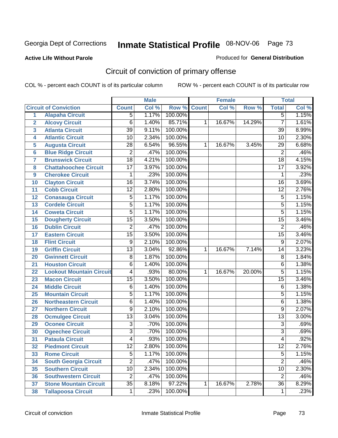### **Active Life Without Parole**

#### Produced for **General Distribution**

# Circuit of conviction of primary offense

|                         |                                 |                         | <b>Male</b> |                    |   | <b>Female</b> |        |                 | <b>Total</b> |
|-------------------------|---------------------------------|-------------------------|-------------|--------------------|---|---------------|--------|-----------------|--------------|
|                         | <b>Circuit of Conviction</b>    | <b>Count</b>            | Col %       | <b>Row % Count</b> |   | Col %         | Row %  | <b>Total</b>    | Col %        |
| 1                       | <b>Alapaha Circuit</b>          | 5                       | 1.17%       | 100.00%            |   |               |        | $\overline{5}$  | 1.15%        |
| $\overline{2}$          | <b>Alcovy Circuit</b>           | $\overline{6}$          | 1.40%       | 85.71%             | 1 | 16.67%        | 14.29% | 7               | 1.61%        |
| $\overline{\mathbf{3}}$ | <b>Atlanta Circuit</b>          | $\overline{39}$         | 9.11%       | 100.00%            |   |               |        | $\overline{39}$ | 8.99%        |
| 4                       | <b>Atlantic Circuit</b>         | $\overline{10}$         | 2.34%       | 100.00%            |   |               |        | 10              | 2.30%        |
| 5                       | <b>Augusta Circuit</b>          | $\overline{28}$         | 6.54%       | 96.55%             | 1 | 16.67%        | 3.45%  | $\overline{29}$ | 6.68%        |
| $6\phantom{a}$          | <b>Blue Ridge Circuit</b>       | $\overline{2}$          | .47%        | 100.00%            |   |               |        | $\overline{2}$  | .46%         |
| $\overline{\mathbf{7}}$ | <b>Brunswick Circuit</b>        | $\overline{18}$         | 4.21%       | 100.00%            |   |               |        | $\overline{18}$ | 4.15%        |
| 8                       | <b>Chattahoochee Circuit</b>    | $\overline{17}$         | 3.97%       | 100.00%            |   |               |        | $\overline{17}$ | 3.92%        |
| 9                       | <b>Cherokee Circuit</b>         | 1                       | .23%        | 100.00%            |   |               |        | 1               | .23%         |
| 10                      | <b>Clayton Circuit</b>          | $\overline{16}$         | 3.74%       | 100.00%            |   |               |        | $\overline{16}$ | 3.69%        |
| 11                      | <b>Cobb Circuit</b>             | $\overline{12}$         | 2.80%       | 100.00%            |   |               |        | $\overline{12}$ | 2.76%        |
| 12                      | <b>Conasauga Circuit</b>        | $\overline{5}$          | 1.17%       | 100.00%            |   |               |        | $\overline{5}$  | 1.15%        |
| 13                      | <b>Cordele Circuit</b>          | $\overline{5}$          | 1.17%       | 100.00%            |   |               |        | 5               | 1.15%        |
| 14                      | <b>Coweta Circuit</b>           | $\overline{5}$          | 1.17%       | 100.00%            |   |               |        | $\overline{5}$  | 1.15%        |
| 15                      | <b>Dougherty Circuit</b>        | $\overline{15}$         | 3.50%       | 100.00%            |   |               |        | $\overline{15}$ | 3.46%        |
| 16                      | <b>Dublin Circuit</b>           | $\overline{2}$          | .47%        | 100.00%            |   |               |        | $\overline{2}$  | .46%         |
| 17                      | <b>Eastern Circuit</b>          | $\overline{15}$         | 3.50%       | 100.00%            |   |               |        | $\overline{15}$ | 3.46%        |
| 18                      | <b>Flint Circuit</b>            | $\overline{9}$          | 2.10%       | 100.00%            |   |               |        | $\overline{9}$  | 2.07%        |
| 19                      | <b>Griffin Circuit</b>          | $\overline{13}$         | 3.04%       | 92.86%             | 1 | 16.67%        | 7.14%  | 14              | 3.23%        |
| 20                      | <b>Gwinnett Circuit</b>         | $\overline{8}$          | 1.87%       | 100.00%            |   |               |        | 8               | 1.84%        |
| 21                      | <b>Houston Circuit</b>          | $\overline{6}$          | 1.40%       | 100.00%            |   |               |        | $\overline{6}$  | 1.38%        |
| 22                      | <b>Lookout Mountain Circuit</b> | $\overline{\mathbf{4}}$ | .93%        | 80.00%             | 1 | 16.67%        | 20.00% | $\overline{5}$  | 1.15%        |
| 23                      | <b>Macon Circuit</b>            | $\overline{15}$         | 3.50%       | 100.00%            |   |               |        | $\overline{15}$ | 3.46%        |
| 24                      | <b>Middle Circuit</b>           | $\overline{6}$          | 1.40%       | 100.00%            |   |               |        | 6               | 1.38%        |
| 25                      | <b>Mountain Circuit</b>         | $\overline{5}$          | 1.17%       | 100.00%            |   |               |        | 5               | 1.15%        |
| 26                      | <b>Northeastern Circuit</b>     | 6                       | 1.40%       | 100.00%            |   |               |        | 6               | 1.38%        |
| 27                      | <b>Northern Circuit</b>         | $\overline{9}$          | 2.10%       | 100.00%            |   |               |        | $\overline{9}$  | 2.07%        |
| 28                      | <b>Ocmulgee Circuit</b>         | $\overline{13}$         | 3.04%       | 100.00%            |   |               |        | $\overline{13}$ | 3.00%        |
| 29                      | <b>Oconee Circuit</b>           | $\overline{3}$          | .70%        | 100.00%            |   |               |        | $\overline{3}$  | .69%         |
| 30                      | <b>Ogeechee Circuit</b>         | $\overline{3}$          | .70%        | 100.00%            |   |               |        | $\overline{3}$  | .69%         |
| $\overline{31}$         | <b>Pataula Circuit</b>          | 4                       | .93%        | 100.00%            |   |               |        | 4               | .92%         |
| 32                      | <b>Piedmont Circuit</b>         | 12                      | 2.80%       | 100.00%            |   |               |        | 12              | 2.76%        |
| 33                      | <b>Rome Circuit</b>             | $\overline{5}$          | 1.17%       | 100.00%            |   |               |        | $\overline{5}$  | 1.15%        |
| 34                      | <b>South Georgia Circuit</b>    | $\overline{2}$          | .47%        | 100.00%            |   |               |        | $\overline{2}$  | .46%         |
| 35                      | <b>Southern Circuit</b>         | $\overline{10}$         | 2.34%       | 100.00%            |   |               |        | 10              | 2.30%        |
| 36                      | <b>Southwestern Circuit</b>     | $\overline{2}$          | .47%        | 100.00%            |   |               |        | $\overline{2}$  | .46%         |
| 37                      | <b>Stone Mountain Circuit</b>   | $\overline{35}$         | 8.18%       | 97.22%             | 1 | 16.67%        | 2.78%  | $\overline{36}$ | 8.29%        |
| 38                      | <b>Tallapoosa Circuit</b>       | $\mathbf 1$             | .23%        | 100.00%            |   |               |        | $\mathbf{1}$    | .23%         |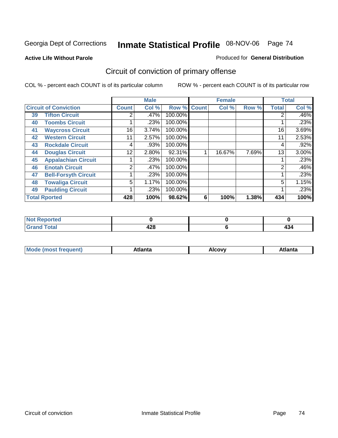**Active Life Without Parole** 

#### Produced for **General Distribution**

# Circuit of conviction of primary offense

|                      |                              |              | <b>Male</b> |         |              | <b>Female</b> |       |              | <b>Total</b> |
|----------------------|------------------------------|--------------|-------------|---------|--------------|---------------|-------|--------------|--------------|
|                      | <b>Circuit of Conviction</b> | <b>Count</b> | Col %       | Row %   | <b>Count</b> | Col %         | Row % | <b>Total</b> | Col %        |
| 39                   | <b>Tifton Circuit</b>        | 2            | .47%        | 100.00% |              |               |       |              | .46%         |
| 40                   | <b>Toombs Circuit</b>        |              | .23%        | 100.00% |              |               |       |              | .23%         |
| 41                   | <b>Waycross Circuit</b>      | 16           | 3.74%       | 100.00% |              |               |       | 16           | 3.69%        |
| 42                   | <b>Western Circuit</b>       | 11           | 2.57%       | 100.00% |              |               |       | 11           | 2.53%        |
| 43                   | <b>Rockdale Circuit</b>      | 4            | .93%        | 100.00% |              |               |       | 4            | .92%         |
| 44                   | <b>Douglas Circuit</b>       | 12           | 2.80%       | 92.31%  |              | 16.67%        | 7.69% | 13           | $3.00\%$     |
| 45                   | <b>Appalachian Circuit</b>   |              | .23%        | 100.00% |              |               |       |              | .23%         |
| 46                   | <b>Enotah Circuit</b>        | 2            | .47%        | 100.00% |              |               |       | 2            | .46%         |
| 47                   | <b>Bell-Forsyth Circuit</b>  |              | .23%        | 100.00% |              |               |       |              | .23%         |
| 48                   | <b>Towaliga Circuit</b>      | 5            | 1.17%       | 100.00% |              |               |       | 5            | 1.15%        |
| 49                   | <b>Paulding Circuit</b>      |              | .23%        | 100.00% |              |               |       |              | .23%         |
| <b>Total Rported</b> |                              | 428          | 100%        | 98.62%  | 6            | 100%          | 1.38% | 434          | 100%         |

| <b>Reported</b><br>. Nr |     |                          |
|-------------------------|-----|--------------------------|
| <b>otal</b>             | 490 | $\overline{\phantom{a}}$ |
| $\mathbf{v}$ and        | 440 | טו                       |

| Mc<br>.+Inn+,<br>.<br>ำ∨∿<br>''Ilta<br>idlik<br><b>ALIE</b><br>$ -$ |  |  |
|---------------------------------------------------------------------|--|--|
|                                                                     |  |  |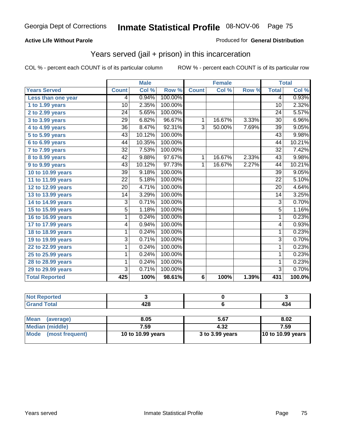### **Active Life Without Parole**

### Produced for **General Distribution**

## Years served (jail + prison) in this incarceration

|                       |                 | <b>Male</b> |         |                | <b>Female</b> |       |                 | <b>Total</b> |
|-----------------------|-----------------|-------------|---------|----------------|---------------|-------|-----------------|--------------|
| <b>Years Served</b>   | <b>Count</b>    | Col %       | Row %   | <b>Count</b>   | Col %         | Row % | <b>Total</b>    | Col %        |
| Less than one year    | 4               | 0.94%       | 100.00% |                |               |       | 4               | 0.93%        |
| 1 to 1.99 years       | $\overline{10}$ | 2.35%       | 100.00% |                |               |       | $\overline{10}$ | 2.32%        |
| 2 to 2.99 years       | $\overline{24}$ | 5.65%       | 100.00% |                |               |       | $\overline{24}$ | 5.57%        |
| 3 to 3.99 years       | 29              | 6.82%       | 96.67%  | 1              | 16.67%        | 3.33% | 30              | 6.96%        |
| $4$ to $4.99$ years   | $\overline{36}$ | 8.47%       | 92.31%  | $\overline{3}$ | 50.00%        | 7.69% | $\overline{39}$ | 9.05%        |
| 5 to 5.99 years       | 43              | 10.12%      | 100.00% |                |               |       | 43              | 9.98%        |
| 6 to 6.99 years       | 44              | 10.35%      | 100.00% |                |               |       | 44              | 10.21%       |
| 7 to 7.99 years       | 32              | 7.53%       | 100.00% |                |               |       | 32              | 7.42%        |
| 8 to 8.99 years       | 42              | 9.88%       | 97.67%  | $\mathbf{1}$   | 16.67%        | 2.33% | 43              | 9.98%        |
| 9 to 9.99 years       | $\overline{43}$ | 10.12%      | 97.73%  | $\mathbf{1}$   | 16.67%        | 2.27% | 44              | 10.21%       |
| 10 to 10.99 years     | 39              | 9.18%       | 100.00% |                |               |       | 39              | 9.05%        |
| 11 to 11.99 years     | $\overline{22}$ | 5.18%       | 100.00% |                |               |       | $\overline{22}$ | 5.10%        |
| 12 to 12.99 years     | $\overline{20}$ | 4.71%       | 100.00% |                |               |       | 20              | 4.64%        |
| 13 to 13.99 years     | 14              | 3.29%       | 100.00% |                |               |       | 14              | 3.25%        |
| 14 to 14.99 years     | 3               | 0.71%       | 100.00% |                |               |       | $\overline{3}$  | 0.70%        |
| 15 to 15.99 years     | $\overline{5}$  | 1.18%       | 100.00% |                |               |       | $\overline{5}$  | 1.16%        |
| 16 to 16.99 years     | 1               | 0.24%       | 100.00% |                |               |       | 1               | 0.23%        |
| 17 to 17.99 years     | 4               | 0.94%       | 100.00% |                |               |       | 4               | 0.93%        |
| 18 to 18.99 years     | 1               | 0.24%       | 100.00% |                |               |       | 1               | 0.23%        |
| 19 to 19.99 years     | $\overline{3}$  | 0.71%       | 100.00% |                |               |       | $\overline{3}$  | 0.70%        |
| 22 to 22.99 years     | 1               | 0.24%       | 100.00% |                |               |       | 1               | 0.23%        |
| 25 to 25.99 years     | 1               | 0.24%       | 100.00% |                |               |       | 1               | 0.23%        |
| 28 to 28.99 years     | 1               | 0.24%       | 100.00% |                |               |       | 1               | 0.23%        |
| 29 to 29.99 years     | $\overline{3}$  | 0.71%       | 100.00% |                |               |       | $\overline{3}$  | 0.70%        |
| <b>Total Reported</b> | 425             | 100%        | 98.61%  | $\overline{6}$ | 100%          | 1.39% | 431             | 100.0%       |

| المتحدقات للمراجع<br>чтест |            |                 |
|----------------------------|------------|-----------------|
| Coto!                      | Ann<br>440 | . .<br>-<br>TV- |

| Mean<br>(average)    | 8.05              | 5.67            | 8.02                     |
|----------------------|-------------------|-----------------|--------------------------|
| Median (middle)      | 7.59              | 4.32            | 7.59                     |
| Mode (most frequent) | 10 to 10.99 years | 3 to 3.99 years | <b>10 to 10.99 years</b> |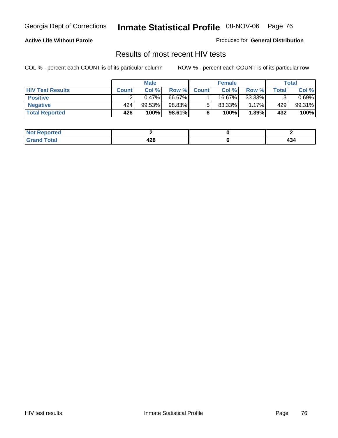### **Active Life Without Parole**

Produced for **General Distribution**

## Results of most recent HIV tests

|                         | <b>Male</b>  |        | <b>Female</b> |              |           | Total    |       |          |
|-------------------------|--------------|--------|---------------|--------------|-----------|----------|-------|----------|
| <b>HIV Test Results</b> | <b>Count</b> | Col %  | Row %         | <b>Count</b> | Col %     | Row %    | Total | Col %    |
| <b>Positive</b>         |              | 0.47%  | 66.67%        |              | 16.67%    | 33.33%   |       | $0.69\%$ |
| <b>Negative</b>         | 424          | 99.53% | 98.83%        |              | $83.33\%$ | $1.17\%$ | 429   | 99.31%   |
| <b>Total Reported</b>   | 426          | 100%   | 98.61%        |              | 100%      | 1.39%    | 432   | 100%     |

| <b>Not Reported</b> |                    |    |
|---------------------|--------------------|----|
| <b>Grand Total</b>  | ה הו<br>440<br>--- | 40 |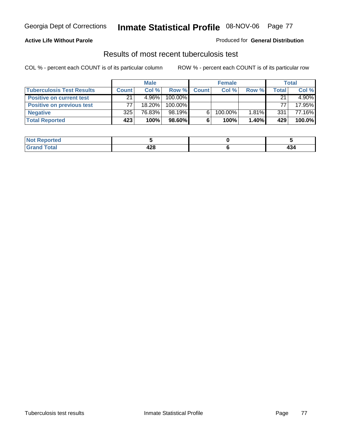### **Active Life Without Parole**

### Produced for **General Distribution**

## Results of most recent tuberculosis test

|                                  | <b>Male</b>  |          | <b>Female</b> |              |         | Total |       |          |
|----------------------------------|--------------|----------|---------------|--------------|---------|-------|-------|----------|
| <b>Tuberculosis Test Results</b> | <b>Count</b> | Col%     | Row %         | <b>Count</b> | Col%    | Row % | Total | Col %    |
| <b>Positive on current test</b>  | 21           | $4.96\%$ | 100.00%       |              |         |       | 21    | $4.90\%$ |
| <b>Positive on previous test</b> | 77           | 18.20%   | 100.00%       |              |         |       | 77    | 17.95%   |
| <b>Negative</b>                  | 325          | 76.83%   | 98.19%        | 6            | 100.00% | 1.81% | 331   | 77.16%   |
| <b>Total Reported</b>            | 423          | 100%     | 98.60%        | 6            | 100%    | 1.40% | 429   | 100.0%   |

| <b>Reported</b><br><b>NOT</b> |            |               |
|-------------------------------|------------|---------------|
| <b>Total</b>                  | 100<br>42ŏ | $\sim$<br>434 |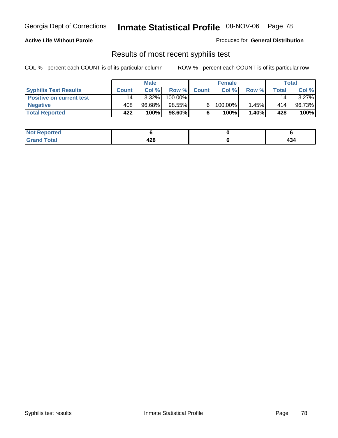### **Active Life Without Parole**

Produced for **General Distribution**

## Results of most recent syphilis test

|                                 | <b>Male</b>     |          | <b>Female</b> |              |            | Total    |       |          |
|---------------------------------|-----------------|----------|---------------|--------------|------------|----------|-------|----------|
| <b>Syphilis Test Results</b>    | <b>Count</b>    | Col%     | Row %         | <b>Count</b> | Col%       | Row %    | Total | Col %    |
| <b>Positive on current test</b> | 14 <sub>1</sub> | $3.32\%$ | 100.00%       |              |            |          | 14    | $3.27\%$ |
| <b>Negative</b>                 | 408             | 96.68%   | 98.55%        |              | $100.00\%$ | 1.45%    | 414   | 96.73%   |
| <b>Total Reported</b>           | 422             | 100%     | 98.60%        |              | 100%       | $1.40\%$ | 428   | 100%     |

| <b>Not Reported</b> |            |     |
|---------------------|------------|-----|
| <b>Total</b>        | ההו<br>440 | 474 |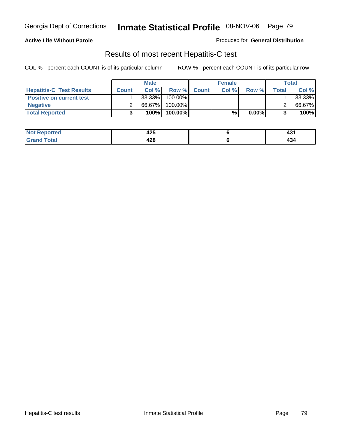### **Active Life Without Parole**

Produced for **General Distribution**

## Results of most recent Hepatitis-C test

|                                 |              | <b>Male</b> |         |             | <b>Female</b> |          |       | <b>Total</b> |
|---------------------------------|--------------|-------------|---------|-------------|---------------|----------|-------|--------------|
| <b>Hepatitis-C Test Results</b> | <b>Count</b> | Col%        |         | Row % Count | Col %         | Row %    | Total | Col %        |
| <b>Positive on current test</b> |              | 33.33%      | 100.00% |             |               |          |       | 33.33%       |
| <b>Negative</b>                 |              | 66.67%      | 100.00% |             |               |          |       | 66.67%       |
| <b>Total Reported</b>           |              | 100%        | 100.00% |             | %             | $0.00\%$ |       | 100%         |

| <b>ported</b>          | $\overline{10}$ | . .  |
|------------------------|-----------------|------|
| <b>NOT</b>             | 44J             | − ∪. |
| <i>i</i> otal<br>. Gro | 00<br>44O       | 494  |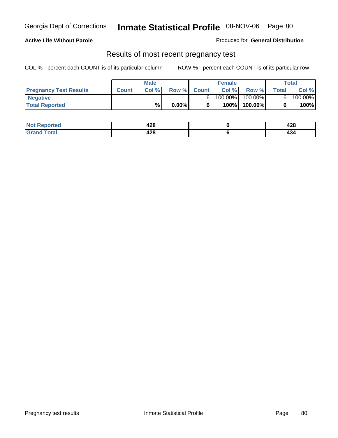### **Active Life Without Parole**

Produced for **General Distribution**

## Results of most recent pregnancy test

|                               | <b>Male</b>  |      |          | <b>Female</b> |         |         | <b>Total</b> |         |
|-------------------------------|--------------|------|----------|---------------|---------|---------|--------------|---------|
| <b>Pregnancy Test Results</b> | <b>Count</b> | Col% | Row %    | <b>Count</b>  | Col %   | Row %   | <b>Total</b> | Col %   |
| <b>Negative</b>               |              |      |          |               | 100.00% | 100.00% |              | 100.00% |
| <b>Total Reported</b>         |              | %    | $0.00\%$ |               | 100%    | 100.00% |              | 100%    |

| orted        | 190<br>440 | 0 מ<br>44O |
|--------------|------------|------------|
| <b>Total</b> | ៱៱៰<br>44O | 494        |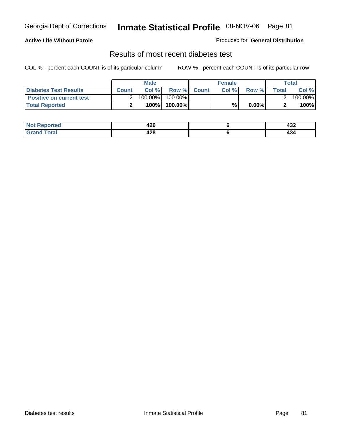### **Active Life Without Parole**

### Produced for **General Distribution**

## Results of most recent diabetes test

|                                 |              | <b>Male</b> |            |             | <b>Female</b> |          |              | Total   |
|---------------------------------|--------------|-------------|------------|-------------|---------------|----------|--------------|---------|
| <b>Diabetes Test Results</b>    | <b>Count</b> | Col %       |            | Row % Count | Col%          | Row %    | <b>Total</b> | Col %   |
| <b>Positive on current test</b> |              | 100.00%     | $100.00\%$ |             |               |          |              | 100.00% |
| <b>Total Reported</b>           |              | 100%        | 100.00%    |             | %             | $0.00\%$ |              | 100%    |

| <b>Reported</b>      | 1 ገር<br>44 U | ,,,<br>-92  |
|----------------------|--------------|-------------|
| <b>otal</b><br>_____ | 428          | 494<br>$ -$ |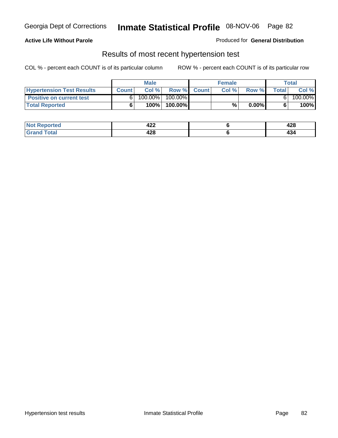### **Active Life Without Parole**

### Produced for **General Distribution**

## Results of most recent hypertension test

|                                  |              | <b>Male</b> |            |             | <b>Female</b> |          |       | <b>Total</b> |
|----------------------------------|--------------|-------------|------------|-------------|---------------|----------|-------|--------------|
| <b>Hypertension Test Results</b> | <b>Count</b> | Col %       |            | Row % Count | Col%          | Row %    | Total | Col %        |
| <b>Positive on current test</b>  |              | 100.00%     | $100.00\%$ |             |               |          |       | 100.00%      |
| <b>Total Reported</b>            |              | 100%        | 100.00%    |             | %             | $0.00\%$ |       | 100%         |

| <u>rted</u> | "^^<br>424 | 0 מ<br>44O |
|-------------|------------|------------|
| <b>ota</b>  | ៱៱៰<br>44O | 474        |